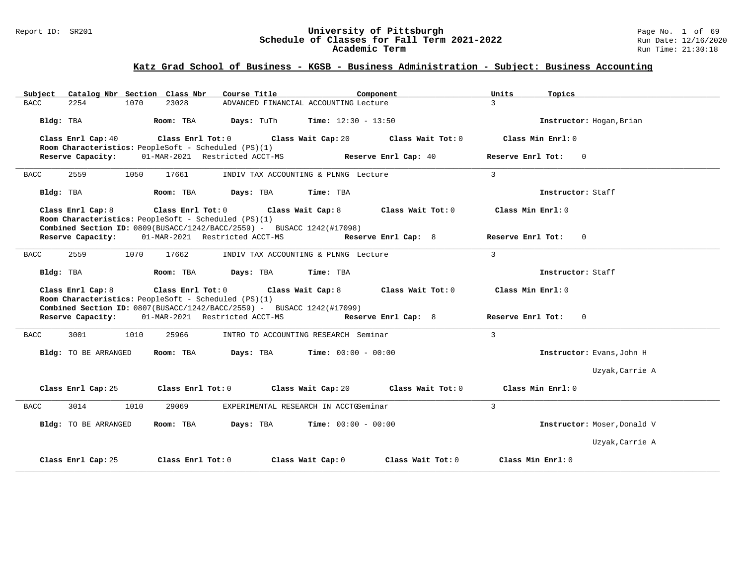#### Report ID: SR201 **1988 Construment Construment Construment Construment Construment Construment Page No. 1 of 69<br><b>Schedule of Classes for Fall Term 2021-2022** 1996 Run Date: 12/16/2020 **Schedule of Classes for Fall Term 2021-2022** Run Date: 12/16/2020 **Academic Term** Run Time: 21:30:18

| Subject Catalog Nbr Section Class Nbr | Course Title <b>Source Search</b>                                                                                              | Component                                      | Units<br>Topics             |
|---------------------------------------|--------------------------------------------------------------------------------------------------------------------------------|------------------------------------------------|-----------------------------|
| <b>BACC</b><br>2254<br>1070           | 23028                                                                                                                          | ADVANCED FINANCIAL ACCOUNTING Lecture          | $\mathcal{R}$               |
| Bldg: TBA                             | Room: TBA                                                                                                                      | <b>Days:</b> TuTh <b>Time:</b> $12:30 - 13:50$ | Instructor: Hogan, Brian    |
| Class Enrl Cap: 40                    | Class Enrl Tot: $0$<br>Room Characteristics: PeopleSoft - Scheduled (PS)(1)                                                    | Class Wait Cap: 20<br>Class Wait Tot: 0        | Class Min $Enr1: 0$         |
| Reserve Capacity:                     | 01-MAR-2021 Restricted ACCT-MS                                                                                                 | Reserve Enrl Cap: 40                           | Reserve Enrl Tot: 0         |
| 2559<br>1050<br>BACC                  | 17661                                                                                                                          | INDIV TAX ACCOUNTING & PLNNG Lecture           | $\overline{3}$              |
| Bldg: TBA                             | Room: TBA<br>Days: TBA                                                                                                         | Time: TBA                                      | Instructor: Staff           |
| Class Enrl Cap: 8                     | Class Enrl Tot: 0<br>Room Characteristics: PeopleSoft - Scheduled (PS)(1)                                                      | Class Wait Cap: 8 Class Wait Tot: 0            | Class Min Enrl: 0           |
|                                       | Combined Section ID: 0809(BUSACC/1242/BACC/2559) - BUSACC 1242(#17098)                                                         |                                                |                             |
|                                       | Reserve Capacity: 01-MAR-2021 Restricted ACCT-MS                                                                               | Reserve Enrl Cap: 8                            | Reserve Enrl Tot: 0         |
| 2559<br>1070<br><b>BACC</b>           | 17662                                                                                                                          | INDIV TAX ACCOUNTING & PLNNG Lecture           | $\overline{3}$              |
| Bldg: TBA                             | Room: TBA<br>Days: TBA                                                                                                         | Time: TBA                                      | Instructor: Staff           |
| Class Enrl Cap: 8                     | $Class$ $Enr1$ $Tot: 0$                                                                                                        | Class Wait Cap: 8 Class Wait Tot: 0            | Class Min Enrl: 0           |
|                                       | Room Characteristics: PeopleSoft - Scheduled (PS)(1)<br>Combined Section ID: 0807(BUSACC/1242/BACC/2559) - BUSACC 1242(#17099) |                                                |                             |
|                                       | Reserve Capacity: 01-MAR-2021 Restricted ACCT-MS                                                                               | Reserve Enrl Cap: 8                            | Reserve Enrl Tot: 0         |
| 3001<br>1010<br>BACC                  | 25966                                                                                                                          | INTRO TO ACCOUNTING RESEARCH Seminar           | $\mathcal{E}$               |
| Bldg: TO BE ARRANGED                  | Room: TBA                                                                                                                      | <b>Days:</b> TBA <b>Time:</b> $00:00 - 00:00$  | Instructor: Evans, John H   |
|                                       |                                                                                                                                |                                                | Uzyak, Carrie A             |
| Class Enrl Cap: 25                    | Class Enrl Tot: 0                                                                                                              | Class Wait Cap: 20<br>Class Wait Tot: 0        | Class Min Enrl: 0           |
| 3014<br><b>BACC</b><br>1010           | 29069                                                                                                                          | EXPERIMENTAL RESEARCH IN ACCTGSeminar          | $\mathbf{3}$                |
| Bldg: TO BE ARRANGED                  | Room: TBA $Days:$ TBA $Time: 00:00 - 00:00$                                                                                    |                                                | Instructor: Moser, Donald V |
|                                       |                                                                                                                                |                                                | Uzyak, Carrie A             |
| Class Enrl Cap: 25                    | Class Enrl Tot: 0                                                                                                              | Class Wait Cap: 0<br>Class Wait Tot: 0         | Class Min Enrl: 0           |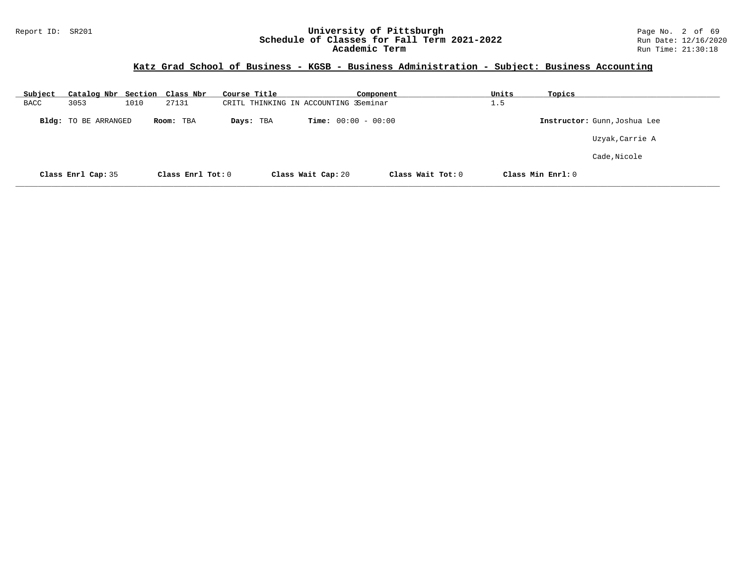#### Report ID: SR201 **University of Pittsburgh** Page No. 2 of 69 **Schedule of Classes for Fall Term 2021-2022** Run Date: 12/16/2020 **Academic Term** Run Time: 21:30:18

## **Katz Grad School of Business - KGSB - Business Administration - Subject: Business Accounting**

| Subject     | Catalog Nbr Section Class Nbr |      |                   | Course Title |                                       |                              | Component         | Units | Topics            |                              |
|-------------|-------------------------------|------|-------------------|--------------|---------------------------------------|------------------------------|-------------------|-------|-------------------|------------------------------|
| <b>BACC</b> | 3053                          | 1010 | 27131             |              | CRITL THINKING IN ACCOUNTING 3Seminar |                              |                   | 1.5   |                   |                              |
|             | Bldg: TO BE ARRANGED          |      | Room: TBA         | Days: TBA    |                                       | <b>Time:</b> $00:00 - 00:00$ |                   |       |                   | Instructor: Gunn, Joshua Lee |
|             |                               |      |                   |              |                                       |                              |                   |       |                   | Uzyak, Carrie A              |
|             |                               |      |                   |              |                                       |                              |                   |       |                   | Cade, Nicole                 |
|             | Class Enrl Cap: 35            |      | Class Enrl Tot: 0 |              | Class Wait Cap: 20                    |                              | Class Wait Tot: 0 |       | Class Min Enrl: 0 |                              |

**\_\_\_\_\_\_\_\_\_\_\_\_\_\_\_\_\_\_\_\_\_\_\_\_\_\_\_\_\_\_\_\_\_\_\_\_\_\_\_\_\_\_\_\_\_\_\_\_\_\_\_\_\_\_\_\_\_\_\_\_\_\_\_\_\_\_\_\_\_\_\_\_\_\_\_\_\_\_\_\_\_\_\_\_\_\_\_\_\_\_\_\_\_\_\_\_\_\_\_\_\_\_\_\_\_\_\_\_\_\_\_\_\_\_\_\_\_\_\_\_\_\_\_\_\_\_\_\_\_\_\_\_\_\_\_\_\_\_\_\_\_\_\_\_\_\_\_\_\_\_\_\_\_\_\_\_**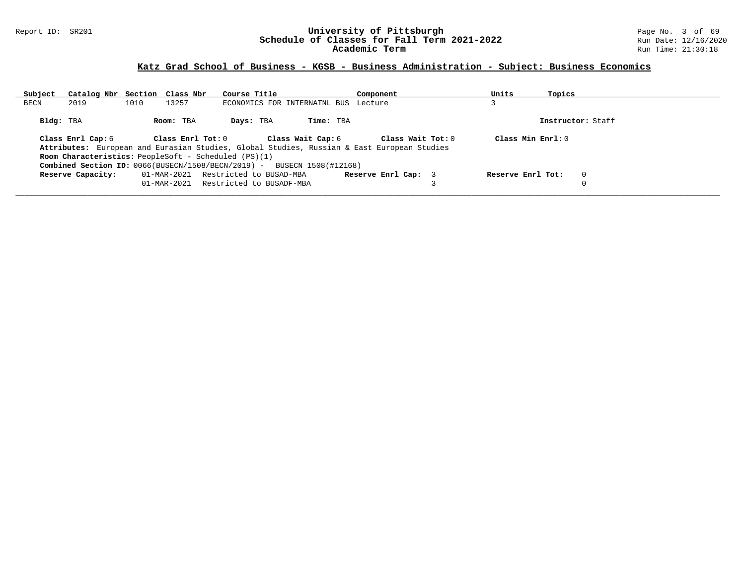#### Report ID: SR201 **University of Pittsburgh** Page No. 3 of 69 **Schedule of Classes for Fall Term 2021-2022** Run Date: 12/16/2020 **Academic Term** Run Time: 21:30:18

| Subject   |                   |      | Catalog Nbr Section Class Nbr | Course Title                                                |                                                                                   | Component                                                                                  | Units               | Topics |                   |
|-----------|-------------------|------|-------------------------------|-------------------------------------------------------------|-----------------------------------------------------------------------------------|--------------------------------------------------------------------------------------------|---------------------|--------|-------------------|
| BECN      | 2019              | 1010 | 13257                         |                                                             | ECONOMICS FOR INTERNATNL BUS Lecture                                              |                                                                                            |                     |        |                   |
| Bldg: TBA |                   |      | Room: TBA                     | Days: TBA                                                   | Time: TBA                                                                         |                                                                                            |                     |        | Instructor: Staff |
|           | Class Enrl Cap: 6 |      | Class Enrl Tot: 0             |                                                             | Class Wait Cap: 6                                                                 | Class Wait Tot: 0                                                                          | Class Min $Enrl: 0$ |        |                   |
|           |                   |      |                               |                                                             |                                                                                   | Attributes: European and Eurasian Studies, Global Studies, Russian & East European Studies |                     |        |                   |
|           |                   |      |                               | <b>Room Characteristics:</b> PeopleSoft - Scheduled (PS)(1) |                                                                                   |                                                                                            |                     |        |                   |
|           |                   |      |                               |                                                             | <b>Combined Section ID:</b> $0066(BUSER/N/1508/BECN/2019) - BUSERCN 1508(#12168)$ |                                                                                            |                     |        |                   |
|           | Reserve Capacity: |      | 01-MAR-2021                   | Restricted to BUSAD-MBA                                     |                                                                                   | Reserve Enrl Cap: 3                                                                        | Reserve Enrl Tot:   |        | $\overline{0}$    |
|           |                   |      | $01 - \text{MAR} - 2021$      | Restricted to BUSADF-MBA                                    |                                                                                   |                                                                                            |                     |        |                   |
|           |                   |      |                               |                                                             |                                                                                   |                                                                                            |                     |        |                   |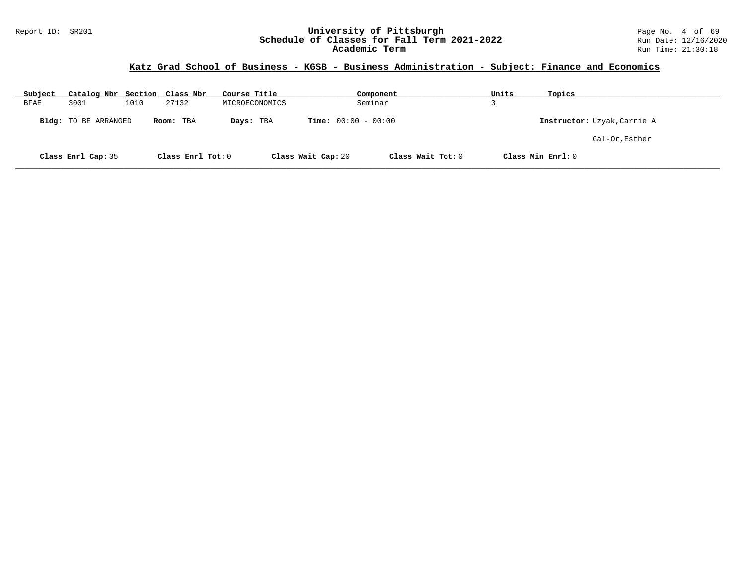#### Report ID: SR201 **University of Pittsburgh** Page No. 4 of 69 **Schedule of Classes for Fall Term 2021-2022** Run Date: 12/16/2020 **Academic Term** Run Time: 21:30:18

# **Katz Grad School of Business - KGSB - Business Administration - Subject: Finance and Economics**

| Subject | Catalog Nbr Section Class Nbr |      |                   | Course Title   |                              | Component         | Units | Topics                      |
|---------|-------------------------------|------|-------------------|----------------|------------------------------|-------------------|-------|-----------------------------|
| BFAE    | 3001                          | 1010 | 27132             | MICROECONOMICS |                              | Seminar           |       |                             |
|         | <b>Bldg:</b> TO BE ARRANGED   |      | Room: TBA         | Days: TBA      | <b>Time:</b> $00:00 - 00:00$ |                   |       | Instructor: Uzyak, Carrie A |
|         |                               |      |                   |                |                              |                   |       | Gal-Or, Esther              |
|         | Class Enrl Cap: 35            |      | Class Enrl Tot: 0 |                | Class Wait Cap: 20           | Class Wait Tot: 0 |       | Class Min Enrl: 0           |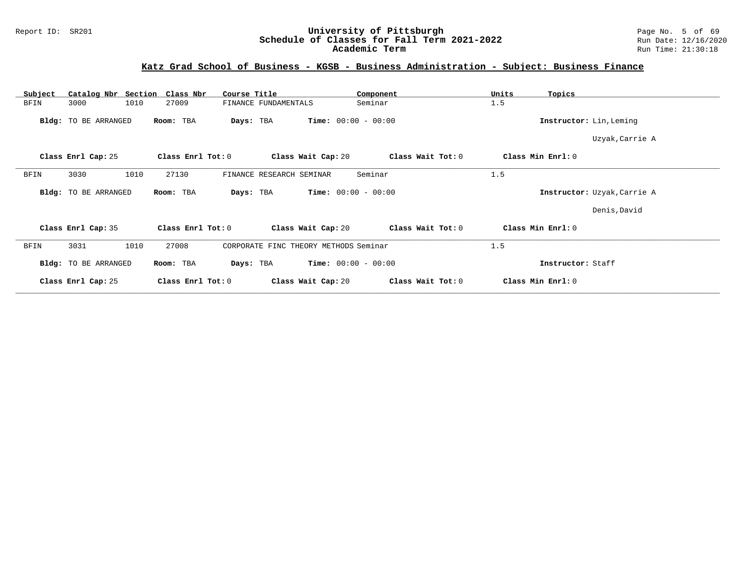#### Report ID: SR201 **University of Pittsburgh** Page No. 5 of 69 **Schedule of Classes for Fall Term 2021-2022** Run Date: 12/16/2020 **Academic Term** Run Time: 21:30:18

| Catalog Nbr Section Class Nbr<br>Subject | Course Title                                   | Component                    | Units<br>Topics             |  |
|------------------------------------------|------------------------------------------------|------------------------------|-----------------------------|--|
| 1010<br>BFIN<br>3000                     | 27009<br>FINANCE FUNDAMENTALS                  | Seminar                      | 1.5                         |  |
| Bldg: TO BE ARRANGED                     | Room: TBA<br>Days: TBA                         | <b>Time:</b> $00:00 - 00:00$ | Instructor: Lin, Leming     |  |
|                                          |                                                |                              | Uzyak, Carrie A             |  |
| Class Enrl Cap: 25                       | Class Enrl Tot: 0<br>Class Wait Cap: 20        | Class Wait Tot: 0            | Class Min Enrl: 0           |  |
| 1010<br>3030<br>BFIN                     | 27130<br>FINANCE RESEARCH SEMINAR              | Seminar                      | 1.5                         |  |
| Bldg: TO BE ARRANGED                     | Room: TBA<br>Days: TBA                         | <b>Time:</b> $00:00 - 00:00$ | Instructor: Uzyak, Carrie A |  |
|                                          |                                                |                              | Denis, David                |  |
| Class Enrl Cap: 35                       | Class Wait Cap: 20<br>Class Enrl Tot: 0        | Class Wait Tot: 0            | Class Min Enrl: 0           |  |
| 3031<br>1010<br>BFIN                     | 27008<br>CORPORATE FINC THEORY METHODS Seminar |                              | 1.5                         |  |
| Bldg: TO BE ARRANGED                     | Room: TBA<br>Days: TBA                         | <b>Time:</b> $00:00 - 00:00$ | Instructor: Staff           |  |
| Class Enrl Cap: 25                       | Class Enrl Tot: 0<br>Class Wait Cap: 20        | Class Wait Tot: 0            | Class Min Enrl: 0           |  |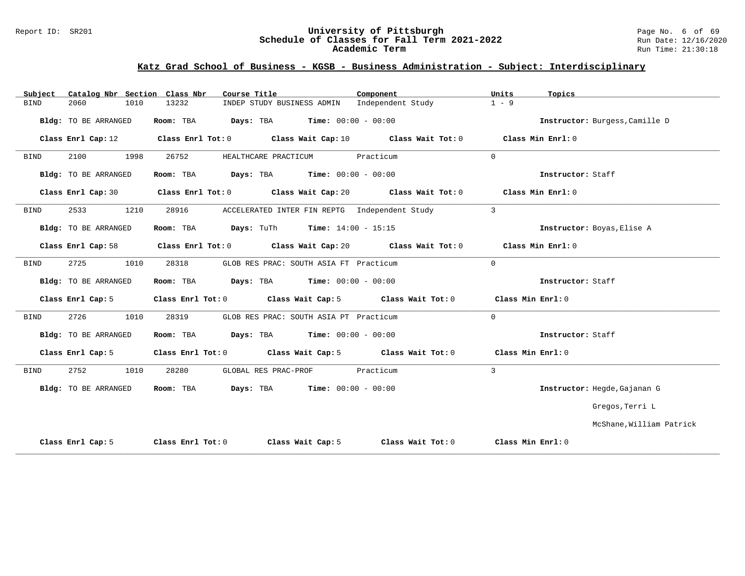#### Report ID: SR201 **University of Pittsburgh** Page No. 6 of 69 **Schedule of Classes for Fall Term 2021-2022** Run Date: 12/16/2020 **Academic Term** Run Time: 21:30:18

| Catalog Nbr Section Class Nbr<br>Subject | Course Title                                                                                | Component         | Units<br>Topics                |
|------------------------------------------|---------------------------------------------------------------------------------------------|-------------------|--------------------------------|
| 2060<br>1010<br><b>BIND</b>              | 13232<br>INDEP STUDY BUSINESS ADMIN                                                         | Independent Study | $1 - 9$                        |
| Bldg: TO BE ARRANGED                     | Room: TBA $Days:$ TBA $Time: 00:00 - 00:00$                                                 |                   | Instructor: Burgess, Camille D |
|                                          | Class Enrl Cap: 12 Class Enrl Tot: 0 Class Wait Cap: 10 Class Wait Tot: 0 Class Min Enrl: 0 |                   |                                |
| 2100<br>1998<br>BIND                     | 26752<br>HEALTHCARE PRACTICUM                                                               | Practicum         | $\Omega$                       |
| Bldg: TO BE ARRANGED                     | Room: TBA $Days:$ TBA $Time: 00:00 - 00:00$                                                 |                   | Instructor: Staff              |
|                                          | Class Enrl Cap: 30 Class Enrl Tot: 0 Class Wait Cap: 20 Class Wait Tot: 0 Class Min Enrl: 0 |                   |                                |
| 2533<br>1210<br>BIND                     | 28916<br>ACCELERATED INTER FIN REPTG Independent Study                                      |                   | $\overline{3}$                 |
| Bldg: TO BE ARRANGED                     | Room: TBA $Days: Tuth$ Time: $14:00 - 15:15$                                                |                   | Instructor: Boyas, Elise A     |
|                                          | Class Enrl Cap: 58 Class Enrl Tot: 0 Class Wait Cap: 20 Class Wait Tot: 0 Class Min Enrl: 0 |                   |                                |
| 2725<br>1010<br>BIND                     | 28318<br>GLOB RES PRAC: SOUTH ASIA FT Practicum                                             |                   | $\Omega$                       |
| Bldg: TO BE ARRANGED                     | Room: TBA $Days:$ TBA $Time: 00:00 - 00:00$                                                 |                   | Instructor: Staff              |
| Class Enrl Cap: 5                        | Class Enrl Tot: 0 Class Wait Cap: 5 Class Wait Tot: 0 Class Min Enrl: 0                     |                   |                                |
| 2726<br>1010<br>BIND                     | 28319<br>GLOB RES PRAC: SOUTH ASIA PT Practicum                                             |                   | $\Omega$                       |
| Bldg: TO BE ARRANGED                     | Room: TBA $Days:$ TBA $Time: 00:00 - 00:00$                                                 |                   | Instructor: Staff              |
| Class Enrl Cap: 5                        | Class Enrl Tot: 0 Class Wait Cap: 5 Class Wait Tot: 0 Class Min Enrl: 0                     |                   |                                |
| 2752<br>BIND<br>1010                     | 28280<br>GLOBAL RES PRAC-PROF                                                               | Practicum         | 3                              |
| Bldg: TO BE ARRANGED                     | Room: TBA Days: TBA Time: $00:00 - 00:00$                                                   |                   | Instructor: Hegde, Gajanan G   |
|                                          |                                                                                             |                   | Gregos, Terri L                |
|                                          |                                                                                             |                   | McShane, William Patrick       |
| Class Enrl Cap: 5                        | Class Enrl Tot: $0$ Class Wait Cap: $5$ Class Wait Tot: $0$ Class Min Enrl: $0$             |                   |                                |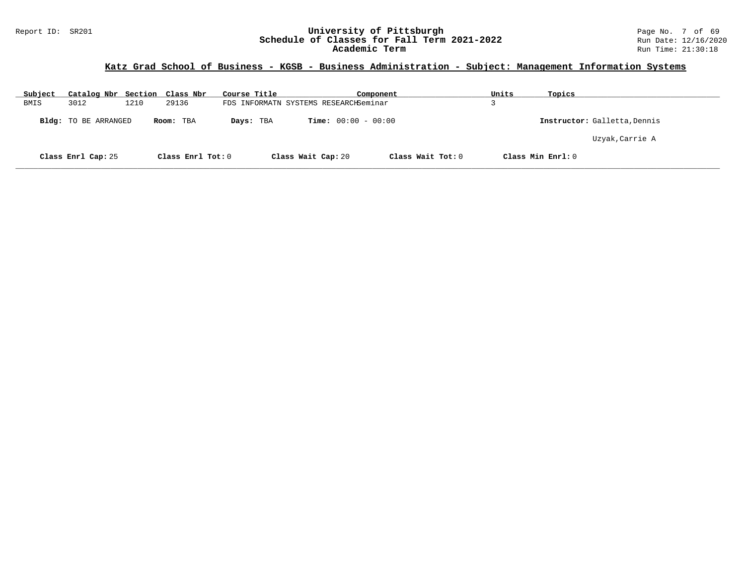## **Katz Grad School of Business - KGSB - Business Administration - Subject: Management Information Systems**

| Subject | Catalog Nbr Section Class Nbr |      |                   | Course Title |                                       | Component         | Units | Topics                       |
|---------|-------------------------------|------|-------------------|--------------|---------------------------------------|-------------------|-------|------------------------------|
| BMIS    | 3012                          | 1210 | 29136             |              | FDS INFORMATN SYSTEMS RESEARCHSeminar |                   |       |                              |
|         | <b>Bldg:</b> TO BE ARRANGED   |      | Room: TBA         | Days: TBA    | <b>Time:</b> $00:00 - 00:00$          |                   |       | Instructor: Galletta, Dennis |
|         |                               |      |                   |              |                                       |                   |       | Uzyak, Carrie A              |
|         | Class Enrl Cap: 25            |      | Class Enrl Tot: 0 |              | Class Wait Cap: 20                    | Class Wait Tot: 0 |       | Class Min Enrl: 0            |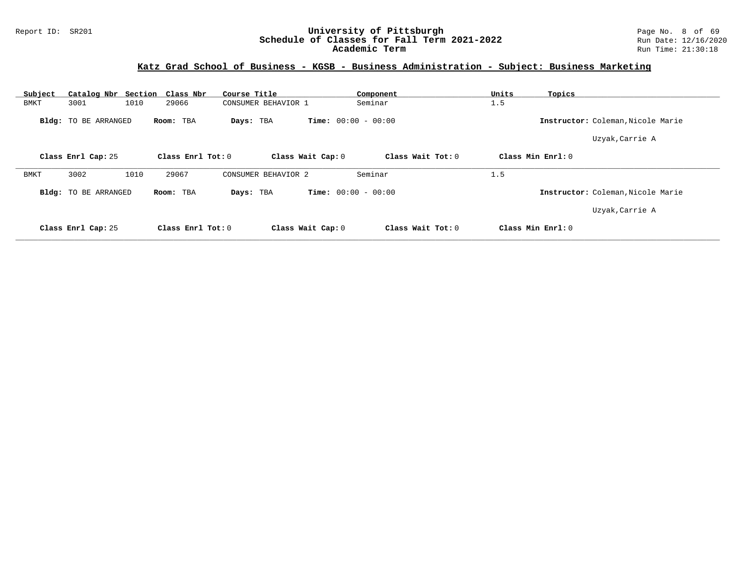| Subject     | Catalog Nbr Section Class Nbr |                     | Course Title        | Component                    | Units<br>Topics                   |  |
|-------------|-------------------------------|---------------------|---------------------|------------------------------|-----------------------------------|--|
| <b>BMKT</b> | 3001<br>1010                  | 29066               | CONSUMER BEHAVIOR 1 | Seminar                      | 1.5                               |  |
|             | <b>Bldg:</b> TO BE ARRANGED   | Room: TBA           | Days: TBA           | <b>Time:</b> $00:00 - 00:00$ | Instructor: Coleman, Nicole Marie |  |
|             |                               |                     |                     |                              | Uzyak, Carrie A                   |  |
|             | Class Enrl Cap: 25            | Class Enrl Tot: $0$ | Class Wait Cap: 0   | Class Wait $Tot: 0$          | Class Min $Enrl: 0$               |  |
| BMKT        | 3002<br>1010                  | 29067               | CONSUMER BEHAVIOR 2 | Seminar                      | 1.5                               |  |
|             | Bldg: TO BE ARRANGED          | Room: TBA           | Days: TBA           | <b>Time:</b> $00:00 - 00:00$ | Instructor: Coleman, Nicole Marie |  |
|             |                               |                     |                     |                              | Uzyak, Carrie A                   |  |
|             | Class Enrl Cap: 25            | Class Enrl Tot: 0   | Class Wait Cap: 0   | Class Wait Tot: 0            | Class Min Enrl: 0                 |  |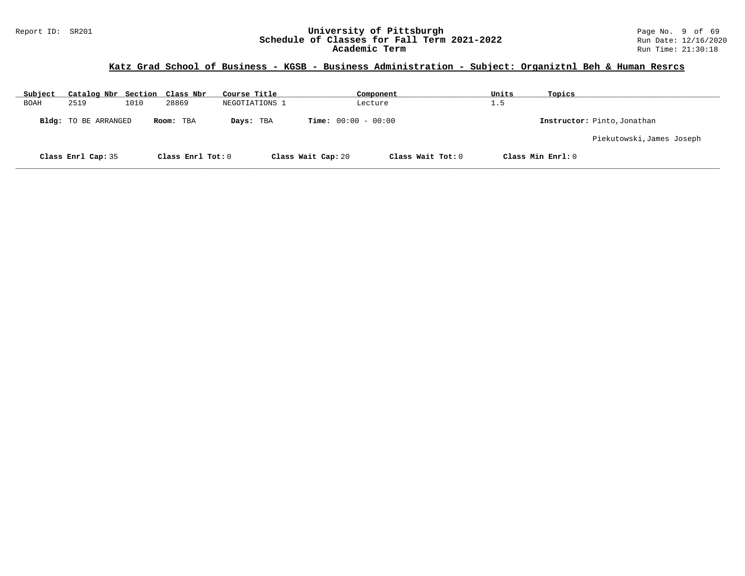## **Katz Grad School of Business - KGSB - Business Administration - Subject: Organiztnl Beh & Human Resrcs**

| Subject     | Catalog Nbr Section Class Nbr |      |                   | Course Title   |                              | Component         | Units | Topics                      |
|-------------|-------------------------------|------|-------------------|----------------|------------------------------|-------------------|-------|-----------------------------|
| <b>BOAH</b> | 2519                          | 1010 | 28869             | NEGOTIATIONS 1 |                              | Lecture           | 1.5   |                             |
|             | Bldg: TO BE ARRANGED          |      | Room: TBA         | Days: TBA      | <b>Time:</b> $00:00 - 00:00$ |                   |       | Instructor: Pinto, Jonathan |
|             |                               |      |                   |                |                              |                   |       | Piekutowski, James Joseph   |
|             | Class Enrl Cap: 35            |      | Class Enrl Tot: 0 |                | Class Wait Cap: 20           | Class Wait Tot: 0 |       | Class Min Enrl: 0           |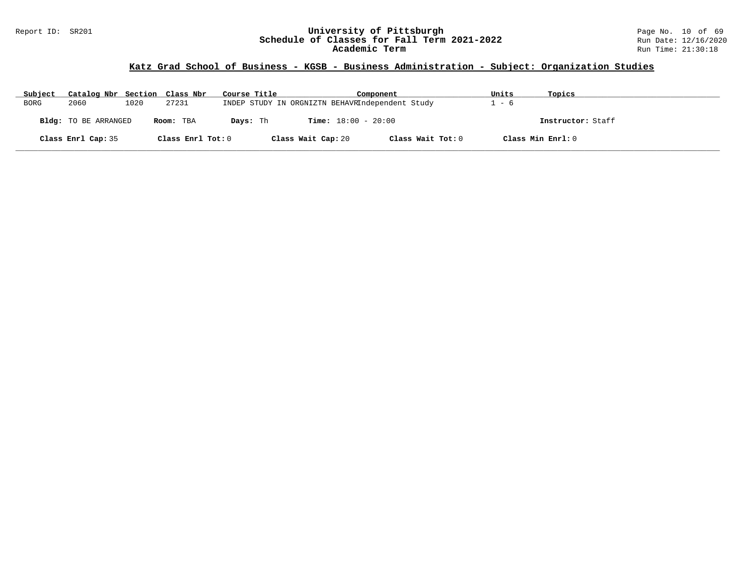#### Report ID: SR201 **University of Pittsburgh** Page No. 10 of 69 **Schedule of Classes for Fall Term 2021-2022** Run Date: 12/16/2020 **Academic Term** Run Time: 21:30:18

## **Katz Grad School of Business - KGSB - Business Administration - Subject: Organization Studies**

| Subject     | Catalog Nbr Section Class Nbr |      |                   | Course Title |                                                 | Component         | Units | Topics            |
|-------------|-------------------------------|------|-------------------|--------------|-------------------------------------------------|-------------------|-------|-------------------|
| <b>BORG</b> | 2060                          | 1020 | 27231             |              | INDEP STUDY IN ORGNIZTN BEHAVRIndependent Study |                   | - 6   |                   |
|             | Bldg: TO BE ARRANGED          |      | Room: TBA         | Davs: Th     | <b>Time:</b> $18:00 - 20:00$                    |                   |       | Instructor: Staff |
|             | Class Enrl Cap: 35            |      | Class Enrl Tot: 0 |              | Class Wait Cap: 20                              | Class Wait Tot: 0 |       | Class Min Enrl: 0 |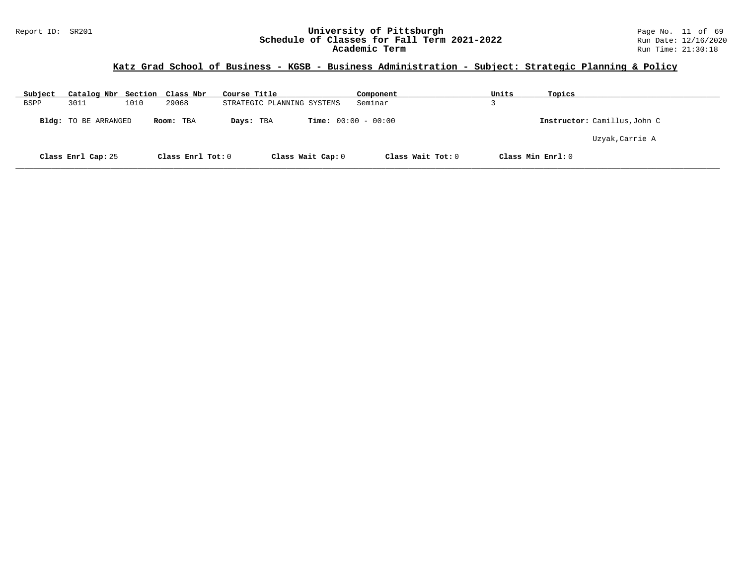#### Report ID: SR201 **University of Pittsburgh** Page No. 11 of 69 **Schedule of Classes for Fall Term 2021-2022** Run Date: 12/16/2020 **Academic Term** Run Time: 21:30:18

## **Katz Grad School of Business - KGSB - Business Administration - Subject: Strategic Planning & Policy**

| Subject | Catalog Nbr Section Class Nbr |      |                   | Course Title               |                              | Component         | Units             | Topics                       |
|---------|-------------------------------|------|-------------------|----------------------------|------------------------------|-------------------|-------------------|------------------------------|
| BSPP    | 3011                          | 1010 | 29068             | STRATEGIC PLANNING SYSTEMS |                              | Seminar           |                   |                              |
|         | Bldg: TO BE ARRANGED          |      | Room: TBA         | Days: TBA                  | <b>Time:</b> $00:00 - 00:00$ |                   |                   | Instructor: Camillus, John C |
|         |                               |      |                   |                            |                              |                   |                   | Uzyak, Carrie A              |
|         | Class Enrl Cap: 25            |      | Class Enrl Tot: 0 |                            | Class Wait Cap: 0            | Class Wait Tot: 0 | Class Min Enrl: 0 |                              |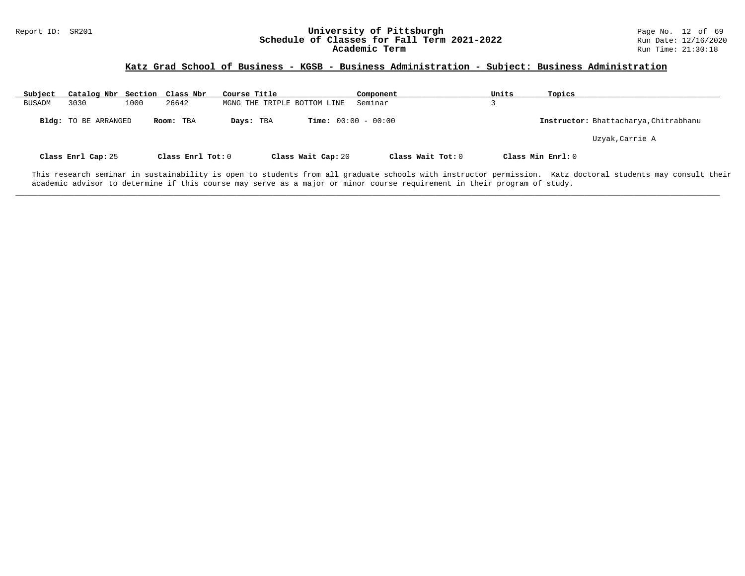## **Katz Grad School of Business - KGSB - Business Administration - Subject: Business Administration**

| Subject | Catalog Nbr Section         |      | Class Nbr         | Course Title                              | Component         | Units             | Topics                                |
|---------|-----------------------------|------|-------------------|-------------------------------------------|-------------------|-------------------|---------------------------------------|
| BUSADM  | 3030                        | 1000 | 26642             | MGNG THE TRIPLE BOTTOM LINE               | Seminar           |                   |                                       |
|         | <b>Bldg:</b> TO BE ARRANGED |      | Room: TBA         | <b>Time:</b> $00:00 - 00:00$<br>Days: TBA |                   |                   | Instructor: Bhattacharya, Chitrabhanu |
|         |                             |      |                   |                                           |                   |                   | Uzyak, Carrie A                       |
|         | Class Enrl Cap: 25          |      | Class Enrl Tot: 0 | Class Wait Cap: 20                        | Class Wait Tot: 0 | Class Min Enrl: 0 |                                       |

This research seminar in sustainability is open to students from all graduate schools with instructor permission. Katz doctoral students may consult their academic advisor to determine if this course may serve as a major or minor course requirement in their program of study.

**\_\_\_\_\_\_\_\_\_\_\_\_\_\_\_\_\_\_\_\_\_\_\_\_\_\_\_\_\_\_\_\_\_\_\_\_\_\_\_\_\_\_\_\_\_\_\_\_\_\_\_\_\_\_\_\_\_\_\_\_\_\_\_\_\_\_\_\_\_\_\_\_\_\_\_\_\_\_\_\_\_\_\_\_\_\_\_\_\_\_\_\_\_\_\_\_\_\_\_\_\_\_\_\_\_\_\_\_\_\_\_\_\_\_\_\_\_\_\_\_\_\_\_\_\_\_\_\_\_\_\_\_\_\_\_\_\_\_\_\_\_\_\_\_\_\_\_\_\_\_\_\_\_\_\_\_**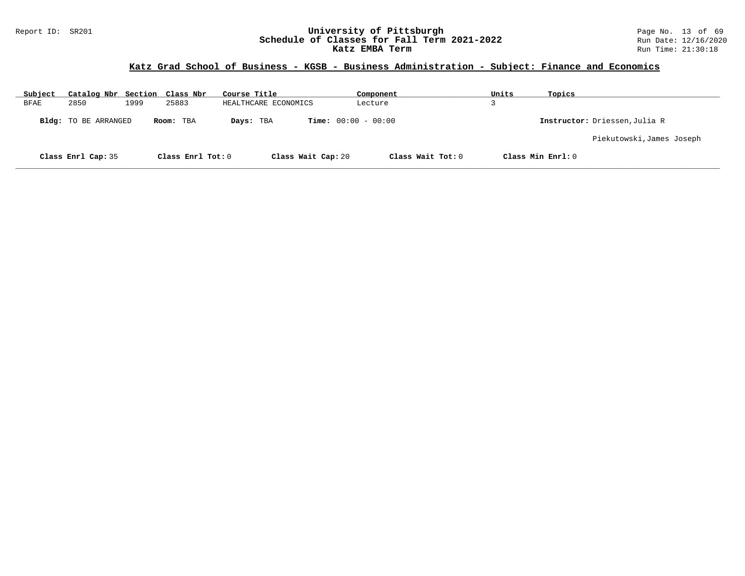#### Report ID: SR201 **University of Pittsburgh University of Pittsburgh** Page No. 13 of 69<br>**Schedule of Classes for Fall Term 2021-2022** Run Date: 12/16/2020 **Schedule of Classes for Fall Term 2021-2022** Run Date: 12/16/2020 **Katz EMBA Term Run Time: 21:30:18**

## **Katz Grad School of Business - KGSB - Business Administration - Subject: Finance and Economics**

| Subject | Catalog Nbr Section Class Nbr |      |                   | Course Title         |                              | Component         | Units | Topics                        |
|---------|-------------------------------|------|-------------------|----------------------|------------------------------|-------------------|-------|-------------------------------|
| BFAE    | 2850                          | 1999 | 25883             | HEALTHCARE ECONOMICS |                              | Lecture           |       |                               |
|         | Bldg: TO BE ARRANGED          |      | Room: TBA         | Days: TBA            | <b>Time:</b> $00:00 - 00:00$ |                   |       | Instructor: Driessen, Julia R |
|         |                               |      |                   |                      |                              |                   |       | Piekutowski,James Joseph      |
|         | Class Enrl Cap: 35            |      | Class Enrl Tot: 0 |                      | Class Wait Cap: 20           | Class Wait Tot: 0 |       | Class Min Enrl: 0             |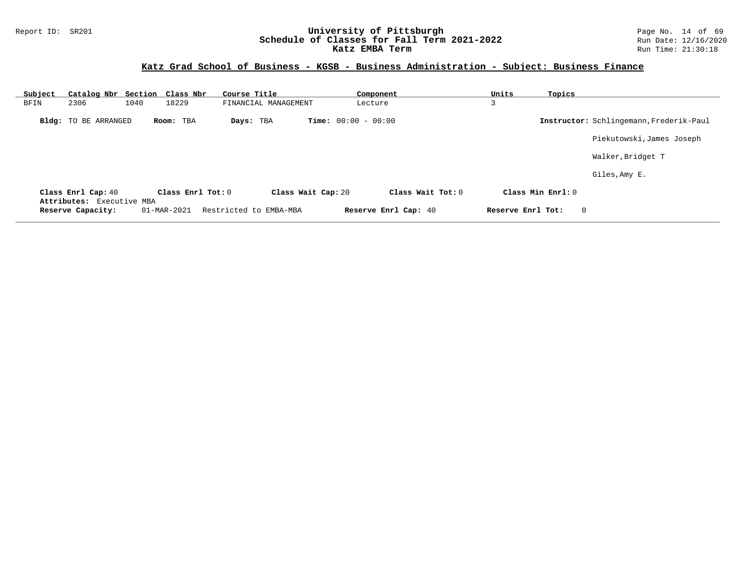#### Report ID: SR201 **1988 Construment Superversity of Pittsburgh** Page No. 14 of 69<br>**Schedule of Classes for Fall Term 2021-2022** 2011 Page No. 14 of 69 Page No. 14 of 69 Page No. 14 of 69 Page No **Schedule of Classes for Fall Term 2021-2022** Run Date: 12/16/2020 **Katz EMBA Term Run Time: 21:30:18**

| Subject |                                                 | Catalog Nbr Section Class Nbr | Course Title           | Component                    | Units<br>Topics   |                                         |
|---------|-------------------------------------------------|-------------------------------|------------------------|------------------------------|-------------------|-----------------------------------------|
| BFIN    | 2306                                            | 18229<br>1040                 | FINANCIAL MANAGEMENT   | Lecture                      | 3                 |                                         |
|         | <b>Bldg:</b> TO BE ARRANGED                     | Room: TBA                     | Days: TBA              | <b>Time:</b> $00:00 - 00:00$ |                   | Instructor: Schlingemann, Frederik-Paul |
|         |                                                 |                               |                        |                              |                   | Piekutowski, James Joseph               |
|         |                                                 |                               |                        |                              |                   | Walker, Bridget T                       |
|         |                                                 |                               |                        |                              |                   | Giles, Amy E.                           |
|         | Class Enrl Cap: 40<br>Attributes: Executive MBA | Class Enrl Tot: $0$           | Class Wait Cap: 20     | Class Wait Tot: $0$          | Class Min Enrl: 0 |                                         |
|         | Reserve Capacity:                               | 01-MAR-2021                   | Restricted to EMBA-MBA | Reserve Enrl Cap: 40         | Reserve Enrl Tot: | $\overline{0}$                          |
|         |                                                 |                               |                        |                              |                   |                                         |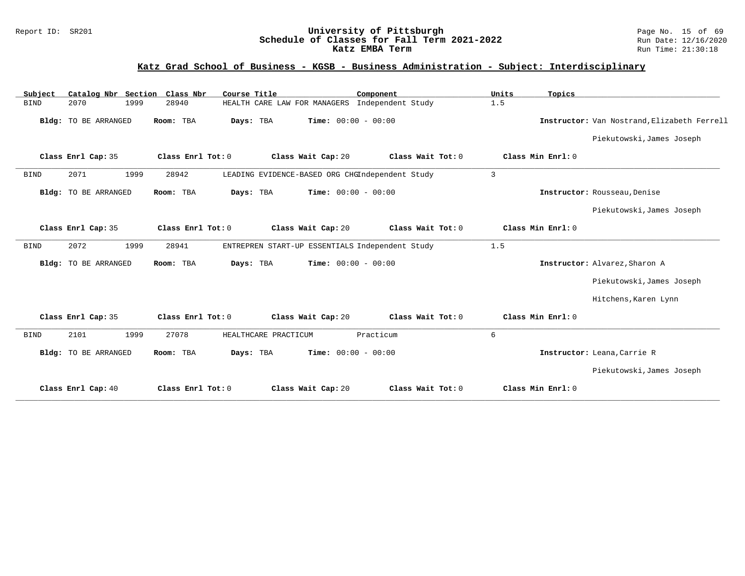#### Report ID: SR201 **University of Pittsburgh** Page No. 15 of 69 **Schedule of Classes for Fall Term 2021-2022** Run Date: 12/16/2020 **Katz EMBA Term Run Time: 21:30:18**

| Catalog Nbr Section Class Nbr<br>Subject | Course Title                                             | Component                    | Units<br>Topics   |                                             |
|------------------------------------------|----------------------------------------------------------|------------------------------|-------------------|---------------------------------------------|
| 1999<br>2070<br><b>BIND</b>              | 28940<br>HEALTH CARE LAW FOR MANAGERS Independent Study  | 1.5                          |                   |                                             |
| <b>Bldg:</b> TO BE ARRANGED              | Room: TBA<br>Days: TBA                                   | Time: $00:00 - 00:00$        |                   | Instructor: Van Nostrand, Elizabeth Ferrell |
|                                          |                                                          |                              |                   | Piekutowski, James Joseph                   |
| Class Enrl Cap: 35                       | Class Enrl Tot: 0<br>Class Wait Cap: 20                  | Class Wait Tot: 0            | Class Min Enrl: 0 |                                             |
| 2071<br>1999<br><b>BIND</b>              | LEADING EVIDENCE-BASED ORG CHGIndependent Study<br>28942 | $\mathbf{3}$                 |                   |                                             |
| Bldg: TO BE ARRANGED                     | Room: TBA<br>Days: TBA                                   | Time: $00:00 - 00:00$        |                   | Instructor: Rousseau, Denise                |
|                                          |                                                          |                              |                   | Piekutowski, James Joseph                   |
| Class Enrl Cap: 35                       | Class Enrl Tot: 0<br>Class Wait Cap: 20                  | Class Wait Tot: 0            | Class Min Enrl: 0 |                                             |
| 2072<br>1999<br><b>BIND</b>              | ENTREPREN START-UP ESSENTIALS Independent Study<br>28941 | 1.5                          |                   |                                             |
| Bldg: TO BE ARRANGED                     | Days: TBA<br>Room: TBA                                   | Time: $00:00 - 00:00$        |                   | Instructor: Alvarez, Sharon A               |
|                                          |                                                          |                              |                   | Piekutowski, James Joseph                   |
|                                          |                                                          |                              |                   | Hitchens, Karen Lynn                        |
| Class Enrl Cap: 35                       | Class Enrl Tot: 0<br>Class Wait Cap: 20                  | Class Wait Tot: 0            | Class Min Enrl: 0 |                                             |
| 2101<br>1999<br><b>BIND</b>              | 27078<br>HEALTHCARE PRACTICUM                            | Practicum<br>6               |                   |                                             |
| Bldg: TO BE ARRANGED                     | Days: TBA<br>Room: TBA                                   | <b>Time:</b> $00:00 - 00:00$ |                   | Instructor: Leana, Carrie R                 |
|                                          |                                                          |                              |                   | Piekutowski, James Joseph                   |
| Class Enrl Cap: 40                       | Class Enrl Tot: 0<br>Class Wait Cap: 20                  | Class Wait Tot: 0            | Class Min Enrl: 0 |                                             |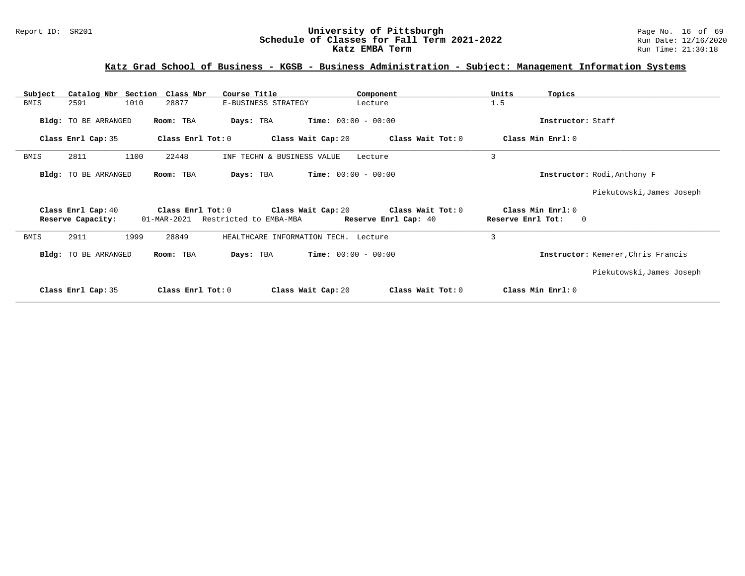## **Katz Grad School of Business - KGSB - Business Administration - Subject: Management Information Systems**

| Subject |                      | Catalog Nbr Section Class Nbr | Course Title                         | Component                                                    | Units<br>Topics                               |                                    |
|---------|----------------------|-------------------------------|--------------------------------------|--------------------------------------------------------------|-----------------------------------------------|------------------------------------|
| BMIS    | 2591                 | 1010<br>28877                 | E-BUSINESS STRATEGY                  | Lecture                                                      | 1.5                                           |                                    |
|         | Bldg: TO BE ARRANGED | Room: TBA                     | Days: TBA                            | $Time: 00:00 - 00:00$                                        | Instructor: Staff                             |                                    |
|         | Class Enrl Cap: 35   | Class Enrl Tot: 0             | Class Wait Cap: 20                   | Class Wait Tot: 0                                            | Class Min Enrl: 0                             |                                    |
| BMIS    | 2811                 | 1100<br>22448                 | INF TECHN & BUSINESS VALUE           | Lecture                                                      | 3                                             |                                    |
|         | Bldg: TO BE ARRANGED | Room: TBA                     | Days: TBA                            | <b>Time:</b> $00:00 - 00:00$                                 |                                               | Instructor: Rodi, Anthony F        |
|         |                      |                               |                                      |                                                              |                                               | Piekutowski, James Joseph          |
|         | Class Enrl Cap: 40   |                               |                                      | Class Enrl Tot: $0$ Class Wait Cap: $20$ Class Wait Tot: $0$ | Class Min Enrl: 0                             |                                    |
|         | Reserve Capacity:    | 01-MAR-2021                   | Restricted to EMBA-MBA               | Reserve Enrl Cap: 40                                         | Reserve Enrl Tot:<br>$\overline{\phantom{0}}$ |                                    |
| BMIS    | 2911                 | 1999<br>28849                 | HEALTHCARE INFORMATION TECH. Lecture |                                                              | 3                                             |                                    |
|         | Bldg: TO BE ARRANGED | Room: TBA                     | Days: TBA                            | <b>Time:</b> $00:00 - 00:00$                                 |                                               | Instructor: Kemerer, Chris Francis |
|         |                      |                               |                                      |                                                              |                                               | Piekutowski, James Joseph          |
|         | Class Enrl Cap: 35   | Class Enrl Tot: 0             | Class Wait Cap: 20                   | Class Wait Tot: 0                                            | Class Min Enrl: 0                             |                                    |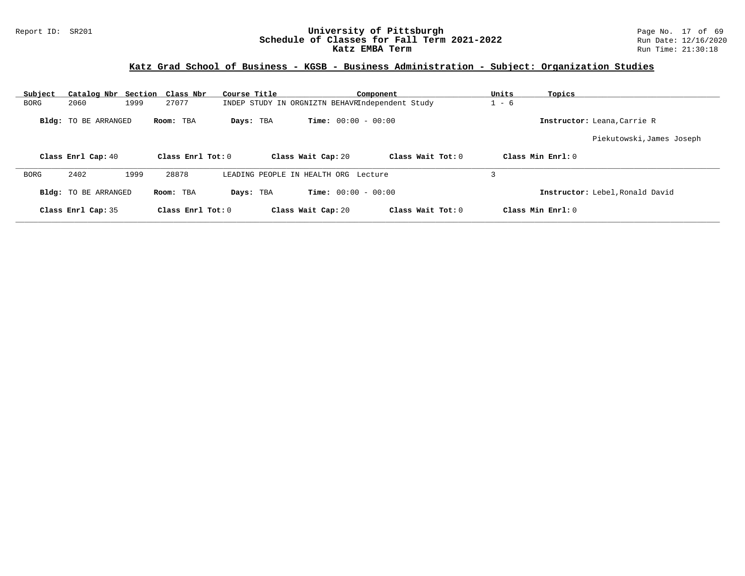#### Report ID: SR201 **1988 Mage 19: SR201 University of Pittsburgh** Page No. 17 of 69<br>**Schedule of Classes for Fall Term 2021-2022** 2011 Page 12/16/2020 **Schedule of Classes for Fall Term 2021-2022** Run Date: 12/16/2020 **Katz EMBA Term Run Time: 21:30:18**

## **Katz Grad School of Business - KGSB - Business Administration - Subject: Organization Studies**

| Subject     | Catalog Nbr Section Class Nbr |      |                     | Course Title                                    |                              | Component         | Units   | Topics                          |
|-------------|-------------------------------|------|---------------------|-------------------------------------------------|------------------------------|-------------------|---------|---------------------------------|
| <b>BORG</b> | 2060                          | 1999 | 27077               | INDEP STUDY IN ORGNIZTN BEHAVRIndependent Study |                              |                   | $1 - 6$ |                                 |
|             | Bldg: TO BE ARRANGED          |      | Room: TBA           | Days: TBA                                       | <b>Time:</b> $00:00 - 00:00$ |                   |         | Instructor: Leana, Carrie R     |
|             |                               |      |                     |                                                 |                              |                   |         | Piekutowski, James Joseph       |
|             | Class Enrl Cap: 40            |      | Class Enrl Tot: $0$ |                                                 | Class Wait Cap: 20           | Class Wait Tot: 0 |         | Class Min Enrl: 0               |
| <b>BORG</b> | 2402                          | 1999 | 28878               | LEADING PEOPLE IN HEALTH ORG Lecture            |                              |                   | 3       |                                 |
|             | Bldg: TO BE ARRANGED          |      | Room: TBA           | Days: TBA                                       | <b>Time:</b> $00:00 - 00:00$ |                   |         | Instructor: Lebel, Ronald David |
|             | Class Enrl Cap: 35            |      | Class Enrl Tot: 0   |                                                 | Class Wait Cap: 20           | Class Wait Tot: 0 |         | Class Min Enrl: 0               |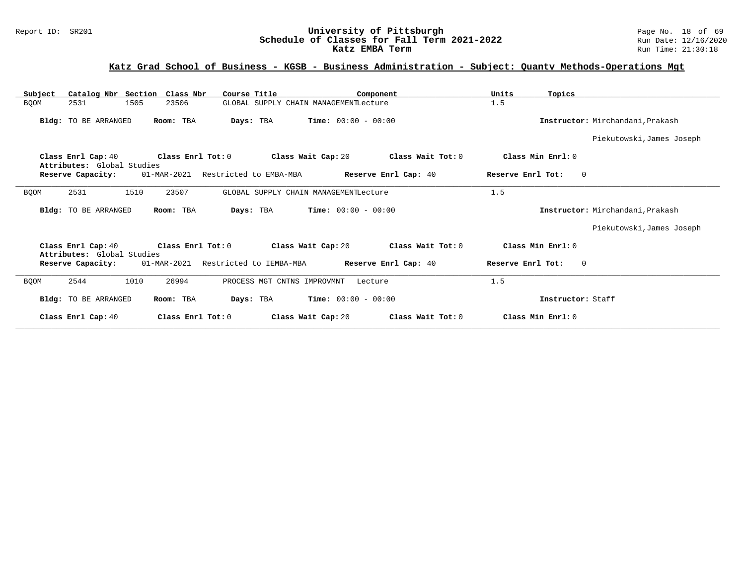#### Report ID: SR201 **University of Pittsburgh** Page No. 18 of 69 **Schedule of Classes for Fall Term 2021-2022** Run Date: 12/16/2020 **Katz EMBA Term Run Time: 21:30:18**

## **Katz Grad School of Business - KGSB - Business Administration - Subject: Quantv Methods-Operations Mgt**

| Catalog Nbr Section Class Nbr<br>Subject         | Course Title                           | Component                              | Units<br>Topics                        |                                  |
|--------------------------------------------------|----------------------------------------|----------------------------------------|----------------------------------------|----------------------------------|
| 1505<br><b>BQOM</b><br>2531                      | 23506                                  | GLOBAL SUPPLY CHAIN MANAGEMENTLecture  | 1.5                                    |                                  |
| Bldg: TO BE ARRANGED                             | Room: TBA<br>Days: TBA                 | <b>Time:</b> $00:00 - 00:00$           |                                        | Instructor: Mirchandani, Prakash |
|                                                  |                                        |                                        |                                        | Piekutowski, James Joseph        |
| Class Enrl Cap: 40<br>Attributes: Global Studies | Class Enrl Tot: 0                      | Class Wait Cap: 20                     | Class Min Enrl: 0<br>Class Wait Tot: 0 |                                  |
| Reserve Capacity:                                | 01-MAR-2021<br>Restricted to EMBA-MBA  | Reserve Enrl Cap: 40                   | $\Omega$<br>Reserve Enrl Tot:          |                                  |
| 2531<br>1510<br><b>BQOM</b>                      | 23507                                  | GLOBAL SUPPLY CHAIN MANAGEMENTLecture  | 1.5                                    |                                  |
| Bldg: TO BE ARRANGED                             | Room: TBA<br>Days: TBA                 | <b>Time:</b> $00:00 - 00:00$           |                                        | Instructor: Mirchandani, Prakash |
|                                                  |                                        |                                        |                                        | Piekutowski, James Joseph        |
| Class Enrl Cap: 40<br>Attributes: Global Studies | Class Enrl Tot: 0                      | Class Wait Cap: 20                     | Class Wait Tot: 0<br>Class Min Enrl: 0 |                                  |
| Reserve Capacity:                                | 01-MAR-2021<br>Restricted to IEMBA-MBA | Reserve Enrl Cap: 40                   | Reserve Enrl Tot:<br>$\Omega$          |                                  |
| 1010<br><b>BOOM</b><br>2544                      | 26994                                  | PROCESS MGT CNTNS IMPROVMNT<br>Lecture | 1.5                                    |                                  |
| Bldg: TO BE ARRANGED                             | Room: TBA<br>Days: TBA                 | <b>Time:</b> $00:00 - 00:00$           | Instructor: Staff                      |                                  |
| Class Enrl Cap: 40                               | Class Enrl Tot: 0                      | Class Wait Cap: 20                     | Class Wait Tot: 0<br>Class Min Enrl: 0 |                                  |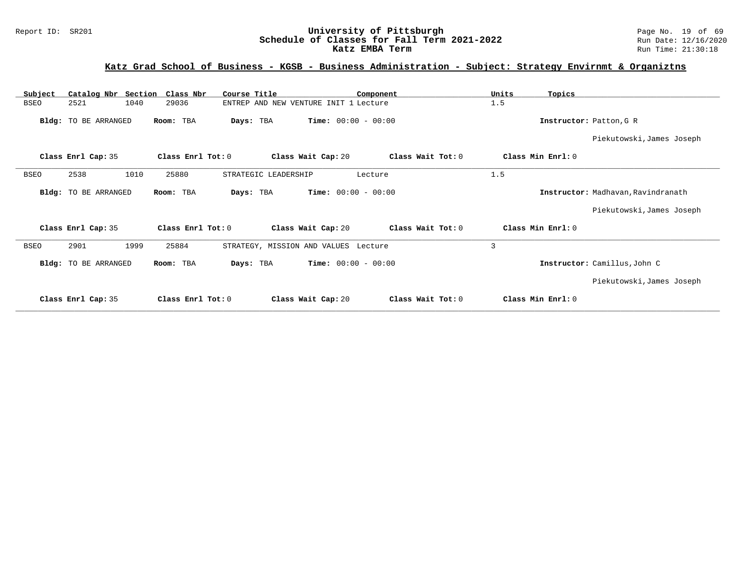# **Katz Grad School of Business - KGSB - Business Administration - Subject: Strategy Envirnmt & Organiztns**

| Subject     | Catalog Nbr Section  | Class Nbr         | Course Title                          |                              | Component         | Units | Topics            |                                    |
|-------------|----------------------|-------------------|---------------------------------------|------------------------------|-------------------|-------|-------------------|------------------------------------|
| <b>BSEO</b> | 2521<br>1040         | 29036             | ENTREP AND NEW VENTURE INIT 1 Lecture |                              |                   | 1.5   |                   |                                    |
|             | Bldg: TO BE ARRANGED | Room: TBA         | Days: TBA                             | <b>Time:</b> $00:00 - 00:00$ |                   |       |                   | Instructor: Patton, G R            |
|             |                      |                   |                                       |                              |                   |       |                   | Piekutowski, James Joseph          |
|             | Class Enrl Cap: 35   | Class Enrl Tot: 0 |                                       | Class Wait Cap: 20           | Class Wait Tot: 0 |       | Class Min Enrl: 0 |                                    |
| <b>BSEO</b> | 2538<br>1010         | 25880             | STRATEGIC LEADERSHIP                  |                              | Lecture           | 1.5   |                   |                                    |
|             | Bldg: TO BE ARRANGED | Room: TBA         | Days: TBA                             | <b>Time:</b> $00:00 - 00:00$ |                   |       |                   | Instructor: Madhavan, Ravindranath |
|             |                      |                   |                                       |                              |                   |       |                   | Piekutowski, James Joseph          |
|             | Class Enrl Cap: 35   | Class Enrl Tot: 0 |                                       | Class Wait Cap: 20           | Class Wait Tot: 0 |       | Class Min Enrl: 0 |                                    |
| <b>BSEO</b> | 2901<br>1999         | 25884             | STRATEGY, MISSION AND VALUES Lecture  |                              |                   | 3     |                   |                                    |
|             | Bldg: TO BE ARRANGED | Room: TBA         | Days: TBA                             | <b>Time:</b> $00:00 - 00:00$ |                   |       |                   | Instructor: Camillus, John C       |
|             |                      |                   |                                       |                              |                   |       |                   | Piekutowski, James Joseph          |
|             | Class Enrl Cap: 35   | Class Enrl Tot: 0 |                                       | Class Wait Cap: 20           | Class Wait Tot: 0 |       | Class Min Enrl: 0 |                                    |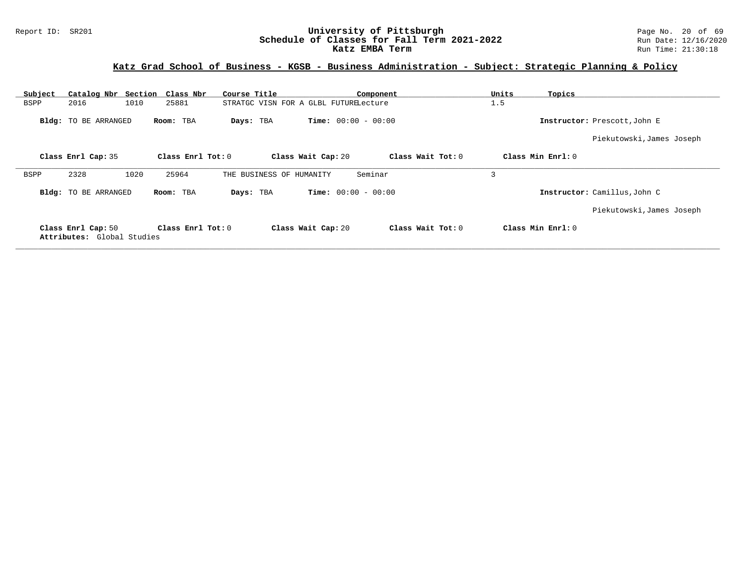#### Report ID: SR201 **University of Pittsburgh University of Pittsburgh** Page No. 20 of 69<br>**Schedule of Classes for Fall Term 2021-2022** Run Date: 12/16/2020 **Schedule of Classes for Fall Term 2021-2022** Run Date: 12/16/2020 **Katz EMBA Term Run Time: 21:30:18**

# **Katz Grad School of Business - KGSB - Business Administration - Subject: Strategic Planning & Policy**

| Subject |                                                  | Catalog Nbr Section Class Nbr | Course Title                          | Component                    |                   | Units             | Topics                       |
|---------|--------------------------------------------------|-------------------------------|---------------------------------------|------------------------------|-------------------|-------------------|------------------------------|
| BSPP    | 2016                                             | 1010<br>25881                 | STRATGC VISN FOR A GLBL FUTURELecture |                              |                   | 1.5               |                              |
|         | Bldg: TO BE ARRANGED                             | Room: TBA                     | Days: TBA                             | <b>Time:</b> $00:00 - 00:00$ |                   |                   | Instructor: Prescott, John E |
|         |                                                  |                               |                                       |                              |                   |                   | Piekutowski, James Joseph    |
|         | Class Enrl Cap: 35                               | Class Enrl Tot: 0             |                                       | Class Wait Cap: 20           | Class Wait Tot: 0 | Class Min Enrl: 0 |                              |
| BSPP    | 2328                                             | 1020<br>25964                 | THE BUSINESS OF HUMANITY              | Seminar                      |                   | 3                 |                              |
|         | Bldg: TO BE ARRANGED                             | Room: TBA                     | Days: TBA                             | <b>Time:</b> $00:00 - 00:00$ |                   |                   | Instructor: Camillus, John C |
|         |                                                  |                               |                                       |                              |                   |                   | Piekutowski, James Joseph    |
|         | Class Enrl Cap: 50<br>Attributes: Global Studies | Class Enrl Tot: $0$           |                                       | Class Wait Cap: 20           | Class Wait Tot: 0 | Class Min Enrl: 0 |                              |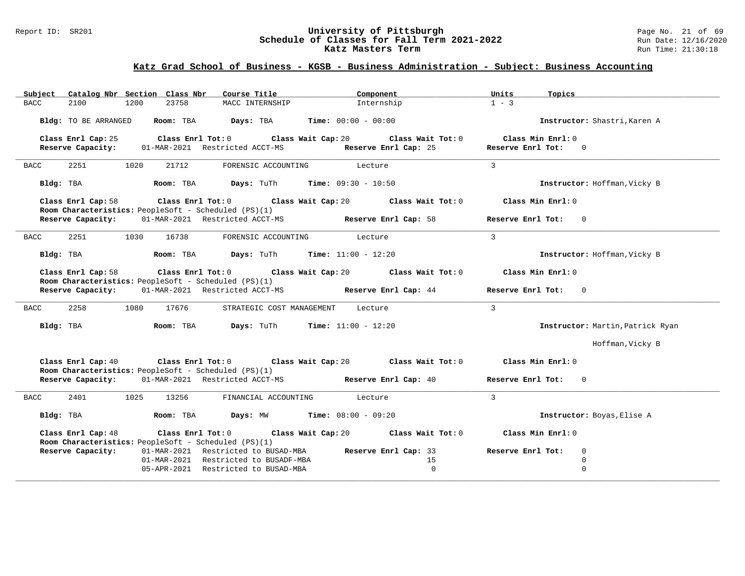#### Report ID: SR201 **University of Pittsburgh University of Pittsburgh** Page No. 21 of 69<br>**Schedule of Classes for Fall Term 2021-2022** Run Date: 12/16/2020 **Schedule of Classes for Fall Term 2021-2022** Run Date: 12/16/2021<br>**Katz Masters Term 2021-2022** Run Time: 21:30:18 **Katz Masters Term**

| Catalog Nbr Section Class Nbr<br>Subject                                   | Course Title                                   | Component                                                                      | Units<br>Topics                          |
|----------------------------------------------------------------------------|------------------------------------------------|--------------------------------------------------------------------------------|------------------------------------------|
| <b>BACC</b><br>2100<br>1200<br>23758                                       | MACC INTERNSHIP                                | Internship                                                                     | $1 - 3$                                  |
| Bldg: TO BE ARRANGED<br>Room: TBA                                          | Days: TBA                                      | $Time: 00:00 - 00:00$                                                          | Instructor: Shastri, Karen A             |
| Class Enrl Cap: 25<br>01-MAR-2021 Restricted ACCT-MS<br>Reserve Capacity:  |                                                | Class Enrl Tot: 0 Class Wait Cap: 20 Class Wait Tot: 0<br>Reserve Enrl Cap: 25 | Class Min Enrl: 0<br>Reserve Enrl Tot: 0 |
| 2251<br>1020<br>21712<br>BACC                                              | FORENSIC ACCOUNTING                            | Lecture                                                                        | $\overline{3}$                           |
| Bldg: TBA<br>Room: TBA                                                     | <b>Days:</b> TuTh <b>Time:</b> $09:30 - 10:50$ |                                                                                | Instructor: Hoffman, Vicky B             |
| Class Enrl Cap: 58<br>Room Characteristics: PeopleSoft - Scheduled (PS)(1) |                                                | Class Enrl Tot: $0$ Class Wait Cap: $20$ Class Wait Tot: $0$                   | Class Min Enrl: 0                        |
| Reserve Capacity:<br>01-MAR-2021 Restricted ACCT-MS                        |                                                | Reserve Enrl Cap: 58                                                           | Reserve Enrl Tot: 0                      |
| 2251<br><b>BACC</b><br>1030<br>16738                                       | FORENSIC ACCOUNTING Lecture                    |                                                                                | $\overline{3}$                           |
| Bldg: TBA<br>Room: TBA                                                     | <b>Days:</b> TuTh <b>Time:</b> $11:00 - 12:20$ |                                                                                | Instructor: Hoffman, Vicky B             |
| Class Enrl Cap: 58<br>Room Characteristics: PeopleSoft - Scheduled (PS)(1) |                                                | Class Enrl Tot: $0$ Class Wait Cap: $20$ Class Wait Tot: $0$                   | Class Min Enrl: 0                        |
| Reserve Capacity: 01-MAR-2021 Restricted ACCT-MS                           |                                                | Reserve Enrl Cap: 44                                                           | Reserve Enrl Tot: 0                      |
| 2258<br>17676<br>BACC<br>1080                                              | STRATEGIC COST MANAGEMENT                      | Lecture                                                                        | $\overline{3}$                           |
| Bldg: TBA<br>Room: TBA                                                     | <b>Days:</b> TuTh <b>Time:</b> $11:00 - 12:20$ |                                                                                | Instructor: Martin, Patrick Ryan         |
|                                                                            |                                                |                                                                                | Hoffman, Vicky B                         |
| Class Enrl Cap: 40<br>Room Characteristics: PeopleSoft - Scheduled (PS)(1) |                                                | Class Enrl Tot: $0$ Class Wait Cap: $20$ Class Wait Tot: $0$                   | Class Min Enrl: 0                        |
| 01-MAR-2021 Restricted ACCT-MS<br>Reserve Capacity:                        |                                                | Reserve Enrl Cap: 40                                                           | Reserve Enrl Tot: 0                      |
| 2401<br>1025<br>13256<br><b>BACC</b>                                       | FINANCIAL ACCOUNTING                           | Lecture                                                                        | $\mathbf{3}$                             |
| Bldg: TBA                                                                  | Room: TBA $Days: MW$ Time: $08:00 - 09:20$     |                                                                                | Instructor: Boyas, Elise A               |
| Class Enrl Cap: 48<br>Room Characteristics: PeopleSoft - Scheduled (PS)(1) |                                                | Class Enrl Tot: $0$ Class Wait Cap: $20$ Class Wait Tot: $0$                   | Class Min Enrl: 0                        |
| Reserve Capacity:                                                          | 01-MAR-2021 Restricted to BUSAD-MBA            | Reserve Enrl Cap: 33                                                           | Reserve Enrl Tot:<br>$\mathbf 0$         |
|                                                                            | 01-MAR-2021 Restricted to BUSADF-MBA           | 15                                                                             | $\Omega$                                 |
|                                                                            | 05-APR-2021 Restricted to BUSAD-MBA            | $\mathbf 0$                                                                    | $\mathbf 0$                              |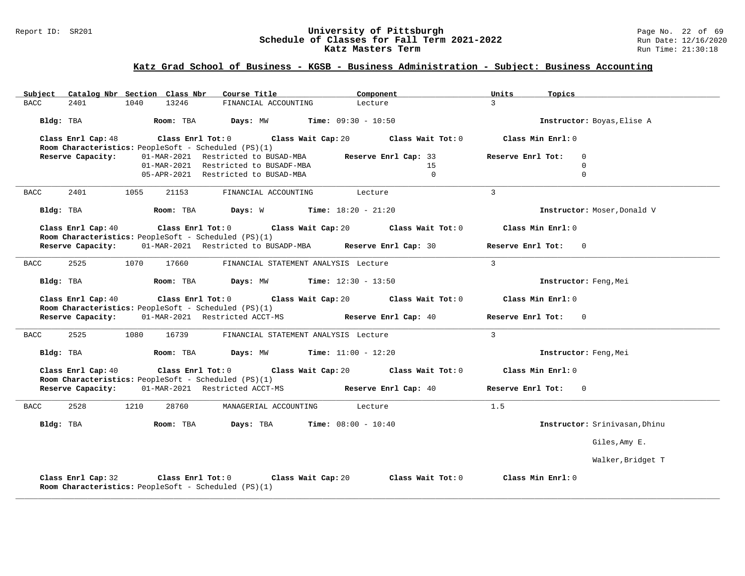#### Report ID: SR201 **1988 Mage 10: SR201 University of Pittsburgh** Page No. 22 of 69<br>**Schedule of Classes for Fall Term 2021-2022** 2011 Page 12/16/2020 **Schedule of Classes for Fall Term 2021-2022** Run Date: 12/16/2021<br>**Katz Masters Term 2021-2022** Run Time: 21:30:18 **Katz Masters Term**

| Subject Catalog Nbr Section Class Nbr                                             | Course Title                                                  | Component                                                    | Units<br>Topics               |
|-----------------------------------------------------------------------------------|---------------------------------------------------------------|--------------------------------------------------------------|-------------------------------|
| 13246<br><b>BACC</b><br>2401<br>1040                                              | FINANCIAL ACCOUNTING                                          | Lecture                                                      | $\mathcal{L}$                 |
| Bldg: TBA                                                                         | Room: TBA Days: MW                                            | $Time: 09:30 - 10:50$                                        | Instructor: Boyas, Elise A    |
| Class Enrl Cap: 48<br>Room Characteristics: PeopleSoft - Scheduled (PS)(1)        | Class Enrl Tot: 0 Class Wait Cap: 20                          | Class Wait Tot: 0                                            | Class Min Enrl: 0             |
| Reserve Capacity:                                                                 | 01-MAR-2021 Restricted to BUSAD-MBA                           | Reserve Enrl Cap: 33                                         | Reserve Enrl Tot:<br>$\Omega$ |
|                                                                                   | 01-MAR-2021 Restricted to BUSADF-MBA                          | 15                                                           | $\mathbf 0$                   |
|                                                                                   | 05-APR-2021 Restricted to BUSAD-MBA                           | $\Omega$                                                     | $\Omega$                      |
| 2401<br>1055<br><b>BACC</b><br>21153                                              | FINANCIAL ACCOUNTING Lecture                                  |                                                              | $\overline{3}$                |
| Bldg: TBA                                                                         | <b>Room:</b> TBA <b>Days:</b> W <b>Time:</b> $18:20 - 21:20$  |                                                              | Instructor: Moser, Donald V   |
| Class Enrl Cap: 40<br>Room Characteristics: PeopleSoft - Scheduled (PS)(1)        |                                                               | Class Enrl Tot: $0$ Class Wait Cap: $20$ Class Wait Tot: $0$ | Class Min Enrl: 0             |
| Reserve Capacity: 01-MAR-2021 Restricted to BUSADP-MBA Reserve Enrl Cap: 30       |                                                               |                                                              | Reserve Enrl Tot: 0           |
| 2525<br>1070<br>BACC<br>17660                                                     | FINANCIAL STATEMENT ANALYSIS Lecture                          |                                                              | $\overline{3}$                |
| Bldg: TBA                                                                         | <b>Room:</b> TBA <b>Days:</b> MW <b>Time:</b> $12:30 - 13:50$ |                                                              | Instructor: Feng, Mei         |
| Class Enrl Cap: 40<br>Room Characteristics: PeopleSoft - Scheduled (PS)(1)        |                                                               | Class Enrl Tot: $0$ Class Wait Cap: $20$ Class Wait Tot: $0$ | Class Min Enrl: 0             |
| Reserve Capacity: 01-MAR-2021 Restricted ACCT-MS                                  |                                                               | Reserve Enrl Cap: 40                                         | Reserve Enrl Tot: 0           |
| <b>BACC</b><br>2525<br>1080<br>16739                                              | FINANCIAL STATEMENT ANALYSIS Lecture                          |                                                              | $\mathcal{L}$                 |
| Bldg: TBA                                                                         | <b>Room:</b> TBA <b>Days:</b> MW <b>Time:</b> $11:00 - 12:20$ |                                                              | Instructor: Feng, Mei         |
| Class Enrl Cap: 40<br>Room Characteristics: PeopleSoft - Scheduled (PS)(1)        |                                                               | Class Enrl Tot: 0 Class Wait Cap: 20 Class Wait Tot: 0       | Class Min Enrl: 0             |
| <b>Reserve Capacity:</b> 01-MAR-2021 Restricted ACCT-MS                           |                                                               | Reserve Enrl Cap: 40                                         | Reserve Enrl Tot: 0           |
| 2528<br><b>BACC</b><br>1210<br>28760                                              | MANAGERIAL ACCOUNTING Lecture                                 |                                                              | 1.5                           |
| Bldg: TBA                                                                         | <b>Room:</b> TBA $Days:$ TBA $Time: 08:00 - 10:40$            |                                                              | Instructor: Srinivasan, Dhinu |
|                                                                                   |                                                               |                                                              | Giles, Amy E.                 |
|                                                                                   |                                                               |                                                              | Walker, Bridget T             |
| Class Enrl Cap: 32<br><b>Room Characteristics:</b> PeopleSoft - Scheduled (PS)(1) | Class Enrl Tot: 0 Class Wait Cap: 20                          | Class Wait Tot: 0                                            | Class Min Enrl: 0             |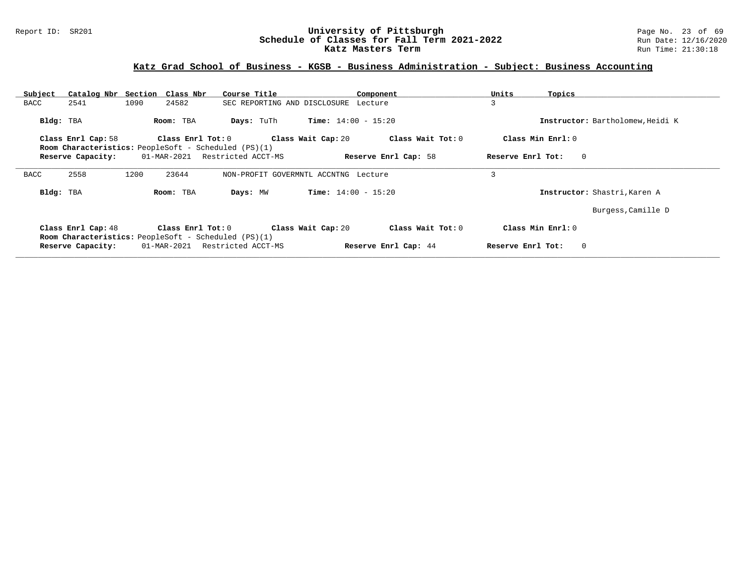#### Report ID: SR201 **1988 Mage 10: SR201 University of Pittsburgh** Page No. 23 of 69<br>**Schedule of Classes for Fall Term 2021-2022** 2011 Page 12/16/2020 **Schedule of Classes for Fall Term 2021-2022** Run Date: 12/16/2021<br>**Katz Masters Term 2021-2022** Run Time: 21:30:18 **Katz Masters Term**

| Subject   |                    | Catalog Nbr Section Class Nbr                                              |                         | Course Title       |                                      | Component                    |                      | Units             | Topics                           |
|-----------|--------------------|----------------------------------------------------------------------------|-------------------------|--------------------|--------------------------------------|------------------------------|----------------------|-------------------|----------------------------------|
| BACC      | 2541               | 1090                                                                       | 24582                   |                    | SEC REPORTING AND DISCLOSURE Lecture |                              |                      | 3                 |                                  |
| Bldg: TBA |                    | Room: TBA                                                                  |                         | Days: TuTh         |                                      | <b>Time:</b> $14:00 - 15:20$ |                      |                   | Instructor: Bartholomew, Heidi K |
|           | Class Enrl Cap: 58 |                                                                            | $Class$ $Enr1$ $Tot: 0$ |                    | Class Wait Cap: 20                   |                              | Class Wait Tot: 0    |                   | Class Min Enrl: 0                |
|           |                    | <b>Room Characteristics:</b> PeopleSoft - Scheduled (PS)(1)                |                         |                    |                                      |                              |                      |                   |                                  |
|           | Reserve Capacity:  | 01-MAR-2021                                                                |                         | Restricted ACCT-MS |                                      |                              | Reserve Enrl Cap: 58 | Reserve Enrl Tot: | $\overline{0}$                   |
| BACC      | 2558               | 1200                                                                       | 23644                   |                    | NON-PROFIT GOVERMNTL ACCNTNG Lecture |                              |                      | 3                 |                                  |
| Bldg: TBA |                    | Room: TBA                                                                  |                         | Days: MW           |                                      | <b>Time:</b> $14:00 - 15:20$ |                      |                   | Instructor: Shastri, Karen A     |
|           |                    |                                                                            |                         |                    |                                      |                              |                      |                   | Burgess, Camille D               |
|           | Class Enrl Cap: 48 |                                                                            | Class Enrl Tot: 0       |                    | Class Wait Cap: 20                   |                              | Class Wait Tot: 0    |                   | Class Min $Enrl: 0$              |
|           | Reserve Capacity:  | <b>Room Characteristics:</b> PeopleSoft - Scheduled (PS)(1)<br>01-MAR-2021 |                         | Restricted ACCT-MS |                                      |                              | Reserve Enrl Cap: 44 | Reserve Enrl Tot: | $\mathbf{0}$                     |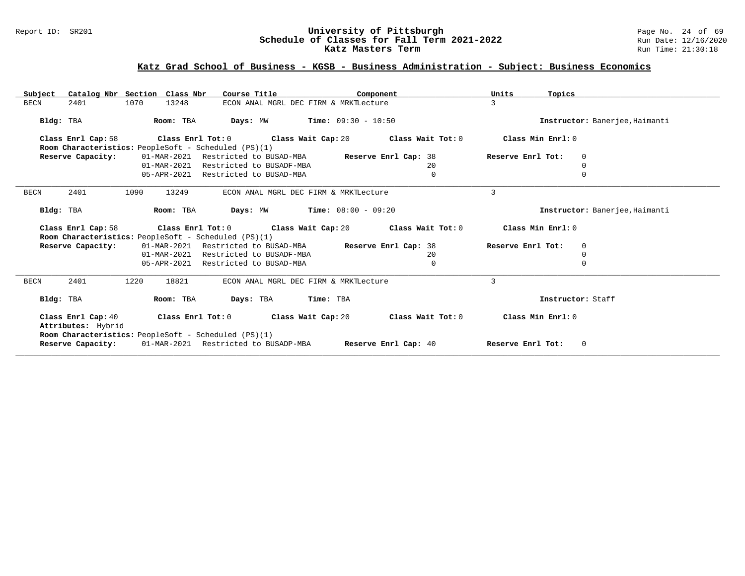#### Report ID: SR201 **University of Pittsburgh** Page No. 24 of 69 **Schedule of Classes for Fall Term 2021-2022** Run Date: 12/16/2020 **Katz Masters Term Run Time: 21:30:18** Run Time: 21:30:18

| Catalog Nbr Section Class Nbr<br>Subject                                                                                   | Course Title<br>Component             |                                               | Units<br>Topics   |                                |  |  |
|----------------------------------------------------------------------------------------------------------------------------|---------------------------------------|-----------------------------------------------|-------------------|--------------------------------|--|--|
| 1070<br><b>BECN</b><br>2401<br>13248                                                                                       | ECON ANAL MGRL DEC FIRM & MRKTLecture |                                               | 3                 |                                |  |  |
| Room: TBA<br>Bldg: TBA                                                                                                     | Days: MW                              | $Time: 09:30 - 10:50$                         |                   | Instructor: Banerjee, Haimanti |  |  |
| Class Enrl Cap: 58<br>$\texttt{Class}$ $\texttt{Enrl}$ Tot: $0$ $\texttt{Class }$ Wait $\texttt{Cap:} 20$                  | Class Wait Tot: 0                     | Class Min Enrl: 0                             |                   |                                |  |  |
| Room Characteristics: PeopleSoft - Scheduled (PS)(1)                                                                       |                                       |                                               |                   |                                |  |  |
| Reserve Capacity:<br>01-MAR-2021                                                                                           | Restricted to BUSAD-MBA               | Reserve Enrl Cap: 38                          | Reserve Enrl Tot: | $\Omega$                       |  |  |
|                                                                                                                            | 01-MAR-2021 Restricted to BUSADF-MBA  | 20                                            |                   |                                |  |  |
|                                                                                                                            | 05-APR-2021 Restricted to BUSAD-MBA   | $\mathbf 0$                                   |                   | $\Omega$                       |  |  |
| <b>BECN</b><br>2401<br>1090<br>13249                                                                                       | ECON ANAL MGRL DEC FIRM & MRKTLecture |                                               | 3                 |                                |  |  |
| Bldg: TBA<br>Room: TBA                                                                                                     | $Time: 08:00 - 09:20$<br>Days: MW     |                                               |                   |                                |  |  |
| Class Enrl Cap: 58<br>Class Enrl Tot: 0<br>Room Characteristics: PeopleSoft - Scheduled (PS)(1)                            |                                       | Class Wait Cap: 20 $\qquad$ Class Wait Tot: 0 | Class Min Enrl: 0 |                                |  |  |
| Reserve Capacity:                                                                                                          | 01-MAR-2021 Restricted to BUSAD-MBA   | Reserve Enrl Cap: 38                          | Reserve Enrl Tot: | $\Omega$                       |  |  |
| 01-MAR-2021                                                                                                                | Restricted to BUSADF-MBA              | 20                                            |                   | $\cap$                         |  |  |
|                                                                                                                            | 05-APR-2021 Restricted to BUSAD-MBA   | $\mathbf 0$                                   |                   | $\Omega$                       |  |  |
| 2401<br><b>BECN</b><br>1220<br>18821                                                                                       | ECON ANAL MGRL DEC FIRM & MRKTLecture |                                               | 3                 |                                |  |  |
| Bldg: TBA<br>Room: TBA                                                                                                     | Days: TBA<br>Time: TBA                |                                               |                   | Instructor: Staff              |  |  |
| Class Wait Tot: 0<br>Class Min Enrl: 0<br>Class Enrl Cap: 40<br>Class Enrl Tot: 0 Class Wait Cap: 20<br>Attributes: Hybrid |                                       |                                               |                   |                                |  |  |
| Room Characteristics: PeopleSoft - Scheduled (PS)(1)<br>Reserve Capacity:                                                  | 01-MAR-2021 Restricted to BUSADP-MBA  | Reserve Enrl Cap: 40                          | Reserve Enrl Tot: | $\mathbf{0}$                   |  |  |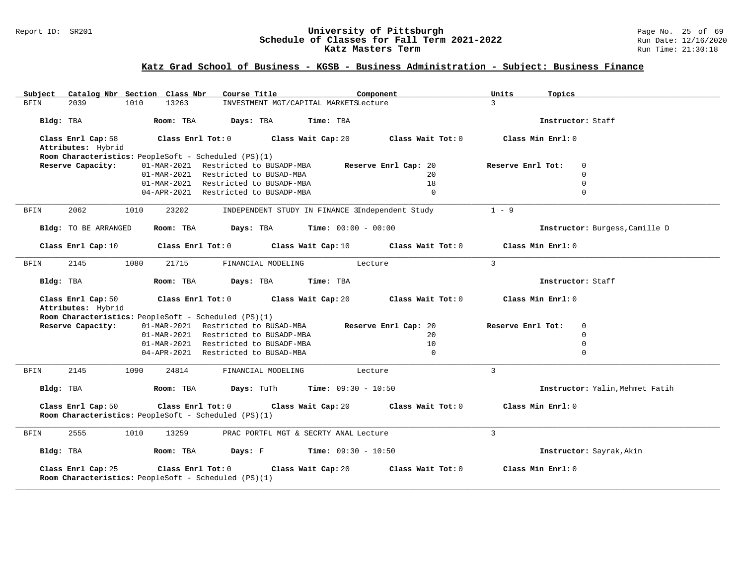#### Report ID: SR201 **1988 Constrained Building Constrained Building Constrained Building Page No. 25 of 69 Report ID: SR201 Page No. 25 of 69 Building Page No. 25 of 69 Building Page No. 25 of 69 Building Page No. 25 of 69 Bu Schedule of Classes for Fall Term 2021-2022** Run Date: 12/16/2021<br>**Katz Masters Term 2021-2022** Run Time: 21:30:18 **Katz Masters Term**

| Catalog Nbr Section Class Nbr<br>Subject                                                        | Course Title<br>Component                                    | Units<br>Topics                  |
|-------------------------------------------------------------------------------------------------|--------------------------------------------------------------|----------------------------------|
| 1010<br>13263<br><b>BFIN</b><br>2039                                                            | INVESTMENT MGT/CAPITAL MARKETSLecture                        | $\mathcal{L}$                    |
| Bldg: TBA<br>Room: TBA                                                                          | Days: TBA<br>Time: TBA                                       | Instructor: Staff                |
| Class Enrl Cap: 58<br>Class Enrl Tot: 0<br>Attributes: Hybrid                                   | Class Wait Cap: 20<br>Class Wait Tot: 0                      | Class Min Enrl: 0                |
| Room Characteristics: PeopleSoft - Scheduled (PS)(1)                                            |                                                              |                                  |
| Reserve Capacity:                                                                               | 01-MAR-2021 Restricted to BUSADP-MBA<br>Reserve Enrl Cap: 20 | Reserve Enrl Tot:<br>$\mathbf 0$ |
|                                                                                                 | 01-MAR-2021 Restricted to BUSAD-MBA<br>20 <sup>°</sup>       | $\Omega$                         |
|                                                                                                 | 01-MAR-2021 Restricted to BUSADF-MBA<br>18                   | $\mathbf 0$                      |
|                                                                                                 | 04-APR-2021 Restricted to BUSADP-MBA<br>$\Omega$             | $\Omega$                         |
| 2062<br><b>BFIN</b><br>1010<br>23202                                                            | INDEPENDENT STUDY IN FINANCE 3Independent Study              | $1 - 9$                          |
| Bldg: TO BE ARRANGED<br>Room: TBA                                                               | Days: TBA<br><b>Time:</b> $00:00 - 00:00$                    | Instructor: Burgess, Camille D   |
| Class Enrl Cap: 10<br>Class Enrl Tot: 0                                                         | Class Wait Cap: 10<br>Class Wait Tot: 0                      | Class Min Enrl: 0                |
| 2145<br>1080<br>21715<br><b>BFIN</b>                                                            | FINANCIAL MODELING<br>Lecture                                | 3                                |
| Bldg: TBA<br>Room: TBA                                                                          | Days: TBA<br>Time: TBA                                       | Instructor: Staff                |
| Class Enrl Cap: 50<br>Class Enrl Tot: 0<br>Attributes: Hybrid                                   | Class Wait Cap: 20<br>Class Wait Tot: 0                      | Class Min Enrl: 0                |
| Room Characteristics: PeopleSoft - Scheduled (PS)(1)                                            |                                                              |                                  |
| Reserve Capacity:                                                                               | 01-MAR-2021 Restricted to BUSAD-MBA<br>Reserve Enrl Cap: 20  | Reserve Enrl Tot:<br>$\mathbf 0$ |
|                                                                                                 | 01-MAR-2021 Restricted to BUSADP-MBA<br>20 <sub>o</sub>      | $\mathbf 0$                      |
| 01-MAR-2021                                                                                     | 10<br>Restricted to BUSADF-MBA                               | $\mathbf 0$                      |
|                                                                                                 | 04-APR-2021 Restricted to BUSAD-MBA<br>$\Omega$              | $\Omega$                         |
| 2145<br>1090<br>24814<br>BFIN                                                                   | Lecture<br>FINANCIAL MODELING                                | $\overline{3}$                   |
| Bldg: TBA<br>Room: TBA                                                                          | <b>Time:</b> $09:30 - 10:50$<br>Days: TuTh                   | Instructor: Yalin, Mehmet Fatih  |
| Class Enrl Cap: 50<br>Class Enrl Tot: 0<br>Room Characteristics: PeopleSoft - Scheduled (PS)(1) | Class Wait Cap: 20<br>Class Wait Tot: 0                      | Class Min Enrl: 0                |
| 2555<br>1010<br>13259<br>BFIN                                                                   | PRAC PORTFL MGT & SECRTY ANAL Lecture                        | 3                                |
| Bldg: TBA<br>Room: TBA                                                                          | Days: F<br><b>Time:</b> $09:30 - 10:50$                      | Instructor: Sayrak, Akin         |
| Class Enrl Cap: 25<br>Class Enrl Tot: 0<br>Room Characteristics: PeopleSoft - Scheduled (PS)(1) | Class Wait Cap: 20<br>Class Wait Tot: 0                      | Class Min Enrl: 0                |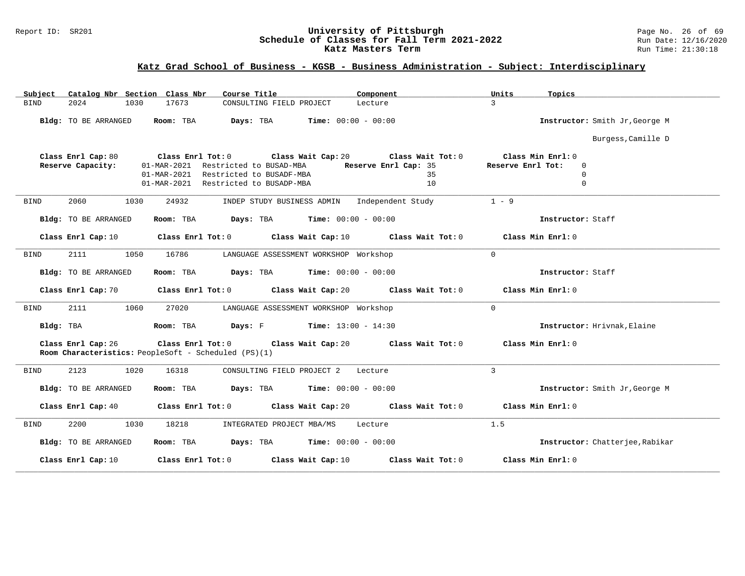#### Report ID: SR201 **University of Pittsburgh** Page No. 26 of 69 **Schedule of Classes for Fall Term 2021-2022** Run Date: 12/16/2020 **Katz Masters Term Run Time: 21:30:18**

| Catalog Nbr Section Class Nbr<br>Subject | Course Title                                                                                                   | Component            | Units<br>Topics                 |
|------------------------------------------|----------------------------------------------------------------------------------------------------------------|----------------------|---------------------------------|
| 2024<br>1030<br><b>BIND</b>              | 17673<br>CONSULTING FIELD PROJECT                                                                              | Lecture              | $\overline{3}$                  |
| Bldg: TO BE ARRANGED                     | Room: TBA<br>Days: TBA<br>$Time: 00:00 - 00:00$                                                                |                      | Instructor: Smith Jr, George M  |
|                                          |                                                                                                                |                      | Burgess, Camille D              |
| Class Enrl Cap: 80                       | Class Wait Cap: 20<br>$Class$ $Enrl$ $Tot: 0$                                                                  | Class Wait Tot: 0    | Class Min Enrl: 0               |
| Reserve Capacity:                        | Restricted to BUSAD-MBA<br>01-MAR-2021                                                                         | Reserve Enrl Cap: 35 | Reserve Enrl Tot:<br>0          |
|                                          | Restricted to BUSADF-MBA<br>01-MAR-2021                                                                        | 35                   | $\Omega$                        |
|                                          | 01-MAR-2021 Restricted to BUSADP-MBA                                                                           | 10                   | $\mathbf 0$                     |
| 2060<br>1030<br><b>BIND</b>              | 24932<br>INDEP STUDY BUSINESS ADMIN Independent Study                                                          |                      | $1 - 9$                         |
| <b>Bldg:</b> TO BE ARRANGED              | $\texttt{Days:}$ TBA $\texttt{Time:}$ 00:00 - 00:00<br>Room: TBA                                               |                      | Instructor: Staff               |
| Class Enrl Cap: 10                       | Class Enrl Tot: 0 Class Wait Cap: 10                                                                           | Class Wait Tot: 0    | Class Min Enrl: 0               |
| 2111<br>1050<br>BIND                     | 16786<br>LANGUAGE ASSESSMENT WORKSHOP Workshop                                                                 |                      | $\mathbf 0$                     |
| Bldg: TO BE ARRANGED                     | <b>Days:</b> TBA <b>Time:</b> $00:00 - 00:00$<br>Room: TBA                                                     |                      | Instructor: Staff               |
| Class Enrl Cap: 70                       | Class Enrl Tot: 0 Class Wait Cap: 20                                                                           | Class Wait Tot: 0    | Class Min Enrl: 0               |
| <b>BIND</b><br>2111<br>1060              | 27020<br>LANGUAGE ASSESSMENT WORKSHOP Workshop                                                                 |                      | $\Omega$                        |
| Bldg: TBA                                | <b>Days:</b> F Time: $13:00 - 14:30$<br>Room: TBA                                                              |                      | Instructor: Hrivnak, Elaine     |
| Class Enrl Cap: 26                       | Class Enrl Tot: 0 Class Wait Cap: 20 Class Wait Tot: 0<br>Room Characteristics: PeopleSoft - Scheduled (PS)(1) |                      | Class Min Enrl: 0               |
| 2123<br>1020<br>BIND                     | 16318<br>CONSULTING FIELD PROJECT 2                                                                            | Lecture              | $\overline{3}$                  |
| Bldg: TO BE ARRANGED                     | Room: TBA<br>$\texttt{Davis:}$ TBA $\texttt{Time:}$ 00:00 - 00:00                                              |                      | Instructor: Smith Jr, George M  |
| Class Enrl Cap: 40                       | Class Enrl Tot: 0 Class Wait Cap: 20                                                                           | Class Wait Tot: 0    | Class Min Enrl: 0               |
| 2200<br>1030<br><b>BIND</b>              | 18218<br>INTEGRATED PROJECT MBA/MS                                                                             | Lecture              | 1.5                             |
| <b>Bldg:</b> TO BE ARRANGED              | <b>Days:</b> TBA <b>Time:</b> $00:00 - 00:00$<br>Room: TBA                                                     |                      | Instructor: Chatterjee, Rabikar |
| Class Enrl Cap: 10                       | Class Enrl Tot: $0$ Class Wait Cap: 10                                                                         | Class Wait Tot: 0    | Class Min Enrl: 0               |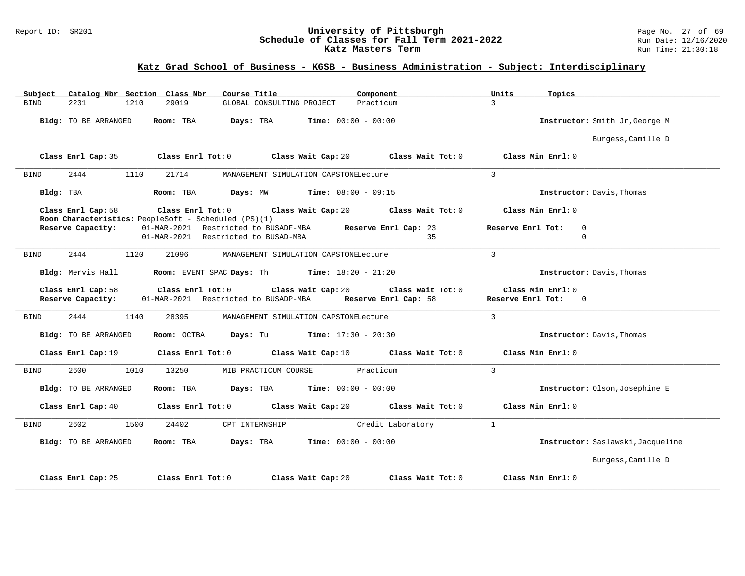#### Report ID: SR201 **1988 Mage 10: SR201 University of Pittsburgh** Page No. 27 of 69<br>**Schedule of Classes for Fall Term 2021-2022** 2011 Page 12/16/2020 **Schedule of Classes for Fall Term 2021-2022** Run Date: 12/16/2021<br>**Katz Masters Term 2021-2022** Run Time: 21:30:18 **Katz Masters Term**

| Catalog Nbr Section Class Nbr<br>Course Title<br>Component<br>Subject                                                                      | Units<br>Topics                   |
|--------------------------------------------------------------------------------------------------------------------------------------------|-----------------------------------|
| Practicum<br><b>BIND</b><br>2231<br>1210<br>29019<br>GLOBAL CONSULTING PROJECT                                                             | $\mathbf{3}$                      |
| Bldg: TO BE ARRANGED<br>Room: TBA<br>Days: TBA<br><b>Time:</b> $00:00 - 00:00$                                                             | Instructor: Smith Jr, George M    |
|                                                                                                                                            | Burgess, Camille D                |
| Class Enrl Tot: $0$ Class Wait Cap: $20$ Class Wait Tot: $0$<br>Class Enrl Cap: 35                                                         | Class Min Enrl: 0                 |
| 2444<br>21714<br>BIND<br>1110<br>MANAGEMENT SIMULATION CAPSTONELecture                                                                     | $\overline{3}$                    |
| Bldg: TBA<br>Room: TBA<br><b>Days:</b> MW <b>Time:</b> $08:00 - 09:15$                                                                     | Instructor: Davis, Thomas         |
| Class Enrl Cap: 58<br>Class Enrl Tot: $0$ Class Wait Cap: $20$ Class Wait Tot: $0$<br>Room Characteristics: PeopleSoft - Scheduled (PS)(1) | Class Min Enrl: 0                 |
| 01-MAR-2021 Restricted to BUSADF-MBA Reserve Enrl Cap: 23<br>Reserve Capacity:                                                             | Reserve Enrl Tot:<br>$\mathbf 0$  |
| 01-MAR-2021 Restricted to BUSAD-MBA<br>35                                                                                                  | $\Omega$                          |
| 2444<br>1120<br>21096<br><b>BIND</b><br>MANAGEMENT SIMULATION CAPSTONELecture                                                              | $\overline{3}$                    |
| <b>Room:</b> EVENT SPAC Days: Th Time: $18:20 - 21:20$<br>Bldg: Mervis Hall                                                                | Instructor: Davis, Thomas         |
| Class Enrl Cap: 58<br>Class Enrl Tot: 0<br>Class Wait Cap: 20<br>Class Wait Tot: 0                                                         | Class Min Enrl: 0                 |
| Reserve Capacity:<br>01-MAR-2021 Restricted to BUSADP-MBA<br>Reserve Enrl Cap: 58                                                          | Reserve Enrl Tot: 0               |
| 2444<br>1140<br>28395<br>MANAGEMENT SIMULATION CAPSTONELecture<br><b>BIND</b>                                                              | $\mathcal{L}$                     |
| Room: OCTBA<br><b>Days:</b> Tu <b>Time:</b> $17:30 - 20:30$<br>Bldg: TO BE ARRANGED                                                        | Instructor: Davis, Thomas         |
| Class Enrl Tot: $0$ Class Wait Cap: $10$ Class Wait Tot: $0$<br>Class Enrl Cap: 19                                                         | Class Min Enrl: 0                 |
| 2600<br>1010<br>13250<br>Practicum<br><b>BIND</b><br>MIB PRACTICUM COURSE                                                                  | $\overline{3}$                    |
| $Days: TBA$ Time: $00:00 - 00:00$<br>Bldg: TO BE ARRANGED<br>Room: TBA                                                                     | Instructor: Olson, Josephine E    |
| Class Enrl Tot: 0 Class Wait Cap: 20 Class Wait Tot: 0<br>Class Enrl Cap: 40                                                               | Class Min Enrl: 0                 |
| 2602<br>Credit Laboratory<br><b>BIND</b><br>1500<br>24402<br>CPT INTERNSHIP                                                                | $\mathbf{1}$                      |
| $\texttt{Davis:}$ TBA $\texttt{Time:}$ 00:00 - 00:00<br>Bldg: TO BE ARRANGED<br>Room: TBA                                                  | Instructor: Saslawski, Jacqueline |
|                                                                                                                                            | Burgess, Camille D                |
| Class Enrl Cap: 25<br>Class Wait Tot: 0<br>Class Enrl Tot: 0<br>Class Wait Cap: 20                                                         | Class Min Enrl: 0                 |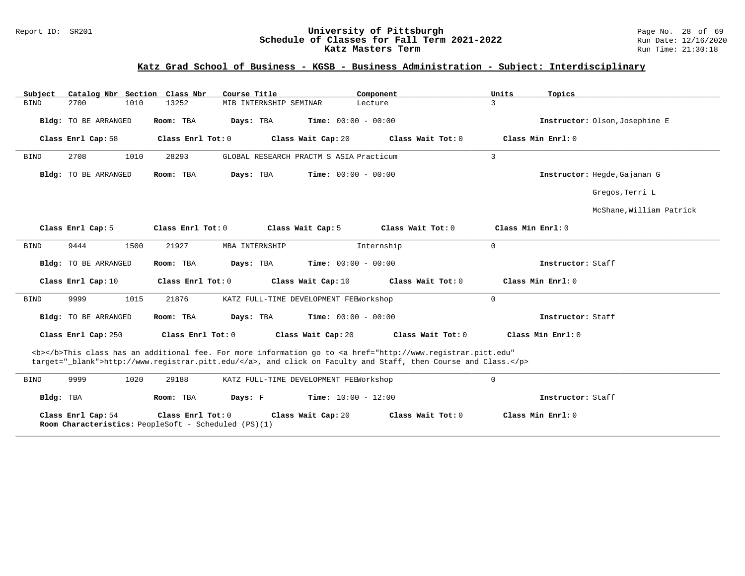#### Report ID: SR201 **University of Pittsburgh** Page No. 28 of 69 **Schedule of Classes for Fall Term 2021-2022** Run Date: 12/16/2020 **Katz Masters Term Run Time: 21:30:18** Run Time: 21:30:18

| Catalog Nbr Section Class Nbr<br>Subject | Course Title                                                              | Component                                                                                                                                                                                                                          | Units<br>Topics                |
|------------------------------------------|---------------------------------------------------------------------------|------------------------------------------------------------------------------------------------------------------------------------------------------------------------------------------------------------------------------------|--------------------------------|
| 2700<br>1010<br><b>BIND</b>              | 13252<br>MIB INTERNSHIP SEMINAR                                           | Lecture                                                                                                                                                                                                                            | 3                              |
| Bldg: TO BE ARRANGED                     | Days: TBA<br>Room: TBA                                                    | <b>Time:</b> $00:00 - 00:00$                                                                                                                                                                                                       | Instructor: Olson, Josephine E |
| Class Enrl Cap: 58                       | Class Enrl Tot: 0                                                         | Class Wait Cap: 20<br>Class Wait Tot: 0                                                                                                                                                                                            | Class Min Enrl: 0              |
| 2708<br>1010<br><b>BIND</b>              | 28293                                                                     | GLOBAL RESEARCH PRACTM S ASIA Practicum                                                                                                                                                                                            | 3                              |
| Bldg: TO BE ARRANGED                     | Room: TBA<br>Days: TBA                                                    | Time: $00:00 - 00:00$                                                                                                                                                                                                              | Instructor: Hegde, Gajanan G   |
|                                          |                                                                           |                                                                                                                                                                                                                                    | Gregos, Terri L                |
|                                          |                                                                           |                                                                                                                                                                                                                                    | McShane, William Patrick       |
| Class Enrl Cap: 5                        | Class Enrl Tot: $0$                                                       | Class Wait Tot: 0<br>Class Wait Cap: 5                                                                                                                                                                                             | Class Min Enrl: 0              |
| 9444<br>1500<br><b>BIND</b>              | MBA INTERNSHIP<br>21927                                                   | Internship                                                                                                                                                                                                                         | $\mathbf{0}$                   |
| Bldg: TO BE ARRANGED                     | Room: TBA<br>Days: TBA                                                    | Time: $00:00 - 00:00$                                                                                                                                                                                                              | Instructor: Staff              |
| Class Enrl Cap: 10                       | Class Enrl Tot: 0                                                         | Class Wait Cap: 10<br>Class Wait Tot: 0                                                                                                                                                                                            | Class Min Enrl: 0              |
| 9999<br>1015<br><b>BIND</b>              | 21876                                                                     | KATZ FULL-TIME DEVELOPMENT FEEWorkshop                                                                                                                                                                                             | $\mathbf 0$                    |
| Bldg: TO BE ARRANGED                     | Room: TBA<br>Days: TBA                                                    | <b>Time:</b> $00:00 - 00:00$                                                                                                                                                                                                       | Instructor: Staff              |
| Class Enrl Cap: 250                      | Class Enrl Tot: 0                                                         | Class Wait Tot: 0<br>Class Wait Cap: 20                                                                                                                                                                                            | Class Min Enrl: 0              |
|                                          |                                                                           | <b></b> This class has an additional fee. For more information go to <a <br="" href="http://www.registrar.pitt.edu">target="_blank"&gt;http://www.registrar.pitt.edu/</a> , and click on Faculty and Staff, then Course and Class. |                                |
| 1020<br>9999<br><b>BIND</b>              | 29188                                                                     | KATZ FULL-TIME DEVELOPMENT FEEWorkshop                                                                                                                                                                                             | $\mathbf 0$                    |
| Bldg: TBA                                | Room: TBA<br>Days: F                                                      | <b>Time:</b> $10:00 - 12:00$                                                                                                                                                                                                       | Instructor: Staff              |
| Class Enrl Cap: 54                       | Class Enrl Tot: 0<br>Room Characteristics: PeopleSoft - Scheduled (PS)(1) | Class Wait Cap: 20<br>Class Wait Tot: 0                                                                                                                                                                                            | Class Min Enrl: 0              |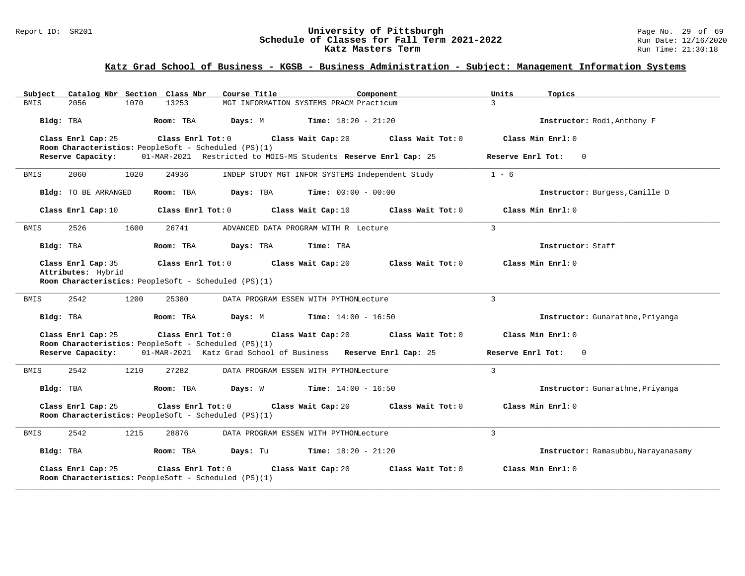#### Report ID: SR201 **1988 Constrained Building Constrained Building Constrained Building Page No. 2008** Page No. 29 of 69<br>**Schedule of Classes for Fall Term 2021-2022** 2008 Run Date: 12/16/2020 **Schedule of Classes for Fall Term 2021-2022** Run Date: 12/16/2021<br>**Katz Masters Term 2021-2022** Run Time: 21:30:18 **Katz Masters Term**

# **Katz Grad School of Business - KGSB - Business Administration - Subject: Management Information Systems**

| Catalog Nbr Section Class Nbr<br>Subject                                                        | Course Title                                                    | Component         | Units<br>Topics                     |
|-------------------------------------------------------------------------------------------------|-----------------------------------------------------------------|-------------------|-------------------------------------|
| 13253<br><b>BMIS</b><br>2056<br>1070                                                            | MGT INFORMATION SYSTEMS PRACM Practicum                         |                   | $\mathcal{L}$                       |
| Bldg: TBA<br>Room: TBA                                                                          | <b>Time:</b> $18:20 - 21:20$<br>Days: M                         |                   | Instructor: Rodi, Anthony F         |
| Class Enrl Cap: 25<br>Class Enrl Tot: 0<br>Room Characteristics: PeopleSoft - Scheduled (PS)(1) | Class Wait Cap: 20                                              | Class Wait Tot: 0 | Class Min Enrl: 0                   |
| Reserve Capacity:                                                                               | 01-MAR-2021 Restricted to MOIS-MS Students Reserve Enrl Cap: 25 |                   | Reserve Enrl Tot:<br>$\Omega$       |
| 2060<br>1020<br>24936<br>BMIS                                                                   | INDEP STUDY MGT INFOR SYSTEMS Independent Study                 |                   | $1 - 6$                             |
| Bldg: TO BE ARRANGED<br>Room: TBA                                                               | Days: TBA<br>$Time: 00:00 - 00:00$                              |                   | Instructor: Burgess, Camille D      |
| Class Enrl Cap: 10<br>Class Enrl Tot: 0                                                         | Class Wait Cap: 10                                              | Class Wait Tot: 0 | Class Min Enrl: 0                   |
| 2526<br>26741<br>1600<br>BMIS                                                                   | ADVANCED DATA PROGRAM WITH R Lecture                            |                   | 3                                   |
| Bldg: TBA<br>Room: TBA                                                                          | Days: TBA<br>Time: TBA                                          |                   | Instructor: Staff                   |
| Class Enrl Cap: 35<br>Attributes: Hybrid                                                        | Class Enrl Tot: 0 Class Wait Cap: 20                            | Class Wait Tot: 0 | Class Min Enrl: 0                   |
| Room Characteristics: PeopleSoft - Scheduled (PS)(1)                                            |                                                                 |                   |                                     |
| 2542<br>1200<br>BMIS<br>25380                                                                   | DATA PROGRAM ESSEN WITH PYTHONLecture                           |                   | $\mathcal{L}$                       |
| Bldg: TBA<br>Room: TBA                                                                          | Days: M<br><b>Time:</b> $14:00 - 16:50$                         |                   | Instructor: Gunarathne, Priyanga    |
| Class Enrl Cap: 25<br>Class Enrl Tot: 0<br>Room Characteristics: PeopleSoft - Scheduled (PS)(1) | Class Wait Cap: 20                                              | Class Wait Tot: 0 | Class Min Enrl: 0                   |
| Reserve Capacity:                                                                               | 01-MAR-2021 Katz Grad School of Business Reserve Enrl Cap: 25   |                   | Reserve Enrl Tot:<br>$\overline{0}$ |
| 2542<br>1210<br>27282<br><b>BMIS</b>                                                            | DATA PROGRAM ESSEN WITH PYTHONLecture                           |                   | 3                                   |
| Bldg: TBA<br>Room: TBA                                                                          | Days: W<br>$Time: 14:00 - 16:50$                                |                   | Instructor: Gunarathne, Priyanga    |
| Class Enrl Cap: 25<br>Class Enrl Tot: 0<br>Room Characteristics: PeopleSoft - Scheduled (PS)(1) | Class Wait Cap: 20                                              | Class Wait Tot: 0 | Class Min Enrl: 0                   |
| 2542<br>1215<br>28876<br>BMIS                                                                   | DATA PROGRAM ESSEN WITH PYTHONLecture                           |                   | 3                                   |
| Bldg: TBA<br>Room: TBA                                                                          | $Time: 18:20 - 21:20$<br>Days: Tu                               |                   | Instructor: Ramasubbu, Narayanasamy |
| Class Enrl Cap: 25<br>Class Enrl Tot: 0<br>Room Characteristics: PeopleSoft - Scheduled (PS)(1) | Class Wait Cap: 20                                              | Class Wait Tot: 0 | Class Min Enrl: 0                   |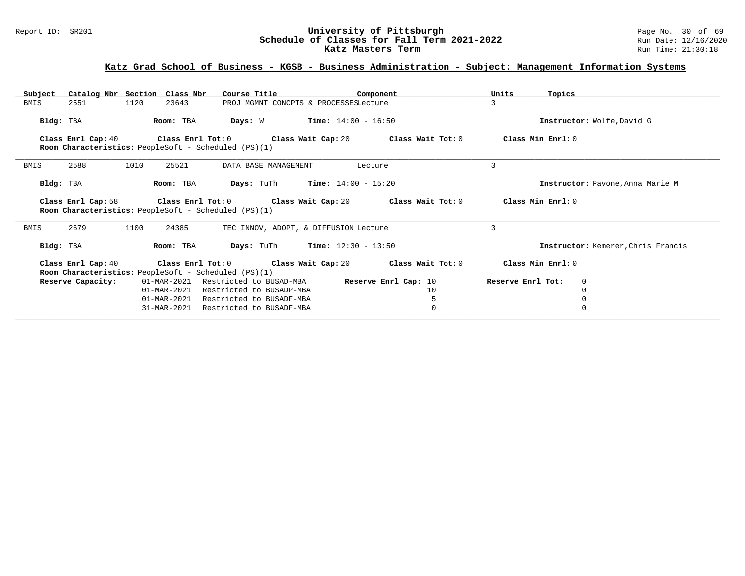#### Report ID: SR201 **1988 Constrained Building Constrained Building Constrained Building Page No. 30 of 69 Report ID: SR201 Page No. 30 of 69 Building Page No. 30 of 69 Building Page No. 30 of 69 Building Page No. 30 of 69 Bu Schedule of Classes for Fall Term 2021-2022** Run Date: 12/16/2021<br>**Katz Masters Term 2021-2022** Run Time: 21:30:18 **Katz Masters Term**

# **Katz Grad School of Business - KGSB - Business Administration - Subject: Management Information Systems**

| Subject                                                                          | Catalog Nbr Section Class Nbr | Course Title                                   | Component                                                                                            | Units<br>Topics                    |  |
|----------------------------------------------------------------------------------|-------------------------------|------------------------------------------------|------------------------------------------------------------------------------------------------------|------------------------------------|--|
| BMIS<br>2551                                                                     | 1120<br>23643                 | PROJ MGMNT CONCPTS & PROCESSESLecture          |                                                                                                      | 3                                  |  |
| Bldg: TBA                                                                        | Room: TBA                     | Days: W                                        | $Time: 14:00 - 16:50$                                                                                | Instructor: Wolfe, David G         |  |
| <b>Room Characteristics:</b> PeopleSoft - Scheduled (PS)(1)                      |                               |                                                | Class Enrl Cap: 40 Class Enrl Tot: 0 Class Wait Cap: 20 Class Wait Tot: 0                            | Class Min Enrl: 0                  |  |
| 2588<br>BMIS                                                                     | 1010<br>25521                 | DATA BASE MANAGEMENT                           | Lecture                                                                                              | 3                                  |  |
| Bldg: TBA                                                                        | Room: TBA                     | <b>Days:</b> TuTh <b>Time:</b> $14:00 - 15:20$ |                                                                                                      | Instructor: Pavone, Anna Marie M   |  |
| Room Characteristics: PeopleSoft - Scheduled (PS)(1)                             |                               |                                                | Class Enrl Cap: 58 $\qquad$ Class Enrl Tot: 0 $\qquad$ Class Wait Cap: 20 $\qquad$ Class Wait Tot: 0 | Class Min Enrl: 0                  |  |
| 2679<br>BMIS                                                                     | 1100<br>24385                 | TEC INNOV, ADOPT, & DIFFUSION Lecture          |                                                                                                      | 3                                  |  |
| Bldg: TBA                                                                        | Room: TBA                     | <b>Days:</b> TuTh <b>Time:</b> $12:30 - 13:50$ |                                                                                                      | Instructor: Kemerer, Chris Francis |  |
| Class Enrl Cap: 40                                                               |                               |                                                | Class Enrl Tot: $0$ Class Wait Cap: $20$ Class Wait Tot: $0$                                         | Class Min Enrl: 0                  |  |
| <b>Room Characteristics:</b> PeopleSoft - Scheduled (PS)(1)<br>Reserve Capacity: |                               |                                                | 01-MAR-2021 Restricted to BUSAD-MBA <b>Reserve Enrl Cap:</b> 10                                      | Reserve Enrl Tot:<br>$\mathbf 0$   |  |
|                                                                                  |                               | 01-MAR-2021 Restricted to BUSADP-MBA           | 10                                                                                                   | $\Omega$                           |  |
|                                                                                  | 01-MAR-2021                   | Restricted to BUSADF-MBA                       | 5                                                                                                    |                                    |  |
|                                                                                  | $31 - \text{MAR} - 2021$      | Restricted to BUSADF-MBA                       | $\Omega$                                                                                             |                                    |  |
|                                                                                  |                               |                                                |                                                                                                      |                                    |  |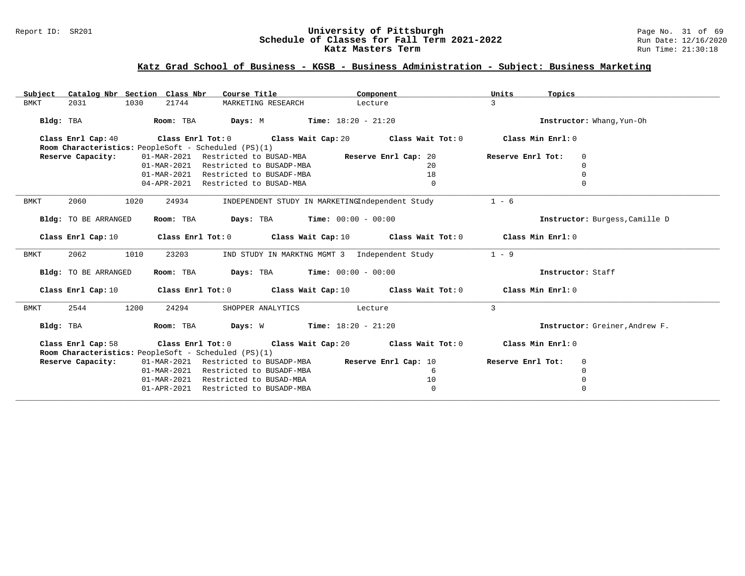#### Report ID: SR201 **University of Pittsburgh** Page No. 31 of 69 **Schedule of Classes for Fall Term 2021-2022** Run Date: 12/16/2020 **Katz Masters Term Run Time: 21:30:18** Run Time: 21:30:18

| Catalog Nbr Section Class Nbr<br>Subject | Course Title                                              | Component                                                                                           | Units<br>Topics                  |
|------------------------------------------|-----------------------------------------------------------|-----------------------------------------------------------------------------------------------------|----------------------------------|
| <b>BMKT</b><br>2031<br>1030              | 21744<br>MARKETING RESEARCH                               | Lecture                                                                                             | $\mathcal{L}$                    |
|                                          |                                                           |                                                                                                     |                                  |
| Bldg: TBA                                | Room: TBA $Days: M$ Time: $18:20 - 21:20$                 |                                                                                                     | Instructor: Whang, Yun-Oh        |
|                                          |                                                           | Class Enrl Cap: 40 Class Enrl Tot: 0 Class Wait Cap: 20 Class Wait Tot: 0 Class Min Enrl: 0         |                                  |
|                                          | Room Characteristics: PeopleSoft - Scheduled (PS)(1)      |                                                                                                     |                                  |
| Reserve Capacity:                        | 01-MAR-2021 Restricted to BUSAD-MBA Reserve Enrl Cap: 20  |                                                                                                     | Reserve Enrl Tot:<br>$\Omega$    |
|                                          | 01-MAR-2021 Restricted to BUSADP-MBA                      | 20                                                                                                  | $\Omega$                         |
|                                          | 01-MAR-2021 Restricted to BUSADF-MBA                      | 18                                                                                                  | $\Omega$                         |
|                                          | 04-APR-2021 Restricted to BUSAD-MBA                       | $\Omega$                                                                                            | $\Omega$                         |
|                                          |                                                           |                                                                                                     |                                  |
| 2060<br><b>BMKT</b><br>1020              | 24934                                                     | INDEPENDENT STUDY IN MARKETINGIndependent Study                                                     | $1 - 6$                          |
| Bldg: TO BE ARRANGED                     | Room: TBA $Days:$ TBA $Time: 00:00 - 00:00$               |                                                                                                     | Instructor: Burgess, Camille D   |
|                                          |                                                           |                                                                                                     |                                  |
|                                          |                                                           | Class Enrl Cap: 10 Class Enrl Tot: 0 Class Wait Cap: 10 Class Wait Tot: 0 Class Min Enrl: 0         |                                  |
|                                          |                                                           |                                                                                                     |                                  |
| 2062<br>1010<br>BMKT                     | 23203                                                     | IND STUDY IN MARKTNG MGMT 3 Independent Study                                                       | $1 - 9$                          |
| Bldg: TO BE ARRANGED                     | Room: TBA $Days: TBA$ Time: $00:00 - 00:00$               |                                                                                                     | Instructor: Staff                |
|                                          |                                                           |                                                                                                     |                                  |
|                                          |                                                           | Class Enrl Cap: 10 Class Enrl Tot: 0 Class Wait Cap: 10 Class Wait Tot: 0 Class Min Enrl: 0         |                                  |
|                                          |                                                           |                                                                                                     |                                  |
| 1200<br>2544<br>BMKT                     | 24294                                                     | SHOPPER ANALYTICS Lecture                                                                           | 3                                |
| Bldg: TBA                                | Room: TBA $Days: W$ Time: $18:20 - 21:20$                 |                                                                                                     | Instructor: Greiner, Andrew F.   |
|                                          |                                                           |                                                                                                     |                                  |
| Class Enrl Cap: 58                       |                                                           | Class Enrl Tot: 0 $\qquad$ Class Wait Cap: 20 $\qquad$ Class Wait Tot: 0 $\qquad$ Class Min Enrl: 0 |                                  |
|                                          | Room Characteristics: PeopleSoft - Scheduled (PS)(1)      |                                                                                                     |                                  |
| Reserve Capacity:                        | 01-MAR-2021 Restricted to BUSADP-MBA Reserve Enrl Cap: 10 |                                                                                                     | Reserve Enrl Tot:<br>$\mathbf 0$ |
|                                          | Restricted to BUSADF-MBA<br>01-MAR-2021                   | -6                                                                                                  | $\mathbf 0$                      |
|                                          | 01-MAR-2021<br>Restricted to BUSAD-MBA                    | 10                                                                                                  | $\mathbf 0$                      |
|                                          | 01-APR-2021 Restricted to BUSADP-MBA                      | $\overline{0}$                                                                                      | $\mathbf 0$                      |
|                                          |                                                           |                                                                                                     |                                  |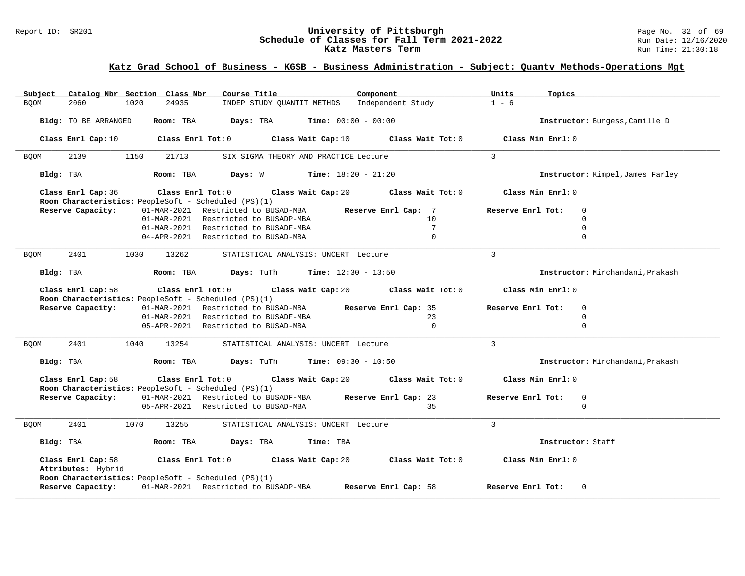#### Report ID: SR201 **1988 Constrained Building Constrained Building Constrained Building Page No. 32 of 69 Report ID: SR201 Page No. 32 of 69 Building Page No. 32 of 69 Building Page No. 32 of 69 Building Page No. 32 of 69 Bu Schedule of Classes for Fall Term 2021-2022** Run Date: 12/16/2021<br>**Katz Masters Term 2021-2022** Run Time: 21:30:18 **Katz Masters Term**

## **Katz Grad School of Business - KGSB - Business Administration - Subject: Quantv Methods-Operations Mgt**

| Catalog Nbr Section Class Nbr<br>Course Title<br>Component<br>Subject                                                                      | Units<br>Topics                     |
|--------------------------------------------------------------------------------------------------------------------------------------------|-------------------------------------|
| Independent Study<br><b>BOOM</b><br>2060<br>1020<br>24935<br>INDEP STUDY QUANTIT METHDS                                                    | $1 - 6$                             |
| Time: $00:00 - 00:00$<br>Bldg: TO BE ARRANGED<br>Room: TBA<br>Days: TBA                                                                    | Instructor: Burgess, Camille D      |
| Class Enrl Cap: 10<br>$Class$ $Enr1$ $Tot: 0$<br>Class Wait Cap: 10<br>Class Wait Tot: 0                                                   | Class Min Enrl: 0                   |
| 2139<br>1150<br>21713<br>SIX SIGMA THEORY AND PRACTICE Lecture<br><b>BQOM</b>                                                              | $\overline{3}$                      |
| <b>Days:</b> $W$ <b>Time:</b> $18:20 - 21:20$<br>Bldg: TBA<br>Room: TBA                                                                    | Instructor: Kimpel, James Farley    |
| Class Enrl Cap: 36<br>Class Enrl Tot: $0$ Class Wait Cap: $20$ Class Wait Tot: $0$                                                         | Class Min Enrl: 0                   |
| Room Characteristics: PeopleSoft - Scheduled (PS)(1)                                                                                       |                                     |
| Reserve Capacity:<br>01-MAR-2021 Restricted to BUSAD-MBA<br>Reserve Enrl Cap: 7                                                            | Reserve Enrl Tot:<br>$\Omega$       |
| 01-MAR-2021 Restricted to BUSADP-MBA<br>10                                                                                                 | $\mathbf 0$                         |
| 01-MAR-2021 Restricted to BUSADF-MBA<br>$7\phantom{.0}$                                                                                    | $\Omega$                            |
| 04-APR-2021 Restricted to BUSAD-MBA<br>$\mathbf{0}$                                                                                        | $\mathbf 0$                         |
| 2401<br>13262<br>STATISTICAL ANALYSIS: UNCERT Lecture<br><b>BOOM</b><br>1030                                                               | $\mathbf{3}$                        |
| <b>Days:</b> TuTh <b>Time:</b> $12:30 - 13:50$<br>Bldg: TBA<br>Room: TBA                                                                   | Instructor: Mirchandani, Prakash    |
| Class Enrl Tot: $0$ Class Wait Cap: $20$ Class Wait Tot: $0$<br>Class Enrl Cap: 58                                                         | Class Min Enrl: 0                   |
| Room Characteristics: PeopleSoft - Scheduled (PS)(1)                                                                                       |                                     |
| 01-MAR-2021 Restricted to BUSAD-MBA Reserve Enrl Cap: 35<br>Reserve Capacity:                                                              | Reserve Enrl Tot:<br>$\Omega$       |
| 01-MAR-2021 Restricted to BUSADF-MBA<br>23                                                                                                 | $\Omega$                            |
| $\Omega$<br>05-APR-2021 Restricted to BUSAD-MBA                                                                                            | $\Omega$                            |
| 2401<br>1040<br>13254<br>STATISTICAL ANALYSIS: UNCERT Lecture<br><b>BQOM</b>                                                               | $\mathbf{3}$                        |
| <b>Days:</b> TuTh <b>Time:</b> $09:30 - 10:50$<br>Bldg: TBA<br>Room: TBA                                                                   | Instructor: Mirchandani, Prakash    |
| Class Enrl Cap: 58<br>Class Enrl Tot: $0$ Class Wait Cap: $20$ Class Wait Tot: $0$<br>Room Characteristics: PeopleSoft - Scheduled (PS)(1) | Class Min Enrl: 0                   |
| Reserve Capacity:<br>01-MAR-2021 Restricted to BUSADF-MBA Reserve Enrl Cap: 23                                                             | Reserve Enrl Tot:<br>$\overline{0}$ |
| 05-APR-2021 Restricted to BUSAD-MBA<br>35                                                                                                  | $\mathbf 0$                         |
|                                                                                                                                            |                                     |
| 2401<br>1070<br>13255<br><b>BOOM</b><br>STATISTICAL ANALYSIS: UNCERT Lecture                                                               | $\mathbf{3}$                        |
| Bldg: TBA<br>Room: TBA<br>Days: TBA<br>Time: TBA                                                                                           | Instructor: Staff                   |
| Class Enrl Tot: 0 Class Wait Cap: 20<br>Class Wait Tot: 0<br>Class Enrl Cap: 58<br>Attributes: Hybrid                                      | Class Min Enrl: 0                   |
| Room Characteristics: PeopleSoft - Scheduled (PS)(1)<br>01-MAR-2021 Restricted to BUSADP-MBA<br>Reserve Capacity:<br>Reserve Enrl Cap: 58  | Reserve Enrl Tot:<br>$\Omega$       |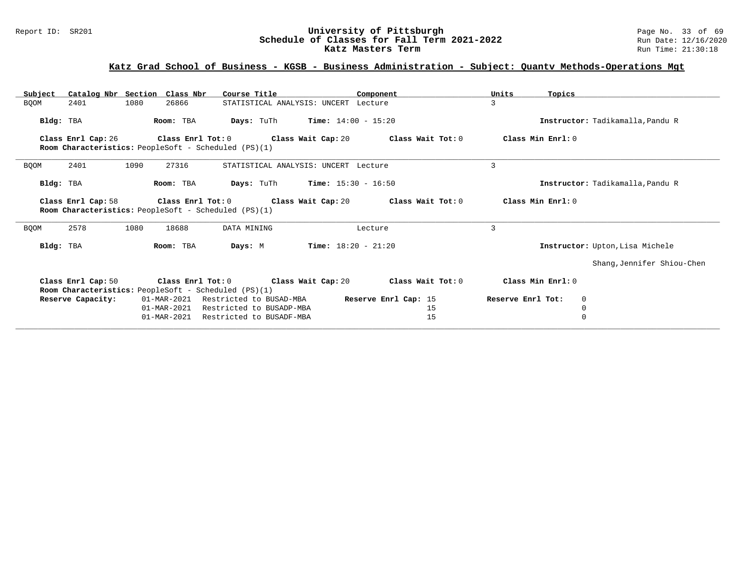#### Report ID: SR201 **University of Pittsburgh University of Pittsburgh** Page No. 33 of 69<br>**Schedule of Classes for Fall Term 2021-2022** Run Date: 12/16/2020 **Schedule of Classes for Fall Term 2021-2022** Run Date: 12/16/2021<br>**Katz Masters Term 2021-2022** Run Time: 21:30:18 **Katz Masters Term**

## **Katz Grad School of Business - KGSB - Business Administration - Subject: Quantv Methods-Operations Mgt**

| Units<br>Topics                        |
|----------------------------------------|
| 3                                      |
| Instructor: Tadikamalla, Pandu R       |
| Class Min Enrl: 0<br>Class Wait Tot: 0 |
| 3                                      |
| Instructor: Tadikamalla, Pandu R       |
| Class Wait Tot: 0<br>Class Min Enrl: 0 |
| 3                                      |
| Instructor: Upton, Lisa Michele        |
| Shang, Jennifer Shiou-Chen             |
| Class Wait Tot: 0<br>Class Min Enrl: 0 |
| Reserve Enrl Tot:<br>$\mathbf 0$       |
| $\mathbf 0$                            |
| $\Omega$                               |
|                                        |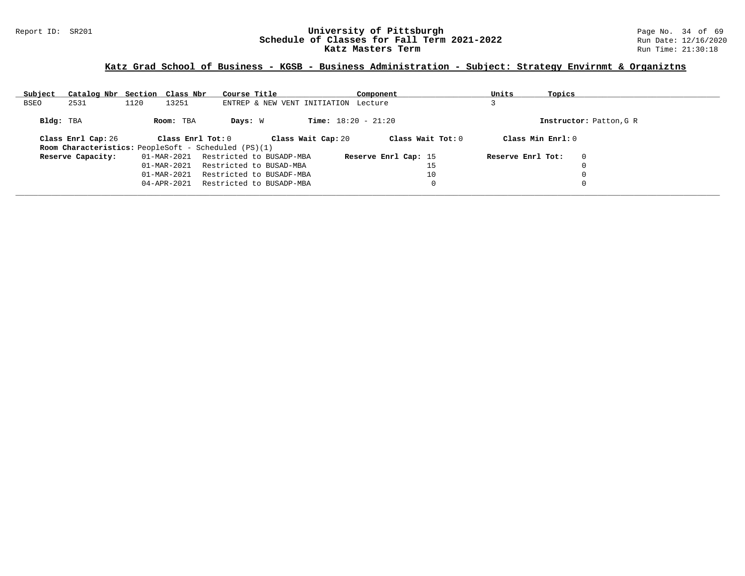#### Report ID: SR201 **1988 Constrained Building Constrained Building Constrained Building Page No. 34 of 69 Report ID: SR201 Page No. 34 of 69 Building Page No. 34 of 69 Building Page No. 34 of 69 Building Page No. 34 of 69 Bu Schedule of Classes for Fall Term 2021-2022** Run Date: 12/16/2021<br>**Katz Masters Term 2021-2022** Run Time: 21:30:18 **Katz Masters Term**

## **Katz Grad School of Business - KGSB - Business Administration - Subject: Strategy Envirnmt & Organiztns**

| Subject   | Catalog Nbr Section Class Nbr                               |      |                         | Course Title |                          |                                      | Component            |    | Units             | Topics             |                         |
|-----------|-------------------------------------------------------------|------|-------------------------|--------------|--------------------------|--------------------------------------|----------------------|----|-------------------|--------------------|-------------------------|
| BSEO      | 2531                                                        | 1120 | 13251                   |              |                          | ENTREP & NEW VENT INITIATION Lecture |                      |    |                   |                    |                         |
| Bldg: TBA |                                                             |      | Room: TBA               | Days: W      |                          | <b>Time:</b> $18:20 - 21:20$         |                      |    |                   |                    | Instructor: Patton, G R |
|           | Class Enrl Cap: 26                                          |      | $Class$ $Enr1$ $Tot: 0$ |              |                          | Class Wait Cap: 20                   | Class Wait Tot: 0    |    |                   | Class Min $Enr1:0$ |                         |
|           | <b>Room Characteristics:</b> PeopleSoft - Scheduled (PS)(1) |      |                         |              |                          |                                      |                      |    |                   |                    |                         |
|           | Reserve Capacity:                                           |      | 01-MAR-2021             |              | Restricted to BUSADP-MBA |                                      | Reserve Enrl Cap: 15 |    | Reserve Enrl Tot: |                    | $\mathbf 0$             |
|           |                                                             |      | 01-MAR-2021             |              | Restricted to BUSAD-MBA  |                                      |                      | 15 |                   |                    | 0                       |
|           |                                                             |      | 01-MAR-2021             |              | Restricted to BUSADF-MBA |                                      |                      | 10 |                   |                    | 0                       |
|           |                                                             |      | $04 - APR - 2021$       |              | Restricted to BUSADP-MBA |                                      |                      | 0  |                   |                    | 0                       |
|           |                                                             |      |                         |              |                          |                                      |                      |    |                   |                    |                         |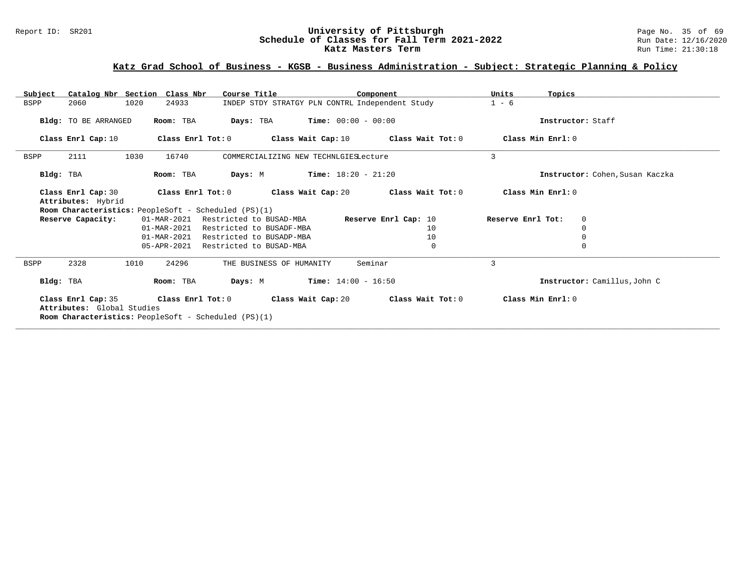#### Report ID: SR201 **University of Pittsburgh University of Pittsburgh** Page No. 35 of 69<br>**Schedule of Classes for Fall Term 2021-2022** Run Date: 12/16/2020 **Schedule of Classes for Fall Term 2021-2022** Run Date: 12/16/2021<br>**Katz Masters Term 2021-2022** Run Time: 21:30:18 **Katz Masters Term**

## **Katz Grad School of Business - KGSB - Business Administration - Subject: Strategic Planning & Policy**

| Catalog Nbr Section Class Nbr<br>Subject         | Course Title                                                                     |                                                 | Component            | Units<br>Topics   |                                 |
|--------------------------------------------------|----------------------------------------------------------------------------------|-------------------------------------------------|----------------------|-------------------|---------------------------------|
| 1020<br><b>BSPP</b><br>2060                      | 24933                                                                            | INDEP STDY STRATGY PLN CONTRL Independent Study |                      | $1 - 6$           |                                 |
| Bldg: TO BE ARRANGED                             | Days: TBA<br>Room: TBA                                                           | <b>Time:</b> $00:00 - 00:00$                    |                      |                   | Instructor: Staff               |
| Class Enrl Cap: 10                               | Class Enrl Tot: 0                                                                | Class Wait Cap: $10$ Class Wait Tot: $0$        |                      | Class Min Enrl: 0 |                                 |
| 1030<br>2111<br><b>BSPP</b>                      | 16740                                                                            | COMMERCIALIZING NEW TECHNLGIESLecture           |                      | 3                 |                                 |
| Bldg: TBA                                        | Room: TBA<br>Days: M                                                             | $Time: 18:20 - 21:20$                           |                      |                   | Instructor: Cohen, Susan Kaczka |
| Class Enrl Cap: 30<br>Attributes: Hybrid         | Class Enrl Tot: 0                                                                | Class Wait Cap: 20                              | Class Wait Tot: 0    | Class Min Enrl: 0 |                                 |
|                                                  | Room Characteristics: PeopleSoft - Scheduled (PS)(1)                             |                                                 |                      |                   |                                 |
| Reserve Capacity:                                | 01-MAR-2021<br>Restricted to BUSAD-MBA                                           |                                                 | Reserve Enrl Cap: 10 | Reserve Enrl Tot: | 0                               |
|                                                  | 01-MAR-2021<br>Restricted to BUSADF-MBA                                          |                                                 | 10                   |                   | $\Omega$                        |
|                                                  | 01-MAR-2021<br>Restricted to BUSADP-MBA                                          |                                                 | 10                   |                   | $\Omega$                        |
|                                                  | 05-APR-2021<br>Restricted to BUSAD-MBA                                           |                                                 | $\mathbf{0}$         |                   | $\Omega$                        |
| 2328<br>1010<br><b>BSPP</b>                      | 24296                                                                            | Seminar<br>THE BUSINESS OF HUMANITY             |                      | 3                 |                                 |
| Bldg: TBA                                        | Room: TBA<br>Days: M                                                             | $Time: 14:00 - 16:50$                           |                      |                   | Instructor: Camillus, John C    |
| Class Enrl Cap: 35<br>Attributes: Global Studies | Class Enrl Tot: 0<br><b>Room Characteristics:</b> PeopleSoft - Scheduled (PS)(1) | Class Wait Cap: 20                              | Class Wait Tot: 0    | Class Min Enrl: 0 |                                 |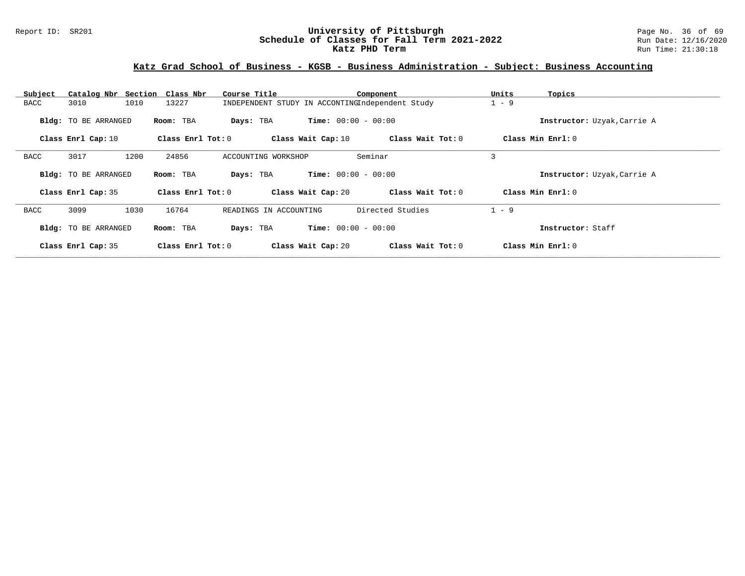#### Report ID: SR201 **1988 Mage 10: SR201 University of Pittsburgh** Page No. 36 of 69<br>**Schedule of Classes for Fall Term 2021-2022** 2011 Page 12/16/2020 **Schedule of Classes for Fall Term 2021-2022** Run Date: 12/16/2020 **Katz PHD Term Run Time: 21:30:18**

| Subject     |                             | Catalog Nbr Section Class Nbr | Course Title                                    |                              | Component         | Units   | Topics                      |
|-------------|-----------------------------|-------------------------------|-------------------------------------------------|------------------------------|-------------------|---------|-----------------------------|
| <b>BACC</b> | 3010                        | 1010<br>13227                 | INDEPENDENT STUDY IN ACCONTINGIndependent Study |                              |                   | $1 - 9$ |                             |
|             | Bldg: TO BE ARRANGED        | Room: TBA                     | Days: TBA                                       | <b>Time:</b> $00:00 - 00:00$ |                   |         | Instructor: Uzyak, Carrie A |
|             | Class Enrl Cap: 10          | Class Enrl Tot: 0             |                                                 | Class Wait Cap: 10           | Class Wait Tot: 0 |         | Class Min Enrl: 0           |
| <b>BACC</b> | 3017                        | 1200<br>24856                 | ACCOUNTING WORKSHOP                             | Seminar                      |                   | 3       |                             |
|             | <b>Bldg:</b> TO BE ARRANGED | Room: TBA                     | Days: TBA                                       | <b>Time:</b> $00:00 - 00:00$ |                   |         | Instructor: Uzyak, Carrie A |
|             | Class Enrl Cap: 35          | Class Enrl Tot: $0$           |                                                 | Class Wait Cap: 20           | Class Wait Tot: 0 |         | Class Min Enrl: 0           |
| <b>BACC</b> | 3099                        | 1030<br>16764                 | READINGS IN ACCOUNTING                          |                              | Directed Studies  | $1 - 9$ |                             |
|             | Bldg: TO BE ARRANGED        | Room: TBA                     | Days: TBA                                       | <b>Time:</b> $00:00 - 00:00$ |                   |         | Instructor: Staff           |
|             | Class Enrl Cap: 35          | Class Enrl Tot: 0             |                                                 | Class Wait Cap: 20           | Class Wait Tot: 0 |         | Class Min Enrl: 0           |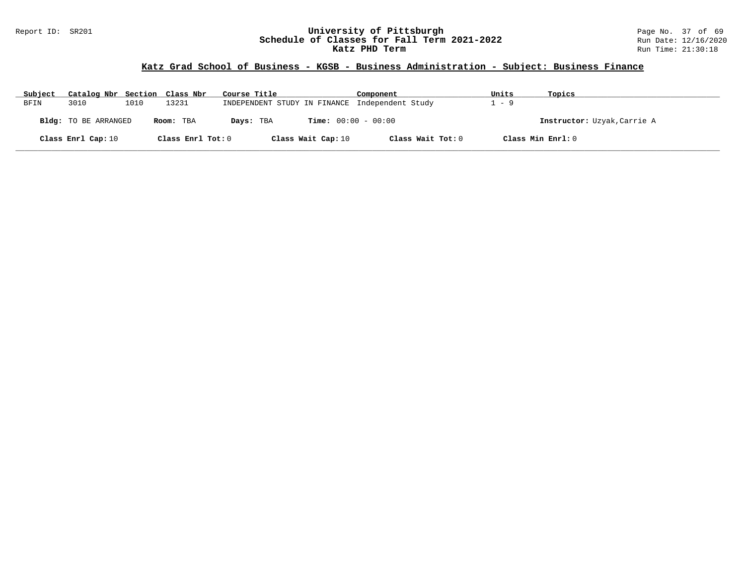#### Report ID: SR201 **1988 Mage 10: SR201 University of Pittsburgh** Page No. 37 of 69<br>**Schedule of Classes for Fall Term 2021-2022** 2011 Page 12/16/2020 **Schedule of Classes for Fall Term 2021-2022** Run Date: 12/16/2020 **Katz PHD Term Run Time: 21:30:18**

| Subject | Catalog Nbr Section Class Nbr |      |                   | Course Title       | Component                                      | Units | Topics                      |
|---------|-------------------------------|------|-------------------|--------------------|------------------------------------------------|-------|-----------------------------|
| BFIN    | 3010                          | 1010 | 13231             |                    | INDEPENDENT STUDY IN FINANCE Independent Study | $-9$  |                             |
|         | <b>Bldg:</b> TO BE ARRANGED   |      | Room: TBA         | Days: TBA          | <b>Time:</b> $00:00 - 00:00$                   |       | Instructor: Uzyak, Carrie A |
|         | Class Enrl Cap: 10            |      | Class Enrl Tot: 0 | Class Wait Cap: 10 | Class Wait Tot: 0                              |       | Class Min Enrl: 0           |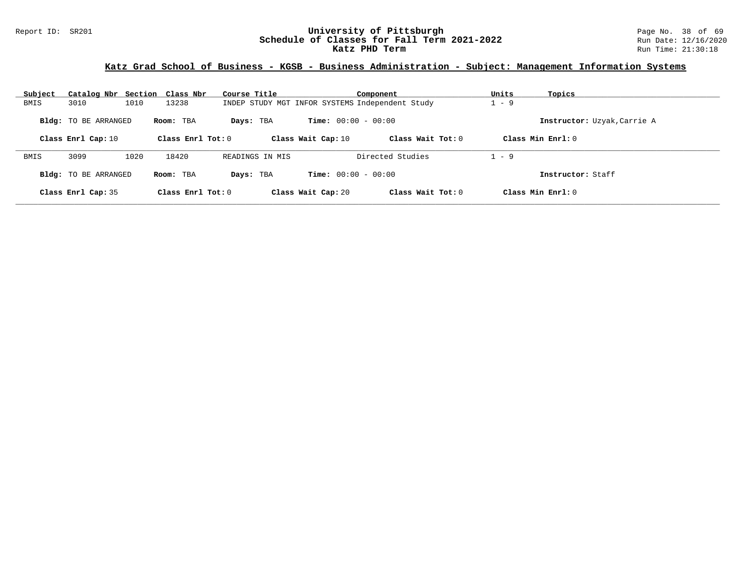#### Report ID: SR201 **University of Pittsburgh** Page No. 38 of 69 **Schedule of Classes for Fall Term 2021-2022** Run Date: 12/16/2020 **Katz PHD Term Run Time: 21:30:18**

# **Katz Grad School of Business - KGSB - Business Administration - Subject: Management Information Systems**

| Subject | Catalog Nbr Section Class Nbr |      |                     | Course Title                                    |                              | Component           | Units   | Topics                      |
|---------|-------------------------------|------|---------------------|-------------------------------------------------|------------------------------|---------------------|---------|-----------------------------|
| BMIS    | 3010                          | 1010 | 13238               | INDEP STUDY MGT INFOR SYSTEMS Independent Study |                              |                     | $-9$    |                             |
|         | <b>Bldg:</b> TO BE ARRANGED   |      | Room: TBA           | Days: TBA                                       | <b>Time:</b> $00:00 - 00:00$ |                     |         | Instructor: Uzyak, Carrie A |
|         | Class Enrl Cap: 10            |      | Class Enrl Tot: $0$ |                                                 | Class Wait Cap: 10           | Class Wait Tot: $0$ |         | Class Min $Enr1:0$          |
| BMIS    | 3099                          | 1020 | 18420               | READINGS IN MIS                                 |                              | Directed Studies    | $1 - 9$ |                             |
|         | <b>Bldg:</b> TO BE ARRANGED   |      | Room: TBA           | Days: TBA                                       | <b>Time:</b> $00:00 - 00:00$ |                     |         | Instructor: Staff           |
|         | Class Enrl Cap: 35            |      | Class Enrl Tot: $0$ |                                                 | Class Wait Cap: 20           | Class Wait Tot: $0$ |         | Class Min Enrl: 0           |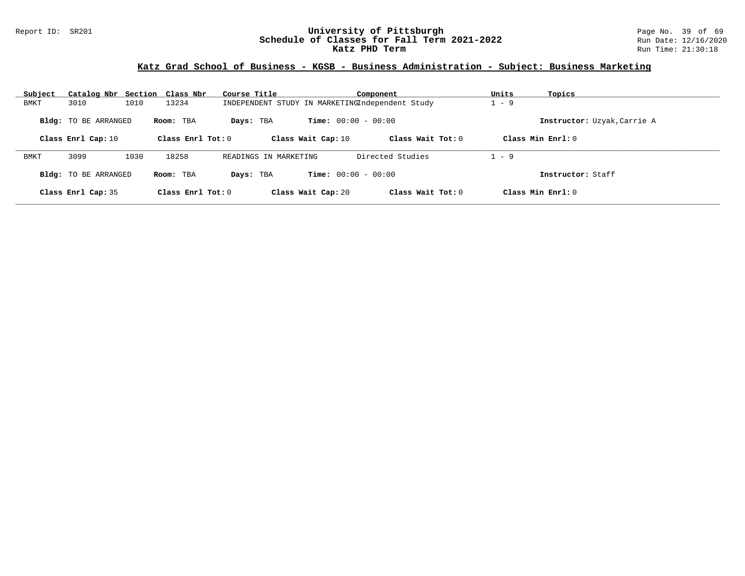#### Report ID: SR201 **University of Pittsburgh University of Pittsburgh** Page No. 39 of 69<br>**Schedule of Classes for Fall Term 2021-2022** Run Date: 12/16/2020 **Schedule of Classes for Fall Term 2021-2022** Run Date: 12/16/2020 **Katz PHD Term Run Time: 21:30:18**

| Subject     | Catalog Nbr Section Class Nbr |      |                     | Course Title                                    |                              | Component           | Units   | Topics                      |
|-------------|-------------------------------|------|---------------------|-------------------------------------------------|------------------------------|---------------------|---------|-----------------------------|
| BMKT        | 3010                          | 1010 | 13234               | INDEPENDENT STUDY IN MARKETINGIndependent Study |                              |                     | $1 - 9$ |                             |
|             | <b>Bldg:</b> TO BE ARRANGED   |      | Room: TBA           | Days: TBA                                       | <b>Time:</b> $00:00 - 00:00$ |                     |         | Instructor: Uzyak, Carrie A |
|             | Class Enrl Cap: 10            |      | Class Enrl Tot: $0$ |                                                 | Class Wait Cap: 10           | Class Wait Tot: $0$ |         | Class Min $Enrl: 0$         |
| <b>BMKT</b> | 3099                          | 1030 | 18258               | READINGS IN MARKETING                           |                              | Directed Studies    | $1 - 9$ |                             |
|             | <b>Bldg:</b> TO BE ARRANGED   |      | Room: TBA           | Days: TBA                                       | <b>Time:</b> $00:00 - 00:00$ |                     |         | Instructor: Staff           |
|             | Class Enrl Cap: 35            |      | Class Enrl Tot: $0$ |                                                 | Class Wait Cap: 20           | Class Wait Tot: $0$ |         | Class Min $Enrl: 0$         |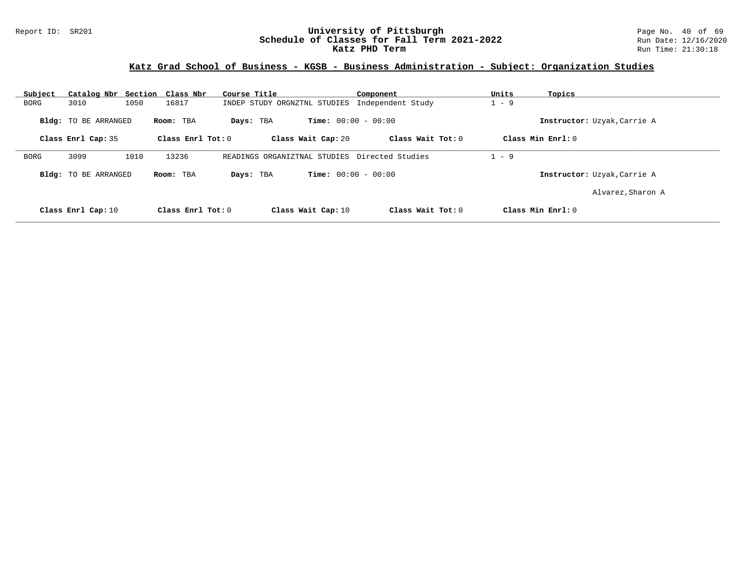#### Report ID: SR201 **1988 Mage 10: SR201 University of Pittsburgh** Page No. 40 of 69<br>**Schedule of Classes for Fall Term 2021-2022** 2011 Page 12/16/2020 **Schedule of Classes for Fall Term 2021-2022** Run Date: 12/16/2020 **Katz PHD Term Run Time: 21:30:18**

# **Katz Grad School of Business - KGSB - Business Administration - Subject: Organization Studies**

| Subject     | Catalog Nbr Section Class Nbr |                   | Course Title                 | Component                                     | Units<br>Topics             |
|-------------|-------------------------------|-------------------|------------------------------|-----------------------------------------------|-----------------------------|
| <b>BORG</b> | 1050<br>3010                  | 16817             | INDEP STUDY ORGNZTNL STUDIES | Independent Study                             | $1 - 9$                     |
|             | Bldg: TO BE ARRANGED          | Room: TBA         | Days: TBA                    | <b>Time:</b> $00:00 - 00:00$                  | Instructor: Uzyak, Carrie A |
|             | Class Enrl Cap: 35            | Class Enrl Tot: 0 | Class Wait Cap: 20           | Class Wait Tot: 0                             | Class Min Enrl: 0           |
| <b>BORG</b> | 3099<br>1010                  | 13236             |                              | READINGS ORGANIZTNAL STUDIES Directed Studies | $1 - 9$                     |
|             | <b>Bldg:</b> TO BE ARRANGED   | Room: TBA         | Days: TBA                    | <b>Time:</b> $00:00 - 00:00$                  | Instructor: Uzyak, Carrie A |
|             |                               |                   |                              |                                               | Alvarez, Sharon A           |
|             | Class Enrl Cap: 10            | Class Enrl Tot: 0 | Class Wait Cap: 10           | Class Wait Tot: 0                             | Class Min Enrl: 0           |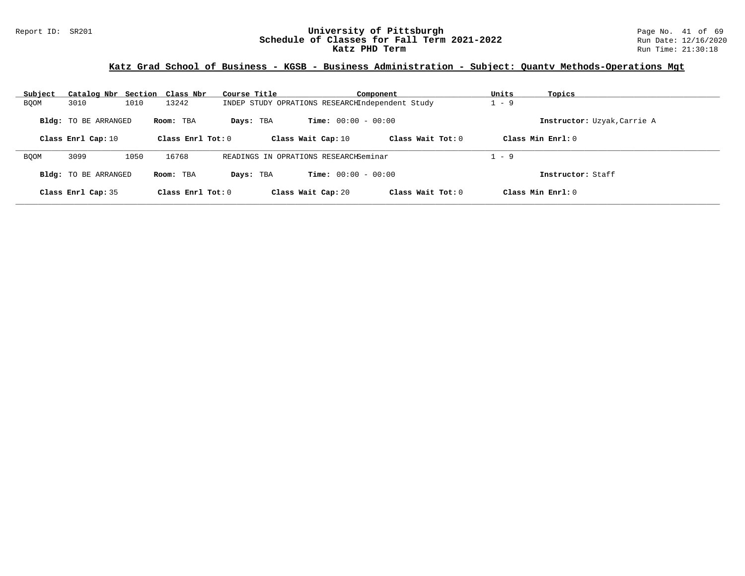#### Report ID: SR201 **University of Pittsburgh** Page No. 41 of 69 **Schedule of Classes for Fall Term 2021-2022** Run Date: 12/16/2020 **Katz PHD Term Run Time: 21:30:18**

## **Katz Grad School of Business - KGSB - Business Administration - Subject: Quantv Methods-Operations Mgt**

| Subject     | Catalog Nbr Section Class Nbr |      |                     | Course Title |                                                 | Component           | Units   | Topics                      |
|-------------|-------------------------------|------|---------------------|--------------|-------------------------------------------------|---------------------|---------|-----------------------------|
| <b>BQOM</b> | 3010                          | 1010 | 13242               |              | INDEP STUDY OPRATIONS RESEARCHIndependent Study |                     | $-9$    |                             |
|             | <b>Bldg:</b> TO BE ARRANGED   |      | Room: TBA           | Days: TBA    | <b>Time:</b> $00:00 - 00:00$                    |                     |         | Instructor: Uzyak, Carrie A |
|             | Class Enrl Cap: 10            |      | Class Enrl Tot: $0$ |              | Class Wait Cap: 10                              | Class Wait Tot: $0$ |         | Class Min $Enrl: 0$         |
| <b>BOOM</b> | 3099                          | 1050 | 16768               |              | READINGS IN OPRATIONS RESEARCHSeminar           |                     | $1 - 9$ |                             |
|             | Bldg: TO BE ARRANGED          |      | Room: TBA           | Days: TBA    | <b>Time:</b> $00:00 - 00:00$                    |                     |         | Instructor: Staff           |
|             | Class Enrl Cap: 35            |      | Class Enrl Tot: $0$ |              | Class Wait Cap: 20                              | Class Wait Tot: 0   |         | Class Min $Enrl: 0$         |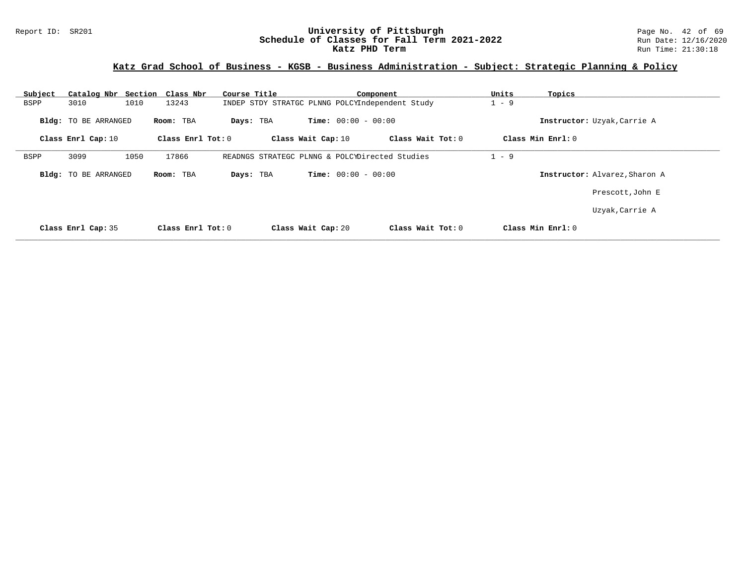## **Katz Grad School of Business - KGSB - Business Administration - Subject: Strategic Planning & Policy**

| Subject                     | Catalog Nbr Section Class Nbr | Course Title                                    | Component           | Units<br>Topics               |  |
|-----------------------------|-------------------------------|-------------------------------------------------|---------------------|-------------------------------|--|
| 3010<br>BSPP                | 1010<br>13243                 | INDEP STDY STRATGC PLNNG POLCYIndependent Study |                     | $1 - 9$                       |  |
| <b>Bldg:</b> TO BE ARRANGED | Room: TBA                     | <b>Time:</b> $00:00 - 00:00$<br>Days: TBA       |                     | Instructor: Uzyak, Carrie A   |  |
| Class Enrl Cap: 10          | Class Enrl Tot: $0$           | Class Wait Cap: 10                              | Class Wait Tot: 0   | Class Min Enrl: 0             |  |
| 3099<br>BSPP                | 1050<br>17866                 | READNGS STRATEGC PLNNG & POLCYDirected Studies  |                     | $1 - 9$                       |  |
| <b>Bldg:</b> TO BE ARRANGED | Room: TBA                     | <b>Time:</b> $00:00 - 00:00$<br>Days: TBA       |                     | Instructor: Alvarez, Sharon A |  |
|                             |                               |                                                 |                     | Prescott, John E              |  |
|                             |                               |                                                 |                     | Uzyak, Carrie A               |  |
| Class Enrl Cap: 35          | Class Enrl Tot: $0$           | Class Wait Cap: 20                              | Class Wait Tot: $0$ | Class Min $Enr1: 0$           |  |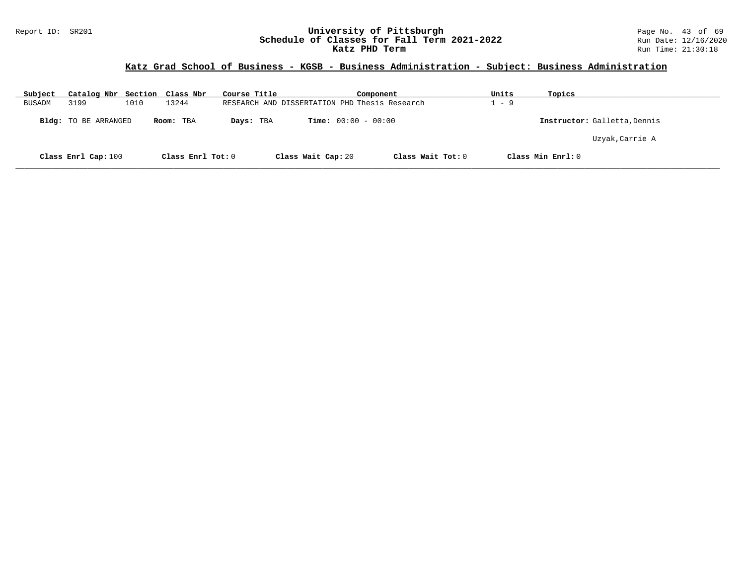#### Report ID: SR201 **University of Pittsburgh University of Pittsburgh** Page No. 43 of 69<br>**Schedule of Classes for Fall Term 2021-2022** Run Date: 12/16/2020 **Schedule of Classes for Fall Term 2021-2022** Run Date: 12/16/2020 **Katz PHD Term Run Time: 21:30:18**

| Subject       | Catalog Nbr Section Class Nbr |      |                   | Course Title |                              | Component                                     | Units | Topics                       |
|---------------|-------------------------------|------|-------------------|--------------|------------------------------|-----------------------------------------------|-------|------------------------------|
| <b>BUSADM</b> | 3199                          | 1010 | 13244             |              |                              | RESEARCH AND DISSERTATION PHD Thesis Research | $-9$  |                              |
|               | Bldg: TO BE ARRANGED          |      | Room: TBA         | Days: TBA    | <b>Time:</b> $00:00 - 00:00$ |                                               |       | Instructor: Galletta, Dennis |
|               |                               |      |                   |              |                              |                                               |       | Uzyak, Carrie A              |
|               | Class Enrl Cap: 100           |      | Class Enrl Tot: 0 |              | Class Wait Cap: 20           | Class Wait Tot: 0                             |       | Class Min Enrl: 0            |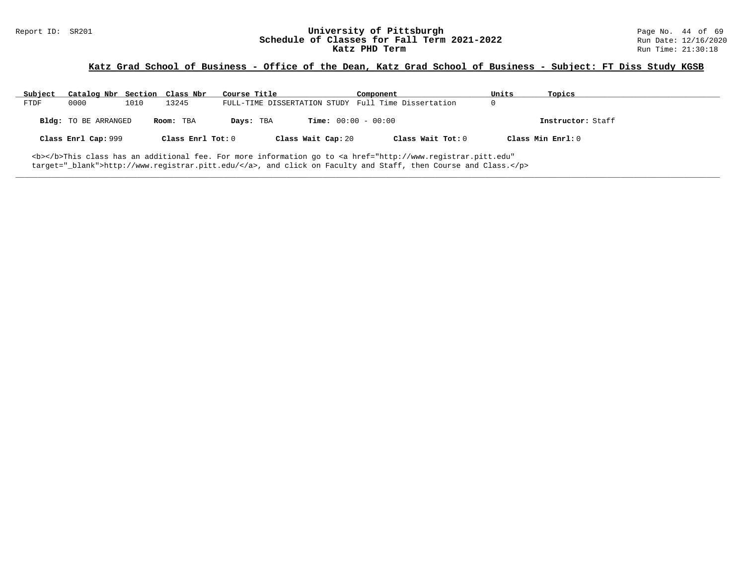# Report ID: SR201 **1988 Mage 10: SR201 University of Pittsburgh** Page No. 44 of 69<br>**Schedule of Classes for Fall Term 2021-2022** 2011 Page No. 44 of 69 and Date: 12/16/2020 Schedule of Classes for Fall Term 2021-2022<br>Katz PHD Term

## **Katz Grad School of Business - Office of the Dean, Katz Grad School of Business - Subject: FT Diss Study KGSB**

| Subject | Catalog Nbr Section Class Nbr |      |                   | Course Title |                              | Component                                                                                                                                      | Units | Topics            |
|---------|-------------------------------|------|-------------------|--------------|------------------------------|------------------------------------------------------------------------------------------------------------------------------------------------|-------|-------------------|
| FTDF    | 0000                          | 1010 | 13245             |              |                              | FULL-TIME DISSERTATION STUDY Full Time Dissertation                                                                                            |       |                   |
|         | Bldg: TO BE ARRANGED          |      | Room: TBA         | Days: TBA    | <b>Time:</b> $00:00 - 00:00$ |                                                                                                                                                |       | Instructor: Staff |
|         | Class Enrl Cap: 999           |      | Class Enrl Tot: 0 |              | Class Wait Cap: 20           | Class Wait Tot: 0                                                                                                                              |       | Class Min Enrl: 0 |
|         |                               |      |                   |              |                              | <b></b> This class has an additional fee. For more information go to <a <="" href="http://www.registrar.pitt.edu" td=""><td></td><td></td></a> |       |                   |

**\_\_\_\_\_\_\_\_\_\_\_\_\_\_\_\_\_\_\_\_\_\_\_\_\_\_\_\_\_\_\_\_\_\_\_\_\_\_\_\_\_\_\_\_\_\_\_\_\_\_\_\_\_\_\_\_\_\_\_\_\_\_\_\_\_\_\_\_\_\_\_\_\_\_\_\_\_\_\_\_\_\_\_\_\_\_\_\_\_\_\_\_\_\_\_\_\_\_\_\_\_\_\_\_\_\_\_\_\_\_\_\_\_\_\_\_\_\_\_\_\_\_\_\_\_\_\_\_\_\_\_\_\_\_\_\_\_\_\_\_\_\_\_\_\_\_\_\_\_\_\_\_\_\_\_\_**

target="\_blank">http://www.registrar.pitt.edu/</a>, and click on Faculty and Staff, then Course and Class.</p>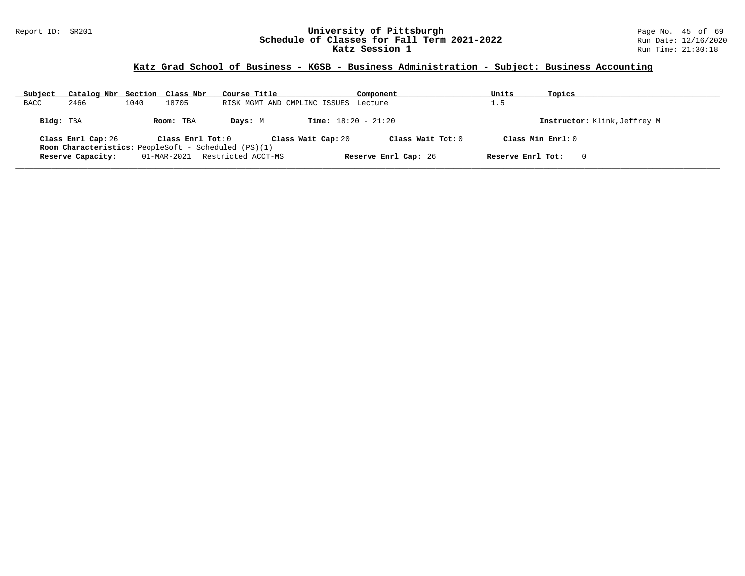#### Report ID: SR201 **University of Pittsburgh** Page No. 45 of 69 **Schedule of Classes for Fall Term 2021-2022** Run Date: 12/16/2020 **Katz Session 1** Run Time: 21:30:18

| Subject     | Catalog Nbr Section Class Nbr |      |                   | Course Title                                                |                                      | Component            | Units             | Topics                       |
|-------------|-------------------------------|------|-------------------|-------------------------------------------------------------|--------------------------------------|----------------------|-------------------|------------------------------|
| <b>BACC</b> | 2466                          | 1040 | 18705             |                                                             | RISK MGMT AND CMPLINC ISSUES Lecture |                      | 1.5               |                              |
| Bldg: TBA   |                               |      | Room: TBA         | Days: M                                                     | <b>Time:</b> $18:20 - 21:20$         |                      |                   | Instructor: Klink, Jeffrey M |
|             | Class Enrl Cap: 26            |      | Class Enrl Tot: 0 |                                                             | Class Wait Cap: 20                   | Class Wait Tot: $0$  |                   | Class Min $Enr1:0$           |
|             |                               |      |                   | <b>Room Characteristics:</b> PeopleSoft - Scheduled (PS)(1) |                                      |                      |                   |                              |
|             | Reserve Capacity:             |      | 01-MAR-2021       | Restricted ACCT-MS                                          |                                      | Reserve Enrl Cap: 26 | Reserve Enrl Tot: | $\Omega$                     |
|             |                               |      |                   |                                                             |                                      |                      |                   |                              |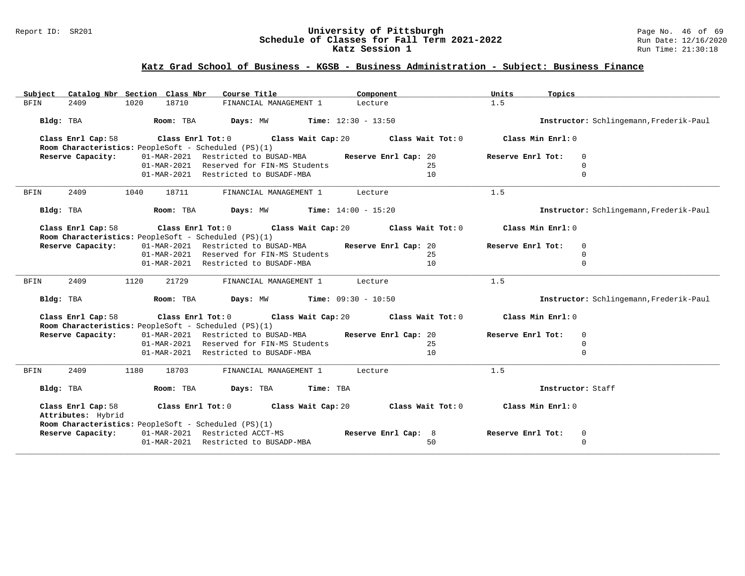#### Report ID: SR201 **University of Pittsburgh** Page No. 46 of 69 **Schedule of Classes for Fall Term 2021-2022** Run Date: 12/16/2020 **Katz Session 1** Run Time: 21:30:18

| Subject     | Catalog Nbr Section Class Nbr                        |      |                   | Course Title                         |                                              | Component                    |                      | Units             | Topics                                  |
|-------------|------------------------------------------------------|------|-------------------|--------------------------------------|----------------------------------------------|------------------------------|----------------------|-------------------|-----------------------------------------|
| <b>BFIN</b> | 2409                                                 | 1020 | 18710             |                                      | FINANCIAL MANAGEMENT 1                       | Lecture                      |                      | 1.5               |                                         |
|             | Bldg: TBA                                            |      | Room: TBA         | Days: MW                             |                                              | <b>Time:</b> $12:30 - 13:50$ |                      |                   | Instructor: Schlingemann, Frederik-Paul |
|             | Class Enrl Cap: 58                                   |      | Class Enrl Tot: 0 |                                      | Class Wait Cap: 20                           |                              | Class Wait Tot: 0    | Class Min Enrl: 0 |                                         |
|             | Room Characteristics: PeopleSoft - Scheduled (PS)(1) |      |                   |                                      |                                              |                              |                      |                   |                                         |
|             | Reserve Capacity:                                    |      |                   | 01-MAR-2021 Restricted to BUSAD-MBA  |                                              |                              | Reserve Enrl Cap: 20 | Reserve Enrl Tot: | 0                                       |
|             |                                                      |      | 01-MAR-2021       |                                      | Reserved for FIN-MS Students                 |                              | 25                   |                   | $\Omega$                                |
|             |                                                      |      | 01-MAR-2021       | Restricted to BUSADF-MBA             |                                              |                              | 10                   |                   | $\Omega$                                |
| <b>BFIN</b> | 2409                                                 | 1040 | 18711             |                                      | FINANCIAL MANAGEMENT 1                       | Lecture                      |                      | 1.5               |                                         |
|             | Bldg: TBA                                            |      | Room: TBA         |                                      | Days: MW                                     | <b>Time:</b> $14:00 - 15:20$ |                      |                   | Instructor: Schlingemann, Frederik-Paul |
|             | Class Enrl Cap: 58                                   |      | Class Enrl Tot: 0 |                                      | Class Wait Cap: 20                           |                              | Class Wait Tot: 0    | Class Min Enrl: 0 |                                         |
|             | Room Characteristics: PeopleSoft - Scheduled (PS)(1) |      |                   |                                      |                                              |                              |                      |                   |                                         |
|             | Reserve Capacity:                                    |      |                   | 01-MAR-2021 Restricted to BUSAD-MBA  |                                              |                              | Reserve Enrl Cap: 20 | Reserve Enrl Tot: | $\mathbf 0$                             |
|             |                                                      |      |                   |                                      | 01-MAR-2021 Reserved for FIN-MS Students     |                              | 25                   |                   | $\mathbf 0$                             |
|             |                                                      |      | 01-MAR-2021       | Restricted to BUSADF-MBA             |                                              |                              | 10                   |                   | $\Omega$                                |
| <b>BFIN</b> | 2409                                                 | 1120 | 21729             |                                      | FINANCIAL MANAGEMENT 1                       | Lecture                      |                      | 1.5               |                                         |
|             |                                                      |      |                   |                                      |                                              |                              |                      |                   |                                         |
|             | Bldg: TBA                                            |      | Room: TBA         |                                      | <b>Days:</b> MW <b>Time:</b> $09:30 - 10:50$ |                              |                      |                   | Instructor: Schlingemann, Frederik-Paul |
|             | Class Enrl Cap: 58                                   |      | Class Enrl Tot: 0 |                                      | Class Wait Cap: 20                           |                              | Class Wait Tot: 0    | Class Min Enrl: 0 |                                         |
|             | Room Characteristics: PeopleSoft - Scheduled (PS)(1) |      |                   |                                      |                                              |                              |                      |                   |                                         |
|             | Reserve Capacity:                                    |      |                   | 01-MAR-2021 Restricted to BUSAD-MBA  |                                              |                              | Reserve Enrl Cap: 20 | Reserve Enrl Tot: | $\mathbf 0$                             |
|             |                                                      |      |                   |                                      | 01-MAR-2021 Reserved for FIN-MS Students     |                              | 25                   |                   | $\mathbf 0$                             |
|             |                                                      |      |                   | 01-MAR-2021 Restricted to BUSADF-MBA |                                              |                              | 10                   |                   | $\Omega$                                |
| BFIN        | 2409                                                 | 1180 | 18703             |                                      | FINANCIAL MANAGEMENT 1                       | Lecture                      |                      | 1.5               |                                         |
|             | Bldg: TBA                                            |      | Room: TBA         | Days: TBA                            |                                              | Time: TBA                    |                      |                   | Instructor: Staff                       |
|             | Class Enrl Cap: 58<br>Attributes: Hybrid             |      | Class Enrl Tot: 0 |                                      | Class Wait Cap: 20                           |                              | Class Wait Tot: 0    | Class Min Enrl: 0 |                                         |
|             | Room Characteristics: PeopleSoft - Scheduled (PS)(1) |      |                   |                                      |                                              |                              |                      |                   |                                         |
|             | Reserve Capacity:                                    |      |                   | 01-MAR-2021 Restricted ACCT-MS       |                                              |                              | Reserve Enrl Cap: 8  | Reserve Enrl Tot: | 0                                       |
|             |                                                      |      |                   | 01-MAR-2021 Restricted to BUSADP-MBA |                                              |                              | 50                   |                   | $\mathbf 0$                             |
|             |                                                      |      |                   |                                      |                                              |                              |                      |                   |                                         |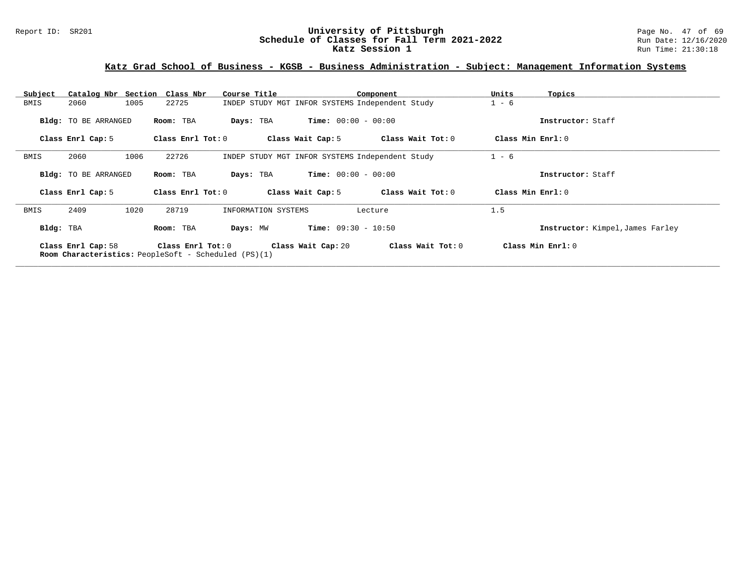# Report ID: SR201 **University of Pittsburgh University of Pittsburgh** Page No. 47 of 69<br>**Schedule of Classes for Fall Term 2021-2022** Run Date: 12/16/2020 Schedule of Classes for Fall Term 2021-2022<br>Katz Session 1

# **Katz Grad School of Business - KGSB - Business Administration - Subject: Management Information Systems**

| Subject   | Catalog Nbr Section Class Nbr                                              |                   | Course Title        |                                                 | Component         | Units             | Topics                           |
|-----------|----------------------------------------------------------------------------|-------------------|---------------------|-------------------------------------------------|-------------------|-------------------|----------------------------------|
| BMIS      | 1005<br>2060                                                               | 22725             |                     | INDEP STUDY MGT INFOR SYSTEMS Independent Study |                   | $1 - 6$           |                                  |
|           | <b>Bldg:</b> TO BE ARRANGED                                                | Room: TBA         | Days: TBA           | <b>Time:</b> $00:00 - 00:00$                    |                   |                   | Instructor: Staff                |
|           | Class Enrl Cap: 5                                                          | Class Enrl Tot: 0 |                     | Class Wait Cap: 5                               | Class Wait Tot: 0 | Class Min Enrl: 0 |                                  |
| BMIS      | 2060<br>1006                                                               | 22726             |                     | INDEP STUDY MGT INFOR SYSTEMS Independent Study |                   | $1 - 6$           |                                  |
|           | <b>Bldg:</b> TO BE ARRANGED                                                | Room: TBA         | Days: TBA           | <b>Time:</b> $00:00 - 00:00$                    |                   |                   | Instructor: Staff                |
|           | Class Enrl Cap: 5                                                          | Class Enrl Tot: 0 |                     | Class Wait Cap: 5                               | Class Wait Tot: 0 | Class Min Enrl: 0 |                                  |
| BMIS      | 2409<br>1020                                                               | 28719             | INFORMATION SYSTEMS |                                                 | Lecture           | 1.5               |                                  |
| Bldg: TBA |                                                                            | Room: TBA         | Days: MW            | <b>Time:</b> $09:30 - 10:50$                    |                   |                   | Instructor: Kimpel, James Farley |
|           | Class Enrl Cap: 58<br>Room Characteristics: PeopleSoft - Scheduled (PS)(1) | Class Enrl Tot: 0 |                     | Class Wait Cap: 20                              | Class Wait Tot: 0 |                   | Class Min Enrl: 0                |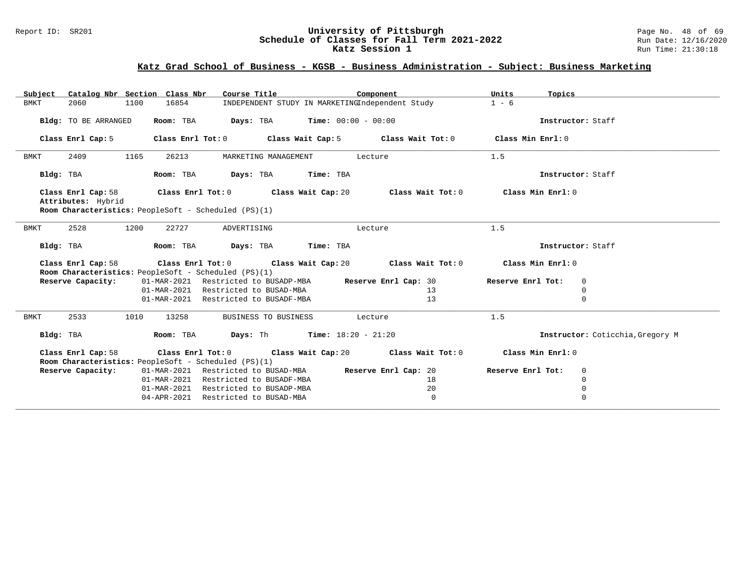#### Report ID: SR201 **University of Pittsburgh** Page No. 48 of 69 **Schedule of Classes for Fall Term 2021-2022** Run Date: 12/16/2020 **Katz Session 1** Run Time: 21:30:18

| Subject             |                      | Catalog Nbr Section Class Nbr | Course Title                                         | Component                                                                                            | Units<br>Topics   |                                  |
|---------------------|----------------------|-------------------------------|------------------------------------------------------|------------------------------------------------------------------------------------------------------|-------------------|----------------------------------|
| <b>BMKT</b><br>2060 | 1100                 | 16854                         |                                                      | INDEPENDENT STUDY IN MARKETINGIndependent Study                                                      | $1 - 6$           |                                  |
|                     |                      |                               |                                                      |                                                                                                      |                   |                                  |
|                     | Bldg: TO BE ARRANGED | Room: TBA                     | <b>Days:</b> TBA <b>Time:</b> $00:00 - 00:00$        |                                                                                                      | Instructor: Staff |                                  |
| Class Enrl Cap: 5   |                      |                               | Class Enrl Tot: 0 Class Wait Cap: 5                  | Class Wait Tot: 0                                                                                    | Class Min Enrl: 0 |                                  |
| 2409<br>BMKT        | 1165                 | 26213                         | MARKETING MANAGEMENT                                 | Lecture                                                                                              | 1.5               |                                  |
| Bldg: TBA           |                      | Room: TBA                     | Days: TBA                                            | Time: TBA                                                                                            | Instructor: Staff |                                  |
|                     |                      |                               |                                                      | Class Enrl Cap: 58 $\qquad$ Class Enrl Tot: 0 $\qquad$ Class Wait Cap: 20 $\qquad$ Class Wait Tot: 0 | Class Min Enrl: 0 |                                  |
| Attributes: Hybrid  |                      |                               |                                                      |                                                                                                      |                   |                                  |
|                     |                      |                               | Room Characteristics: PeopleSoft - Scheduled (PS)(1) |                                                                                                      |                   |                                  |
| 2528<br>BMKT        | 1200                 | 22727                         | ADVERTISING                                          | Lecture                                                                                              | 1.5               |                                  |
| Bldg: TBA           |                      | Room: TBA                     | Days: TBA                                            | Time: TBA                                                                                            | Instructor: Staff |                                  |
|                     |                      |                               |                                                      |                                                                                                      | Class Min Enrl: 0 |                                  |
| Class Enrl Cap: 58  |                      |                               | Room Characteristics: PeopleSoft - Scheduled (PS)(1) | Class Enrl Tot: $0$ Class Wait Cap: $20$ Class Wait Tot: $0$                                         |                   |                                  |
| Reserve Capacity:   |                      |                               |                                                      | 01-MAR-2021 Restricted to BUSADP-MBA Reserve Enrl Cap: 30                                            | Reserve Enrl Tot: | 0                                |
|                     |                      |                               | 01-MAR-2021 Restricted to BUSAD-MBA                  | 13                                                                                                   |                   | 0                                |
|                     |                      |                               | 01-MAR-2021 Restricted to BUSADF-MBA                 | 13                                                                                                   |                   | 0                                |
| <b>BMKT</b><br>2533 | 1010                 | 13258                         | BUSINESS TO BUSINESS                                 | Lecture                                                                                              | 1.5               |                                  |
| Bldg: TBA           |                      | Room: TBA                     | <b>Days:</b> Th <b>Time:</b> $18:20 - 21:20$         |                                                                                                      |                   | Instructor: Coticchia, Gregory M |
| Class Enrl Cap: 58  |                      |                               |                                                      | Class Enrl Tot: $0$ Class Wait Cap: $20$ Class Wait Tot: $0$                                         | Class Min Enrl: 0 |                                  |
|                     |                      |                               | Room Characteristics: PeopleSoft - Scheduled (PS)(1) |                                                                                                      |                   |                                  |
| Reserve Capacity:   |                      |                               |                                                      | 01-MAR-2021 Restricted to BUSAD-MBA Reserve Enrl Cap: 20                                             | Reserve Enrl Tot: | $\overline{0}$                   |
|                     |                      |                               | 01-MAR-2021 Restricted to BUSADF-MBA                 | 18                                                                                                   |                   | 0                                |
|                     |                      |                               | 01-MAR-2021 Restricted to BUSADP-MBA                 | 20                                                                                                   |                   | 0                                |
|                     |                      |                               | 04-APR-2021 Restricted to BUSAD-MBA                  | $\mathbf 0$                                                                                          |                   | $\Omega$                         |
|                     |                      |                               |                                                      |                                                                                                      |                   |                                  |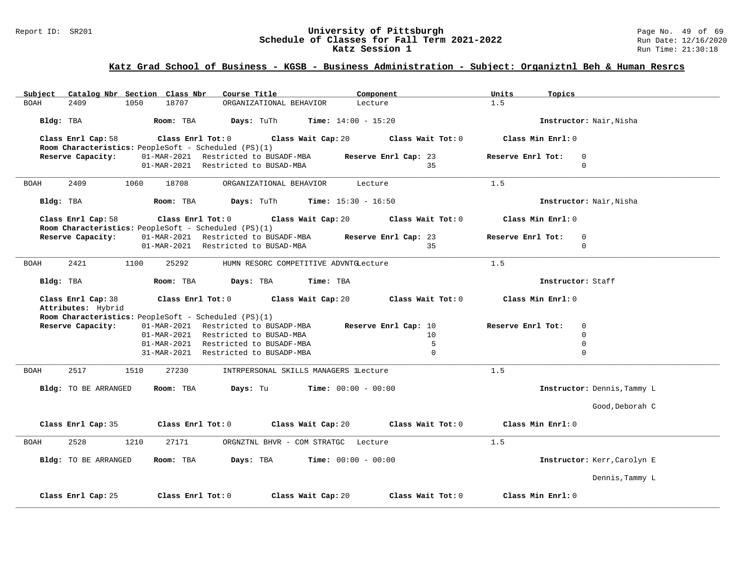# Report ID: SR201 **University of Pittsburgh University of Pittsburgh** Page No. 49 of 69<br>**Schedule of Classes for Fall Term 2021-2022** Run Date: 12/16/2020 Schedule of Classes for Fall Term 2021-2022<br>Katz Session 1

## **Katz Grad School of Business - KGSB - Business Administration - Subject: Organiztnl Beh & Human Resrcs**

| Subject     | Catalog Nbr Section Class Nbr                                              |      |                                                      | Course Title                         |                                       | Component                    |                      | Units             | Topics            |                             |  |
|-------------|----------------------------------------------------------------------------|------|------------------------------------------------------|--------------------------------------|---------------------------------------|------------------------------|----------------------|-------------------|-------------------|-----------------------------|--|
| <b>BOAH</b> | 2409                                                                       | 1050 | 18707                                                |                                      | ORGANIZATIONAL BEHAVIOR               | Lecture                      |                      | 1.5               |                   |                             |  |
| Bldg: TBA   |                                                                            |      | Room: TBA                                            | Days: TuTh                           |                                       | <b>Time:</b> $14:00 - 15:20$ |                      |                   |                   | Instructor: Nair, Nisha     |  |
|             | Class Enrl Cap: 58<br>Room Characteristics: PeopleSoft - Scheduled (PS)(1) |      | $\texttt{Class}$ $\texttt{Enrl}$ $\texttt{Tot:}$ $0$ |                                      | Class Wait Cap: 20                    |                              | Class Wait Tot: 0    |                   | Class Min Enrl: 0 |                             |  |
|             | Reserve Capacity:                                                          |      |                                                      | 01-MAR-2021 Restricted to BUSADF-MBA |                                       |                              | Reserve Enrl Cap: 23 | Reserve Enrl Tot: |                   | $\Omega$                    |  |
|             |                                                                            |      |                                                      | 01-MAR-2021 Restricted to BUSAD-MBA  |                                       |                              | 35                   |                   |                   | $\Omega$                    |  |
| BOAH        | 2409                                                                       | 1060 | 18708                                                |                                      | ORGANIZATIONAL BEHAVIOR               | Lecture                      |                      | 1.5               |                   |                             |  |
| Bldg: TBA   |                                                                            |      | Room: TBA                                            | Days: TuTh                           |                                       | <b>Time:</b> $15:30 - 16:50$ |                      |                   |                   | Instructor: Nair, Nisha     |  |
|             | Class Enrl Cap: 58<br>Room Characteristics: PeopleSoft - Scheduled (PS)(1) |      | Class Enrl Tot: 0                                    |                                      | Class Wait Cap: 20                    |                              | Class Wait Tot: 0    |                   | Class Min Enrl: 0 |                             |  |
|             | Reserve Capacity:                                                          |      |                                                      |                                      | 01-MAR-2021 Restricted to BUSADF-MBA  |                              | Reserve Enrl Cap: 23 | Reserve Enrl Tot: |                   | $\mathbf 0$                 |  |
|             |                                                                            |      |                                                      | 01-MAR-2021 Restricted to BUSAD-MBA  |                                       |                              | 35                   |                   |                   | 0                           |  |
| BOAH        | 2421                                                                       | 1100 | 25292                                                |                                      | HUMN RESORC COMPETITIVE ADVNTGLecture |                              |                      | 1.5               |                   |                             |  |
| Bldg: TBA   |                                                                            |      | Room: TBA                                            | Days: TBA                            |                                       | Time: TBA                    |                      |                   | Instructor: Staff |                             |  |
|             | Class Enrl Cap: 38<br>Attributes: Hybrid                                   |      | Class Enrl Tot: 0                                    |                                      | Class Wait Cap: 20                    |                              | Class Wait Tot: 0    |                   | Class Min Enrl: 0 |                             |  |
|             | Room Characteristics: PeopleSoft - Scheduled (PS)(1)                       |      |                                                      |                                      |                                       |                              |                      |                   |                   |                             |  |
|             | Reserve Capacity:                                                          |      |                                                      | 01-MAR-2021 Restricted to BUSADP-MBA |                                       |                              | Reserve Enrl Cap: 10 | Reserve Enrl Tot: |                   | $\mathbf 0$                 |  |
|             |                                                                            |      |                                                      | 01-MAR-2021 Restricted to BUSAD-MBA  |                                       |                              | 10                   |                   |                   | $\Omega$                    |  |
|             |                                                                            |      |                                                      | 01-MAR-2021 Restricted to BUSADF-MBA |                                       |                              | 5                    |                   |                   | $\mathbf 0$                 |  |
|             |                                                                            |      |                                                      | 31-MAR-2021 Restricted to BUSADP-MBA |                                       |                              | $\Omega$             |                   |                   | $\Omega$                    |  |
| BOAH        | 2517                                                                       | 1510 | 27230                                                |                                      | INTRPERSONAL SKILLS MANAGERS lLecture |                              |                      | 1.5               |                   |                             |  |
|             | Bldg: TO BE ARRANGED                                                       |      | Room: TBA                                            | Days: Tu                             |                                       | <b>Time:</b> $00:00 - 00:00$ |                      |                   |                   | Instructor: Dennis, Tammy L |  |
|             |                                                                            |      |                                                      |                                      |                                       |                              |                      |                   |                   | Good, Deborah C             |  |
|             | Class Enrl Cap: 35                                                         |      | Class Enrl Tot: 0                                    |                                      | Class Wait Cap: 20                    |                              | Class Wait Tot: 0    |                   | Class Min Enrl: 0 |                             |  |
| <b>BOAH</b> | 2528                                                                       | 1210 | 27171                                                |                                      | ORGNZTNL BHVR - COM STRATGC Lecture   |                              |                      | 1.5               |                   |                             |  |
|             | Bldg: TO BE ARRANGED                                                       |      | Room: TBA                                            | Days: TBA                            |                                       | <b>Time:</b> $00:00 - 00:00$ |                      |                   |                   | Instructor: Kerr, Carolyn E |  |
|             |                                                                            |      |                                                      |                                      |                                       |                              |                      |                   |                   | Dennis, Tammy L             |  |
|             | Class Enrl Cap: 25                                                         |      | Class Enrl Tot: 0                                    |                                      | Class Wait Cap: 20                    |                              | Class Wait Tot: 0    |                   | Class Min Enrl: 0 |                             |  |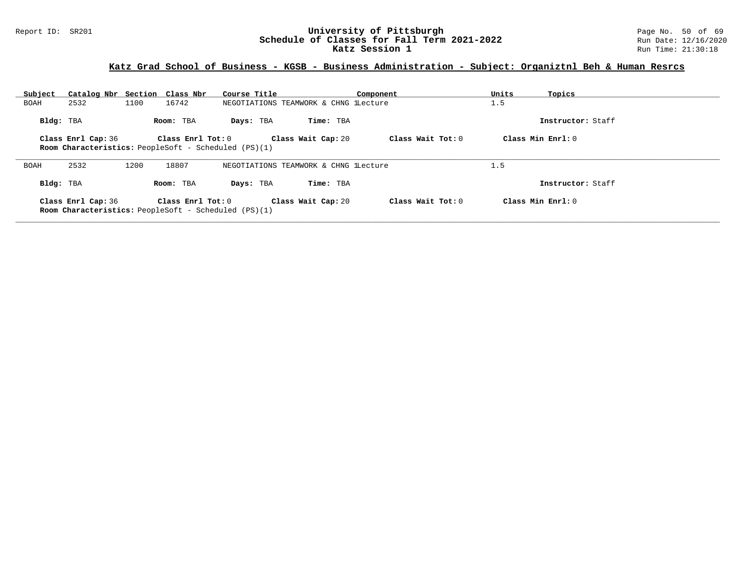# Report ID: SR201 **1988 Construment Superversity of Pittsburgh** Page No. 50 of 69 and Duniversity of Pittsburgh Page No. 50 of 69 and Duniversity of Pittsburgh Page No. 50 of 69 and Duniversity of Classes for Fall Term 2021 Schedule of Classes for Fall Term 2021-2022<br>Katz Session 1

# **Katz Grad School of Business - KGSB - Business Administration - Subject: Organiztnl Beh & Human Resrcs**

| Subject   | Catalog Nbr Section Class Nbr |      |                                                      | Course Title |                                       | Component         | Units | Topics              |
|-----------|-------------------------------|------|------------------------------------------------------|--------------|---------------------------------------|-------------------|-------|---------------------|
| BOAH      | 2532                          | 1100 | 16742                                                |              | NEGOTIATIONS TEAMWORK & CHNG lLecture |                   | 1.5   |                     |
| Bldg: TBA |                               |      | Room: TBA                                            | Days: TBA    | Time: TBA                             |                   |       | Instructor: Staff   |
|           | Class Enrl Cap: 36            |      | Class Enrl Tot: 0                                    |              | Class Wait Cap: 20                    | Class Wait Tot: 0 |       | Class Min $Enr1: 0$ |
|           |                               |      | Room Characteristics: PeopleSoft - Scheduled (PS)(1) |              |                                       |                   |       |                     |
| BOAH      | 2532                          | 1200 | 18807                                                |              | NEGOTIATIONS TEAMWORK & CHNG lLecture |                   | 1.5   |                     |
| Bldg: TBA |                               |      | Room: TBA                                            | Days: TBA    | Time: TBA                             |                   |       | Instructor: Staff   |
|           | Class Enrl Cap: 36            |      | Class Enrl Tot: 0                                    |              | Class Wait Cap: 20                    | Class Wait Tot: 0 |       | Class Min Enrl: 0   |
|           |                               |      | Room Characteristics: PeopleSoft - Scheduled (PS)(1) |              |                                       |                   |       |                     |
|           |                               |      |                                                      |              |                                       |                   |       |                     |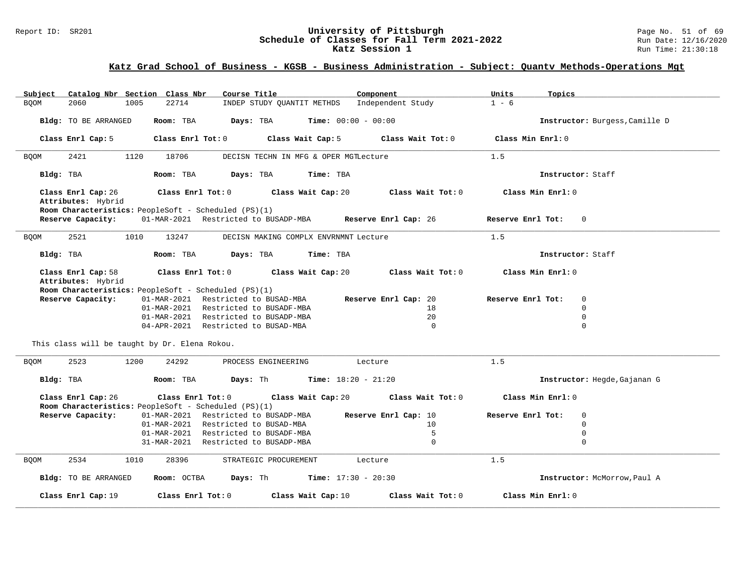# Report ID: SR201 **1988 Mage 10: SR201 University of Pittsburgh** Page No. 51 of 69<br>**Schedule of Classes for Fall Term 2021-2022** 2011 Page 12/16/2020 Schedule of Classes for Fall Term 2021-2022<br>Katz Session 1

## **Katz Grad School of Business - KGSB - Business Administration - Subject: Quantv Methods-Operations Mgt**

| Subject<br>Catalog Nbr Section Class Nbr<br>Course Title<br>Component                    | Units<br>Topics                  |
|------------------------------------------------------------------------------------------|----------------------------------|
| 2060<br>1005<br>22714<br>Independent Study<br><b>BQOM</b><br>INDEP STUDY QUANTIT METHDS  | $1 - 6$                          |
|                                                                                          |                                  |
|                                                                                          |                                  |
| Room: TBA<br><b>Time:</b> $00:00 - 00:00$<br>Bldg: TO BE ARRANGED<br>Days: TBA           | Instructor: Burgess, Camille D   |
|                                                                                          |                                  |
| Class Enrl Cap: 5<br>Class Enrl Tot: 0<br>Class Wait Cap: 5<br>Class Wait Tot: 0         | Class Min Enrl: 0                |
|                                                                                          |                                  |
| 2421<br>1120<br>18706<br><b>BOOM</b><br>DECISN TECHN IN MFG & OPER MGTLecture            | 1.5                              |
|                                                                                          |                                  |
|                                                                                          | Instructor: Staff                |
| Bldg: TBA<br>Days: TBA<br>Room: TBA<br>Time: TBA                                         |                                  |
|                                                                                          |                                  |
| Class Enrl Cap: 26<br>Class Enrl Tot: 0<br>Class Wait Cap: 20<br>Class Wait Tot: 0       | Class Min Enrl: 0                |
| Attributes: Hybrid                                                                       |                                  |
| Room Characteristics: PeopleSoft - Scheduled (PS)(1)                                     |                                  |
| Reserve Capacity:<br>01-MAR-2021 Restricted to BUSADP-MBA Reserve Enrl Cap: 26           | Reserve Enrl Tot: 0              |
|                                                                                          |                                  |
|                                                                                          |                                  |
| 2521<br>13247<br>DECISN MAKING COMPLX ENVRNMNT Lecture<br><b>BQOM</b><br>1010            | 1.5                              |
|                                                                                          |                                  |
| Time: TBA<br>Bldg: TBA<br>Room: TBA<br>Days: TBA                                         | Instructor: Staff                |
|                                                                                          |                                  |
| Class Enrl Cap: 58<br>$Class$ $Enrl$ $Tot: 0$<br>Class Wait Cap: 20<br>Class Wait Tot: 0 | Class Min Enrl: 0                |
| Attributes: Hybrid                                                                       |                                  |
|                                                                                          |                                  |
| Room Characteristics: PeopleSoft - Scheduled (PS)(1)                                     |                                  |
| Reserve Capacity:<br>01-MAR-2021 Restricted to BUSAD-MBA<br>Reserve Enrl Cap: 20         | Reserve Enrl Tot:<br>$\mathbf 0$ |
| 01-MAR-2021 Restricted to BUSADF-MBA<br>18                                               | $\mathbf 0$                      |
| 20 <sup>°</sup><br>01-MAR-2021 Restricted to BUSADP-MBA                                  | $\Omega$                         |
| 04-APR-2021 Restricted to BUSAD-MBA<br>$\Omega$                                          | $\mathbf 0$                      |
|                                                                                          |                                  |
|                                                                                          |                                  |
| This class will be taught by Dr. Elena Rokou.                                            |                                  |
|                                                                                          |                                  |
| 2523<br>1200<br>24292<br>PROCESS ENGINEERING<br><b>BQOM</b><br>Lecture                   | 1.5                              |
|                                                                                          |                                  |
| Days: Th<br>Bldg: TBA<br>Room: TBA<br><b>Time:</b> $18:20 - 21:20$                       | Instructor: Hegde, Gajanan G     |
|                                                                                          |                                  |
|                                                                                          |                                  |
| Class Enrl Cap: 26<br>Class Enrl Tot: $0$<br>Class Wait Cap: 20<br>Class Wait Tot: 0     | Class Min Enrl: 0                |
| Room Characteristics: PeopleSoft - Scheduled (PS)(1)                                     |                                  |
| Reserve Capacity:<br>01-MAR-2021 Restricted to BUSADP-MBA<br>Reserve Enrl Cap: 10        | $\Omega$<br>Reserve Enrl Tot:    |
| Restricted to BUSAD-MBA<br>01-MAR-2021<br>10                                             | $\Omega$                         |
| 5<br>01-MAR-2021<br>Restricted to BUSADF-MBA                                             | 0                                |
| $\mathbf 0$<br>31-MAR-2021 Restricted to BUSADP-MBA                                      | $\mathbf 0$                      |
|                                                                                          |                                  |
|                                                                                          |                                  |
| 2534<br><b>BQOM</b><br>28396<br>STRATEGIC PROCUREMENT<br>Lecture<br>1010                 | 1.5                              |
|                                                                                          |                                  |
| Time: $17:30 - 20:30$<br>Bldg: TO BE ARRANGED<br>Room: OCTBA<br>Days: Th                 | Instructor: McMorrow, Paul A     |
|                                                                                          |                                  |
| Class Enrl Tot: 0<br>Class Wait Cap: 10<br>Class Wait Tot: 0<br>Class Enrl Cap: 19       | Class Min Enrl: 0                |
|                                                                                          |                                  |
|                                                                                          |                                  |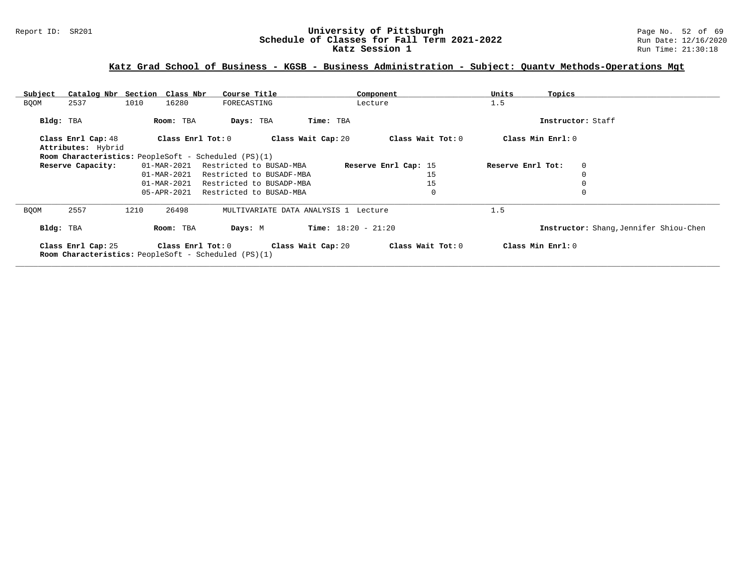# Report ID: SR201 **University of Pittsburgh University of Pittsburgh** Page No. 52 of 69<br>**Schedule of Classes for Fall Term 2021-2022** Run Date: 12/16/2020 Schedule of Classes for Fall Term 2021-2022<br>Katz Session 1

# **Katz Grad School of Business - KGSB - Business Administration - Subject: Quantv Methods-Operations Mgt**

| Subject     |                                                                                   | Catalog Nbr Section Class Nbr |                     | Course Title             |                                      |                              | Component            | Units             | Topics            |                                        |
|-------------|-----------------------------------------------------------------------------------|-------------------------------|---------------------|--------------------------|--------------------------------------|------------------------------|----------------------|-------------------|-------------------|----------------------------------------|
| <b>BQOM</b> | 2537                                                                              | 1010                          | 16280               | FORECASTING              |                                      |                              | Lecture              | 1.5               |                   |                                        |
| Bldg: TBA   |                                                                                   | Room: TBA                     |                     | Days: TBA                | Time: TBA                            |                              |                      |                   |                   | Instructor: Staff                      |
|             | Class Enrl Cap: 48<br>Attributes: Hybrid                                          |                               | Class Enrl Tot: $0$ |                          | Class Wait Cap: 20                   |                              | Class Wait Tot: 0    |                   | Class Min Enrl: 0 |                                        |
|             | <b>Room Characteristics:</b> PeopleSoft - Scheduled (PS)(1)                       |                               |                     |                          |                                      |                              |                      |                   |                   |                                        |
|             | Reserve Capacity:                                                                 | 01-MAR-2021                   |                     | Restricted to BUSAD-MBA  |                                      |                              | Reserve Enrl Cap: 15 | Reserve Enrl Tot: |                   | $\mathbf{0}$                           |
|             |                                                                                   | 01-MAR-2021                   |                     | Restricted to BUSADF-MBA |                                      |                              | 15                   |                   |                   | $\Omega$                               |
|             |                                                                                   | 01-MAR-2021                   |                     | Restricted to BUSADP-MBA |                                      |                              | 15                   |                   |                   |                                        |
|             |                                                                                   | 05-APR-2021                   |                     | Restricted to BUSAD-MBA  |                                      |                              | $\mathbf 0$          |                   |                   | $\Omega$                               |
| <b>BOOM</b> | 2557                                                                              | 1210<br>26498                 |                     |                          | MULTIVARIATE DATA ANALYSIS 1 Lecture |                              |                      | 1.5               |                   |                                        |
| Bldg: TBA   |                                                                                   | Room: TBA                     |                     | Days: M                  |                                      | <b>Time:</b> $18:20 - 21:20$ |                      |                   |                   | Instructor: Shang, Jennifer Shiou-Chen |
|             | Class Enrl Cap: 25<br><b>Room Characteristics:</b> PeopleSoft - Scheduled (PS)(1) |                               | Class Enrl Tot: 0   |                          | Class Wait Cap: 20                   |                              | Class Wait Tot: 0    |                   | Class Min Enrl: 0 |                                        |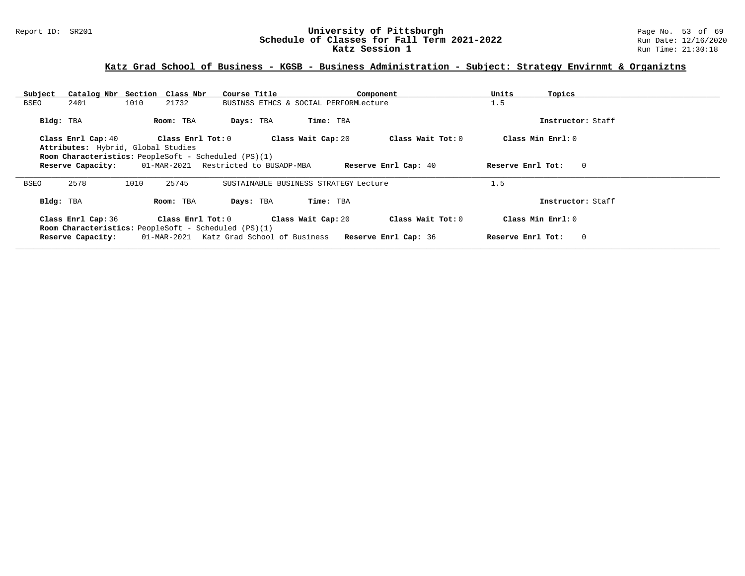# Report ID: SR201 **University of Pittsburgh University of Pittsburgh** Page No. 53 of 69<br>**Schedule of Classes for Fall Term 2021-2022** Run Date: 12/16/2020 Schedule of Classes for Fall Term 2021-2022<br>Katz Session 1

# **Katz Grad School of Business - KGSB - Business Administration - Subject: Strategy Envirnmt & Organiztns**

| Subject     | Catalog Nbr Section Class Nbr      |      |                                                             | Course Title |                                       | Component                                                     | Units             | Topics            |
|-------------|------------------------------------|------|-------------------------------------------------------------|--------------|---------------------------------------|---------------------------------------------------------------|-------------------|-------------------|
| BSEO        | 2401                               | 1010 | 21732                                                       |              | BUSINSS ETHCS & SOCIAL PERFORMLecture |                                                               | 1.5               |                   |
| Bldg: TBA   |                                    |      | Room: TBA                                                   | Days: TBA    | Time: TBA                             |                                                               |                   | Instructor: Staff |
|             | Class Enrl Cap: 40                 |      | Class Enrl Tot: 0                                           |              | Class Wait Cap: 20                    | Class Wait Tot: 0                                             |                   | Class Min Enrl: 0 |
|             | Attributes: Hybrid, Global Studies |      |                                                             |              |                                       |                                                               |                   |                   |
|             |                                    |      | Room Characteristics: PeopleSoft - Scheduled (PS)(1)        |              |                                       |                                                               |                   |                   |
|             | Reserve Capacity:                  |      | 01-MAR-2021 Restricted to BUSADP-MBA                        |              |                                       | <b>Reserve Enrl Cap: 40</b>                                   | Reserve Enrl Tot: | $\mathbf{0}$      |
| <b>BSEO</b> | 2578                               | 1010 | 25745                                                       |              | SUSTAINABLE BUSINESS STRATEGY Lecture |                                                               | 1.5               |                   |
| Bldg: TBA   |                                    |      | Room: TBA                                                   | Days: TBA    | Time: TBA                             |                                                               |                   | Instructor: Staff |
|             | Class Enrl Cap: 36                 |      | Class Enrl Tot: 0                                           |              | Class Wait Cap: 20                    | Class Wait Tot: 0                                             |                   | Class Min Enrl: 0 |
|             | Reserve Capacity:                  |      | <b>Room Characteristics:</b> PeopleSoft - Scheduled (PS)(1) |              |                                       | 01-MAR-2021 Katz Grad School of Business Reserve Enrl Cap: 36 | Reserve Enrl Tot: | $\mathbf{0}$      |
|             |                                    |      |                                                             |              |                                       |                                                               |                   |                   |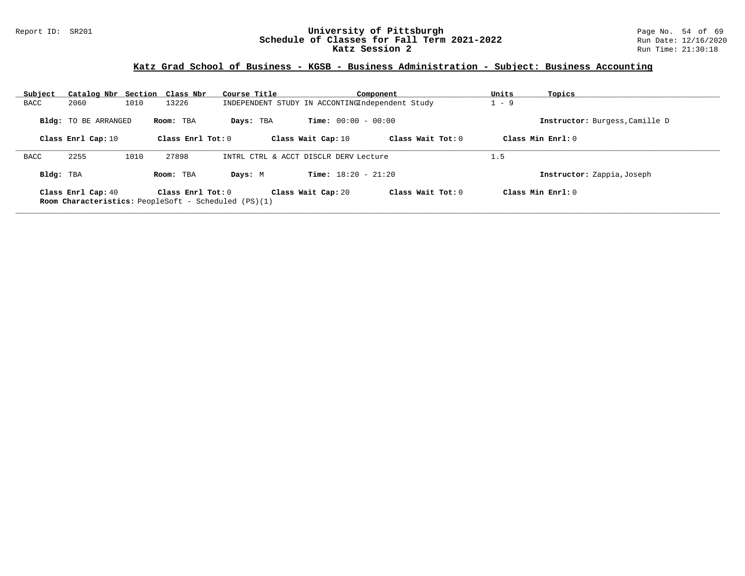#### Report ID: SR201 **University of Pittsburgh** Page No. 54 of 69 **Schedule of Classes for Fall Term 2021-2022** Run Date: 12/16/2020 **Katz Session 2 Run Time: 21:30:18** Run Time: 21:30:18

| Subject     | Catalog Nbr Section Class Nbr |      |                     | Course Title                                                |                              | Component           | Units   | Topics                         |
|-------------|-------------------------------|------|---------------------|-------------------------------------------------------------|------------------------------|---------------------|---------|--------------------------------|
| BACC        | 2060                          | 1010 | 13226               | INDEPENDENT STUDY IN ACCONTINGIndependent Study             |                              |                     | $1 - 9$ |                                |
|             | <b>Bldg:</b> TO BE ARRANGED   |      | Room: TBA           | Days: TBA                                                   | <b>Time:</b> $00:00 - 00:00$ |                     |         | Instructor: Burgess, Camille D |
|             | Class Enrl Cap: 10            |      | Class Enrl Tot: $0$ |                                                             | Class Wait Cap: 10           | Class Wait Tot: $0$ |         | Class Min $Enrl: 0$            |
| <b>BACC</b> | 2255                          | 1010 | 27898               | INTRL CTRL & ACCT DISCLR DERV Lecture                       |                              |                     | 1.5     |                                |
| Bldg: TBA   |                               |      | Room: TBA           | Days: M                                                     | <b>Time:</b> $18:20 - 21:20$ |                     |         | Instructor: Zappia, Joseph     |
|             | Class Enrl Cap: 40            |      | Class Enrl Tot: $0$ | <b>Room Characteristics:</b> PeopleSoft - Scheduled (PS)(1) | Class Wait Cap: 20           | Class Wait Tot: 0   |         | Class Min $Enr1:0$             |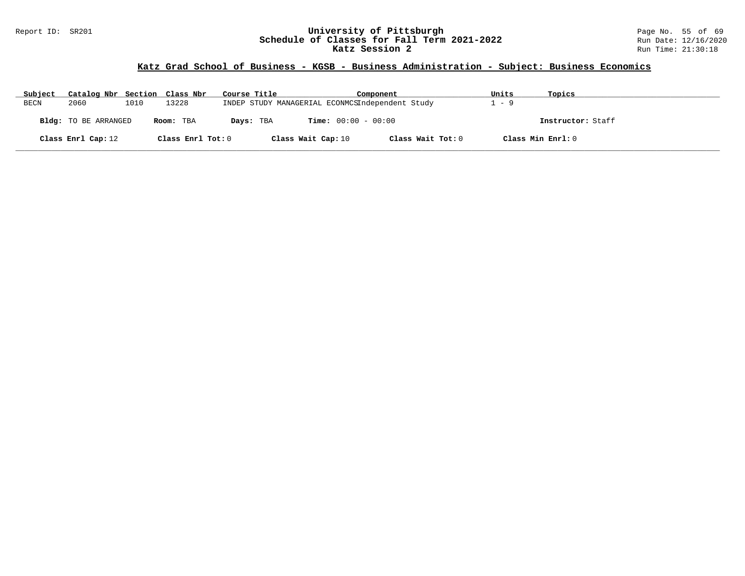#### Report ID: SR201 **University of Pittsburgh** Page No. 55 of 69 **Schedule of Classes for Fall Term 2021-2022** Run Date: 12/16/2020 **Katz Session 2 Run Time: 21:30:18** Run Time: 21:30:18

| Subject     | Catalog Nbr Section Class Nbr |      |                   | Course Title                                    |                              | Component         | Units | Topics            |
|-------------|-------------------------------|------|-------------------|-------------------------------------------------|------------------------------|-------------------|-------|-------------------|
| <b>BECN</b> | 2060                          | 1010 | 13228             | INDEP STUDY MANAGERIAL ECONMCSIndependent Study |                              |                   | - 9   |                   |
|             | <b>Bldg:</b> TO BE ARRANGED   |      | Room: TBA         | Days: TBA                                       | <b>Time:</b> $00:00 - 00:00$ |                   |       | Instructor: Staff |
|             | Class Enrl Cap: 12            |      | Class Enrl Tot: 0 |                                                 | Class Wait Cap: 10           | Class Wait Tot: 0 |       | Class Min Enrl: 0 |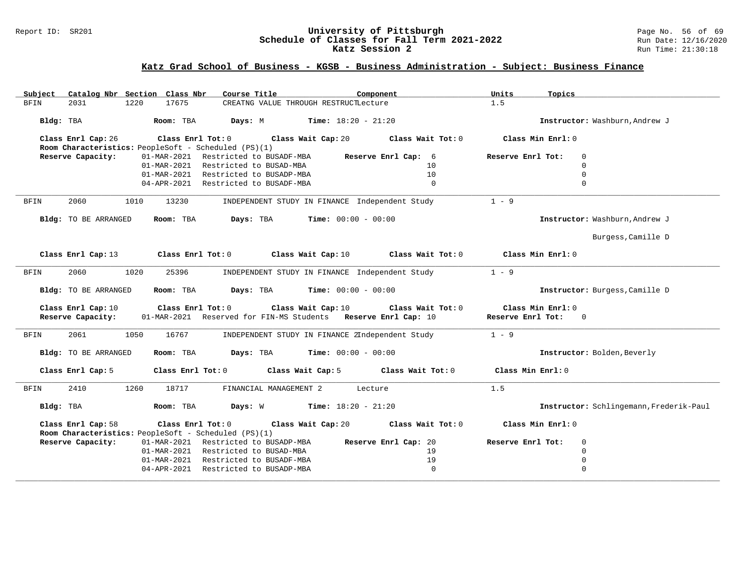# Report ID: SR201 **University of Pittsburgh University of Pittsburgh** Page No. 56 of 69<br>**Schedule of Classes for Fall Term 2021-2022** Run Date: 12/16/2020 Schedule of Classes for Fall Term 2021-2022<br>Katz Session 2

| Subject     |                                         | Catalog Nbr Section Class Nbr | Course Title                                                                                 | Component                                                                                                | Units<br>Topics                        |                                         |
|-------------|-----------------------------------------|-------------------------------|----------------------------------------------------------------------------------------------|----------------------------------------------------------------------------------------------------------|----------------------------------------|-----------------------------------------|
| BFIN        | 2031                                    | 17675<br>1220                 |                                                                                              | CREATNG VALUE THROUGH RESTRUCTLecture                                                                    | 1.5                                    |                                         |
| Bldg: TBA   |                                         | Room: TBA                     | Days: M                                                                                      | <b>Time:</b> $18:20 - 21:20$                                                                             |                                        | Instructor: Washburn, Andrew J          |
|             | Class Enrl Cap: 26                      |                               | Class Enrl Tot: 0 Class Wait Cap: 20<br>Room Characteristics: PeopleSoft - Scheduled (PS)(1) | Class Wait Tot: 0                                                                                        | Class Min Enrl: 0                      |                                         |
|             | Reserve Capacity:                       | 01-MAR-2021                   | Restricted to BUSADF-MBA                                                                     | Reserve Enrl Cap: 6                                                                                      | Reserve Enrl Tot:                      | $\mathbf 0$                             |
|             |                                         | 01-MAR-2021                   | Restricted to BUSAD-MBA                                                                      | 10                                                                                                       |                                        | $\mathbf 0$                             |
|             |                                         | 01-MAR-2021                   | Restricted to BUSADP-MBA                                                                     | 10                                                                                                       |                                        | $\mathbf 0$                             |
|             |                                         |                               | 04-APR-2021 Restricted to BUSADF-MBA                                                         | $\mathbf{0}$                                                                                             |                                        | $\Omega$                                |
|             |                                         |                               |                                                                                              |                                                                                                          |                                        |                                         |
| <b>BFIN</b> | 2060                                    | 1010<br>13230                 |                                                                                              | INDEPENDENT STUDY IN FINANCE Independent Study                                                           | $1 - 9$                                |                                         |
|             | Bldg: TO BE ARRANGED                    | Room: TBA                     |                                                                                              | <b>Days:</b> TBA <b>Time:</b> $00:00 - 00:00$                                                            |                                        | Instructor: Washburn, Andrew J          |
|             |                                         |                               |                                                                                              |                                                                                                          |                                        | Burgess, Camille D                      |
|             | Class Enrl Cap: 13                      |                               | Class Enrl Tot: 0                                                                            | Class Wait Tot: 0<br>Class Wait Cap: $10$                                                                | Class Min Enrl: 0                      |                                         |
| BFIN        | 2060                                    | 1020<br>25396                 |                                                                                              | INDEPENDENT STUDY IN FINANCE Independent Study                                                           | $1 - 9$                                |                                         |
|             | Bldg: TO BE ARRANGED                    | Room: TBA                     | Days: TBA                                                                                    | $Time: 00:00 - 00:00$                                                                                    |                                        | Instructor: Burgess, Camille D          |
|             | Class Enrl Cap: 10<br>Reserve Capacity: |                               | Class Enrl Tot: 0                                                                            | Class Wait Cap: 10<br>Class Wait Tot: 0<br>01-MAR-2021 Reserved for FIN-MS Students Reserve Enrl Cap: 10 | Class Min Enrl: 0<br>Reserve Enrl Tot: | $\overline{0}$                          |
| BFIN        | 2061                                    | 1050<br>16767                 |                                                                                              | INDEPENDENT STUDY IN FINANCE 2Independent Study                                                          | $1 - 9$                                |                                         |
|             | Bldg: TO BE ARRANGED                    | Room: TBA                     |                                                                                              | <b>Days:</b> TBA <b>Time:</b> $00:00 - 00:00$                                                            |                                        | Instructor: Bolden, Beverly             |
|             | Class Enrl Cap: 5                       |                               | Class Enrl Tot: 0 Class Wait Cap: 5                                                          | Class Wait Tot: 0                                                                                        | Class Min Enrl: 0                      |                                         |
| BFIN        | 2410                                    | 1260<br>18717                 | FINANCIAL MANAGEMENT 2                                                                       | Lecture                                                                                                  | 1.5                                    |                                         |
| Bldg: TBA   |                                         | Room: TBA                     |                                                                                              | <b>Days:</b> W <b>Time:</b> $18:20 - 21:20$                                                              |                                        | Instructor: Schlingemann, Frederik-Paul |
|             | Class Enrl Cap: 58                      |                               | Room Characteristics: PeopleSoft - Scheduled (PS)(1)                                         | Class Enrl Tot: $0$ Class Wait Cap: $20$ Class Wait Tot: $0$                                             | Class Min Enrl: 0                      |                                         |
|             | Reserve Capacity:                       |                               | 01-MAR-2021 Restricted to BUSADP-MBA                                                         | Reserve Enrl Cap: 20                                                                                     | Reserve Enrl Tot:                      | $\mathbf 0$                             |
|             |                                         |                               | 01-MAR-2021 Restricted to BUSAD-MBA                                                          | 19                                                                                                       |                                        | $\Omega$                                |
|             |                                         | 01-MAR-2021                   | Restricted to BUSADF-MBA                                                                     | 19                                                                                                       |                                        | $\mathbf 0$                             |
|             |                                         |                               | 04-APR-2021 Restricted to BUSADP-MBA                                                         | $\mathbf 0$                                                                                              |                                        | $\mathbf 0$                             |
|             |                                         |                               |                                                                                              |                                                                                                          |                                        |                                         |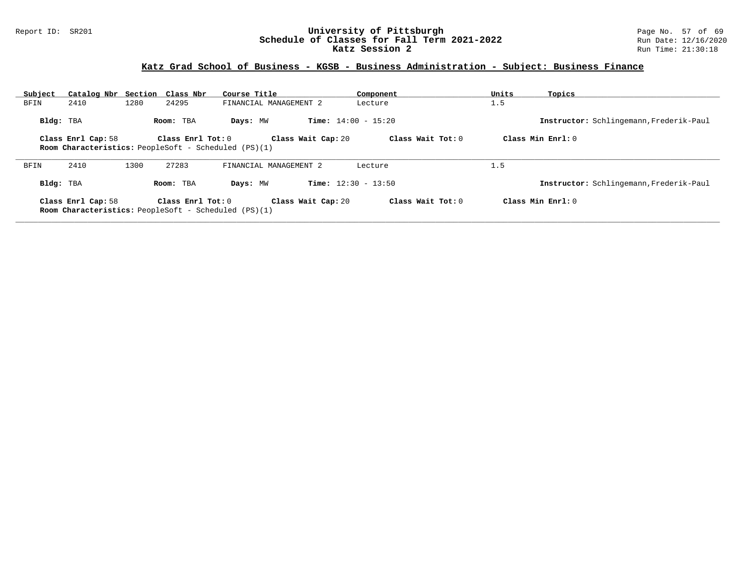#### Report ID: SR201 **University of Pittsburgh** Page No. 57 of 69 **Schedule of Classes for Fall Term 2021-2022** Run Date: 12/16/2020 **Katz Session 2 Run Time: 21:30:18** Run Time: 21:30:18

| Subject   | Catalog Nbr Section Class Nbr                                                     |      |                       | Course Title                                         |                              | Component         | Units | Topics                                  |
|-----------|-----------------------------------------------------------------------------------|------|-----------------------|------------------------------------------------------|------------------------------|-------------------|-------|-----------------------------------------|
| BFIN      | 2410                                                                              | 1280 | 24295                 | FINANCIAL MANAGEMENT 2                               |                              | Lecture           | 1.5   |                                         |
| Bldg: TBA |                                                                                   |      | Room: TBA             | Days: MW                                             | <b>Time:</b> $14:00 - 15:20$ |                   |       | Instructor: Schlingemann, Frederik-Paul |
|           | Class Enrl Cap: 58<br><b>Room Characteristics:</b> PeopleSoft - Scheduled (PS)(1) |      | Class $Enrl$ Tot: $0$ |                                                      | Class Wait Cap: 20           | Class Wait Tot: 0 |       | Class Min $Enrl: 0$                     |
|           |                                                                                   |      |                       |                                                      |                              |                   |       |                                         |
| BFIN      | 2410                                                                              | 1300 | 27283                 | FINANCIAL MANAGEMENT 2                               |                              | Lecture           | 1.5   |                                         |
| Bldg: TBA |                                                                                   |      | Room: TBA             | Days: MW                                             | <b>Time:</b> $12:30 - 13:50$ |                   |       | Instructor: Schlingemann, Frederik-Paul |
|           | Class Enrl Cap: 58                                                                |      | Class $Enrl$ Tot: $0$ |                                                      | Class Wait Cap: 20           | Class Wait Tot: 0 |       | Class Min Enrl: 0                       |
|           |                                                                                   |      |                       | Room Characteristics: PeopleSoft - Scheduled (PS)(1) |                              |                   |       |                                         |
|           |                                                                                   |      |                       |                                                      |                              |                   |       |                                         |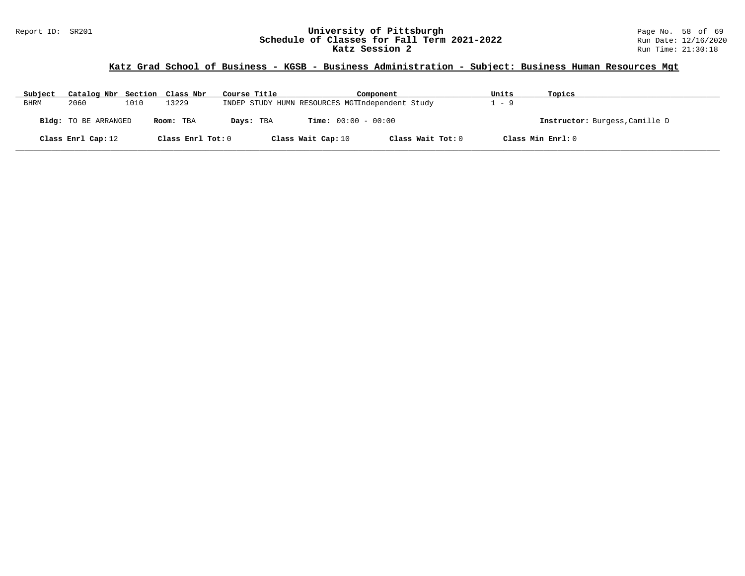# Report ID: SR201 **1988 Mage 10: SR201 University of Pittsburgh** Page No. 58 of 69<br>**Schedule of Classes for Fall Term 2021-2022** 2011 Page 12/16/2020 Schedule of Classes for Fall Term 2021-2022<br>Katz Session 2

## **Katz Grad School of Business - KGSB - Business Administration - Subject: Business Human Resources Mgt**

| Subject | Catalog Nbr Section Class Nbr |      |                   | Course Title | Component                                       |                   | Units | Topics                         |
|---------|-------------------------------|------|-------------------|--------------|-------------------------------------------------|-------------------|-------|--------------------------------|
| BHRM    | 2060                          | 1010 | 13229             |              | INDEP STUDY HUMN RESOURCES MGTIndependent Study |                   | $-9$  |                                |
|         | <b>Bldg:</b> TO BE ARRANGED   |      | Room: TBA         | Days: TBA    | <b>Time:</b> $00:00 - 00:00$                    |                   |       | Instructor: Burgess, Camille D |
|         | Class Enrl Cap: 12            |      | Class Enrl Tot: 0 |              | Class Wait Cap: 10                              | Class Wait Tot: 0 |       | Class Min Enrl: 0              |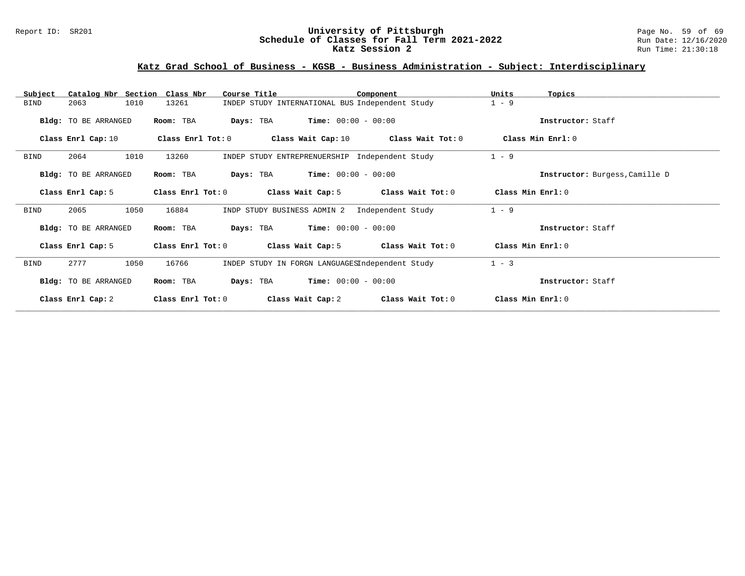#### Report ID: SR201 **University of Pittsburgh** Page No. 59 of 69 **Schedule of Classes for Fall Term 2021-2022** Run Date: 12/16/2020 **Katz Session 2 Run Time: 21:30:18** Run Time: 21:30:18

| Catalog Nbr Section Class Nbr<br>Subject | Course Title                           | Component                                       | Units<br>Topics                |
|------------------------------------------|----------------------------------------|-------------------------------------------------|--------------------------------|
| 1010<br>2063<br><b>BIND</b>              | 13261                                  | INDEP STUDY INTERNATIONAL BUS Independent Study | $1 - 9$                        |
| Bldg: TO BE ARRANGED                     | Room: TBA<br>Days: TBA                 | $Time: 00:00 - 00:00$                           | Instructor: Staff              |
| Class Enrl Cap: 10                       | Class Enrl Tot: 0                      | Class Wait Cap: 10 Class Wait Tot: 0            | Class Min Enrl: 0              |
| 1010<br>2064<br><b>BIND</b>              | 13260                                  | INDEP STUDY ENTREPRENUERSHIP Independent Study  | $1 - 9$                        |
| Bldg: TO BE ARRANGED                     | Room: TBA                              | <b>Days:</b> TBA <b>Time:</b> $00:00 - 00:00$   | Instructor: Burgess, Camille D |
| Class Enrl Cap: 5                        | Class Enrl Tot: 0                      | Class Wait Cap: 5<br>Class Wait Tot: 0          | Class Min $Enrl: 0$            |
| <b>BIND</b><br>2065<br>1050              | 16884<br>INDP STUDY BUSINESS ADMIN 2   | Independent Study                               | $1 - 9$                        |
| Bldg: TO BE ARRANGED                     | Room: TBA                              | <b>Days:</b> TBA <b>Time:</b> $00:00 - 00:00$   | Instructor: Staff              |
| Class Enrl Cap: 5                        | Class Enrl Tot: 0<br>Class Wait Cap: 5 | Class Wait Tot: 0                               | Class Min Enrl: 0              |
| 2777<br><b>BIND</b><br>1050              | 16766                                  | INDEP STUDY IN FORGN LANGUAGESIndependent Study | $1 - 3$                        |
| Bldg: TO BE ARRANGED                     | Room: TBA<br>Days: TBA                 | $Time: 00:00 - 00:00$                           | Instructor: Staff              |
| Class Enrl Cap: 2                        | Class Enrl Tot: 0<br>Class Wait Cap: 2 | Class Wait Tot: 0                               | Class Min Enrl: 0              |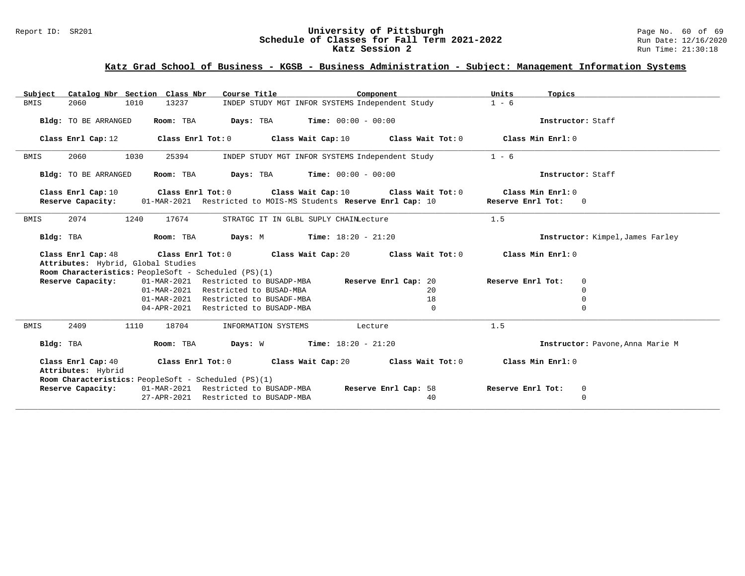# Report ID: SR201 **1988 Construment Superversity of Pittsburgh** Page No. 60 of 69 and Duniversity of Pittsburgh Page No. 60 of 69 and Duniversity of Pittsburgh Page No. 60 of 69 and Duniversity of Classes for Fall Term 2021 Schedule of Classes for Fall Term 2021-2022<br>Katz Session 2

# **Katz Grad School of Business - KGSB - Business Administration - Subject: Management Information Systems**

| Subject                                              | Catalog Nbr Section Class Nbr | Course Title <b>Source Search</b>             | Component                                                                         | Units<br>Topics                     |  |
|------------------------------------------------------|-------------------------------|-----------------------------------------------|-----------------------------------------------------------------------------------|-------------------------------------|--|
| <b>BMIS</b><br>2060                                  | 1010<br>13237                 |                                               | INDEP STUDY MGT INFOR SYSTEMS Independent Study                                   | $1 - 6$                             |  |
|                                                      |                               |                                               |                                                                                   |                                     |  |
| Bldg: TO BE ARRANGED                                 |                               | Room: TBA $Days: TBA$ Time: $00:00 - 00:00$   |                                                                                   | Instructor: Staff                   |  |
| Class Enrl Cap: 12                                   |                               |                                               | Class Enrl Tot: $0$ Class Wait Cap: $10$ Class Wait Tot: $0$ Class Min Enrl: $0$  |                                     |  |
|                                                      |                               |                                               |                                                                                   |                                     |  |
| 2060<br>BMIS                                         | 1030<br>25394                 |                                               | INDEP STUDY MGT INFOR SYSTEMS Independent Study                                   | $1 - 6$                             |  |
| Bldg: TO BE ARRANGED                                 | Room: TBA                     | <b>Days:</b> TBA <b>Time:</b> $00:00 - 00:00$ |                                                                                   | Instructor: Staff                   |  |
| Class Enrl Cap: 10                                   |                               |                                               | Class Enrl Tot: $0$ Class Wait Cap: $10$ Class Wait Tot: $0$                      | Class Min Enrl: $0$                 |  |
|                                                      |                               |                                               | Reserve Capacity: 01-MAR-2021 Restricted to MOIS-MS Students Reserve Enrl Cap: 10 | Reserve Enrl Tot: 0                 |  |
|                                                      |                               |                                               |                                                                                   |                                     |  |
| 2074<br>BMIS                                         | 1240<br>17674                 | STRATGC IT IN GLBL SUPLY CHAINLecture         |                                                                                   | 1.5                                 |  |
|                                                      |                               |                                               |                                                                                   |                                     |  |
| Bldg: TBA                                            | Room: TBA                     | <b>Days:</b> M <b>Time:</b> $18:20 - 21:20$   |                                                                                   | Instructor: Kimpel, James Farley    |  |
|                                                      |                               |                                               |                                                                                   |                                     |  |
| Class Enrl Cap: 48                                   |                               |                                               | Class Enrl Tot: $0$ Class Wait Cap: $20$ Class Wait Tot: $0$                      | Class Min Enrl: 0                   |  |
| Attributes: Hybrid, Global Studies                   |                               |                                               |                                                                                   |                                     |  |
| Room Characteristics: PeopleSoft - Scheduled (PS)(1) |                               |                                               |                                                                                   |                                     |  |
| Reserve Capacity:                                    |                               | 01-MAR-2021 Restricted to BUSADP-MBA          | Reserve Enrl Cap: 20                                                              | Reserve Enrl Tot:<br>$\overline{0}$ |  |
|                                                      |                               | 01-MAR-2021 Restricted to BUSAD-MBA           | 20                                                                                | $\mathbf 0$                         |  |
|                                                      |                               | 01-MAR-2021 Restricted to BUSADF-MBA          | 18                                                                                | 0                                   |  |
|                                                      |                               | 04-APR-2021 Restricted to BUSADP-MBA          | $\mathbf{0}$                                                                      | 0                                   |  |
| 2409<br>BMIS                                         | 18704<br>1110                 | INFORMATION SYSTEMS                           | Lecture                                                                           | 1.5                                 |  |
| Bldg: TBA                                            | Room: TBA                     | <b>Days:</b> W <b>Time:</b> $18:20 - 21:20$   |                                                                                   | Instructor: Pavone, Anna Marie M    |  |
| Class Enrl Cap: 40                                   |                               |                                               | Class Enrl Tot: $0$ Class Wait Cap: $20$ Class Wait Tot: $0$                      | Class Min Enrl: 0                   |  |
| Attributes: Hybrid                                   |                               |                                               |                                                                                   |                                     |  |
| Room Characteristics: PeopleSoft - Scheduled (PS)(1) |                               |                                               |                                                                                   |                                     |  |
| Reserve Capacity:                                    |                               | 01-MAR-2021 Restricted to BUSADP-MBA          | Reserve Enrl Cap: 58                                                              | Reserve Enrl Tot:<br>$\overline{0}$ |  |
|                                                      |                               | 27-APR-2021 Restricted to BUSADP-MBA          | 40                                                                                | 0                                   |  |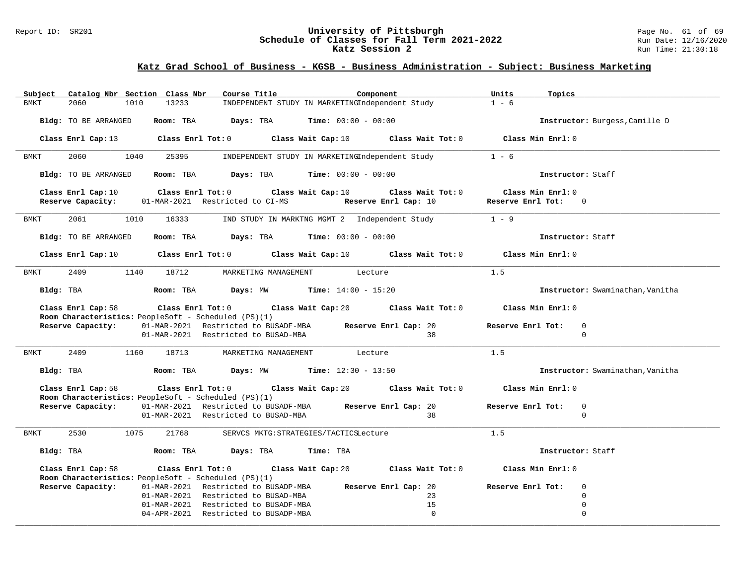#### Report ID: SR201 **University of Pittsburgh** Page No. 61 of 69 **Schedule of Classes for Fall Term 2021-2022** Run Date: 12/16/2020 **Katz Session 2 Run Time: 21:30:18** Run Time: 21:30:18

| Catalog Nbr Section Class Nbr<br>Subject                                   | Course Title<br>Component                                                                                                       | Units<br>Topics                                 |
|----------------------------------------------------------------------------|---------------------------------------------------------------------------------------------------------------------------------|-------------------------------------------------|
| 2060<br>1010<br>13233<br><b>BMKT</b>                                       | INDEPENDENT STUDY IN MARKETINGIndependent Study                                                                                 | $1 - 6$                                         |
| Bldg: TO BE ARRANGED                                                       | Room: TBA Days: TBA<br><b>Time:</b> $00:00 - 00:00$                                                                             | Instructor: Burgess, Camille D                  |
|                                                                            | Class Enrl Cap: 13 Class Enrl Tot: 0 Class Wait Cap: 10 Class Wait Tot: 0 Class Min Enrl: 0                                     |                                                 |
| 1040<br>2060<br>25395<br>BMKT                                              | INDEPENDENT STUDY IN MARKETINGIndependent Study                                                                                 | $1 - 6$                                         |
| Bldg: TO BE ARRANGED                                                       | Room: TBA Days: TBA<br><b>Time:</b> $00:00 - 00:00$                                                                             | Instructor: Staff                               |
| Class Enrl Cap: 10<br>Reserve Capacity:<br>01-MAR-2021 Restricted to CI-MS | Class Enrl Tot: 0 Class Wait Cap: 10<br>Class Wait Tot: 0<br>Reserve Enrl Cap: 10                                               | Class Min Enrl: 0<br>Reserve Enrl Tot: 0        |
| 2061<br>1010<br>16333<br>BMKT                                              | IND STUDY IN MARKTNG MGMT 2 Independent Study                                                                                   | $1 - 9$                                         |
| Bldg: TO BE ARRANGED                                                       | Room: TBA $Days:$ TBA $Time: 00:00 - 00:00$                                                                                     | Instructor: Staff                               |
|                                                                            | Class Enrl Cap: 10 $\qquad$ Class Enrl Tot: 0 $\qquad$ Class Wait Cap: 10 $\qquad$ Class Wait Tot: 0 $\qquad$ Class Min Enrl: 0 |                                                 |
| 1140 18712<br>2409<br>BMKT                                                 | MARKETING MANAGEMENT<br>Lecture                                                                                                 | 1.5                                             |
| Bldg: TBA                                                                  | <b>Room:</b> TBA <b>Days:</b> MW <b>Time:</b> $14:00 - 15:20$                                                                   | Instructor: Swaminathan, Vanitha                |
| Class Enrl Cap: 58<br>Room Characteristics: PeopleSoft - Scheduled (PS)(1) | Class Enrl Tot: $0$ Class Wait Cap: $20$ Class Wait Tot: $0$                                                                    | Class Min Enrl: 0                               |
|                                                                            | Reserve Capacity: 01-MAR-2021 Restricted to BUSADF-MBA Reserve Enrl Cap: 20<br>01-MAR-2021 Restricted to BUSAD-MBA<br>38        | Reserve Enrl Tot:<br>$\Omega$<br>$\Omega$       |
| 2409 1160 18713<br>BMKT                                                    | MARKETING MANAGEMENT Lecture                                                                                                    | 1.5                                             |
| Bldg: TBA                                                                  | <b>Room:</b> TBA <b>Days:</b> MW <b>Time:</b> $12:30 - 13:50$                                                                   | Instructor: Swaminathan, Vanitha                |
| Class Enrl Cap: 58                                                         | Class Enrl Tot: $0$ Class Wait Cap: $20$ Class Wait Tot: $0$                                                                    | Class Min Enrl: 0                               |
| <b>Room Characteristics:</b> PeopleSoft - Scheduled (PS)(1)                | Reserve Capacity: 01-MAR-2021 Restricted to BUSADF-MBA Reserve Enrl Cap: 20<br>01-MAR-2021 Restricted to BUSAD-MBA<br>38        | Reserve Enrl Tot:<br>$\mathbf 0$<br>$\mathbf 0$ |
| 2530<br>1075<br>21768<br><b>BMKT</b>                                       | SERVCS MKTG: STRATEGIES/TACTICSLecture                                                                                          | 1.5                                             |
|                                                                            | Time: TBA                                                                                                                       | Instructor: Staff                               |
| Class Enrl Cap: 58                                                         | Class Wait Tot: 0<br>Class Enrl Tot: 0 Class Wait Cap: 20                                                                       | Class Min Enrl: 0                               |
| Room Characteristics: PeopleSoft - Scheduled (PS)(1)                       |                                                                                                                                 | $\Omega$                                        |
| Reserve Capacity:                                                          | 01-MAR-2021 Restricted to BUSADP-MBA Reserve Enrl Cap: 20<br>01-MAR-2021 Restricted to BUSAD-MBA<br>23                          | Reserve Enrl Tot:<br>$\Omega$                   |
|                                                                            | 01-MAR-2021 Restricted to BUSADF-MBA<br>15                                                                                      | 0                                               |
|                                                                            | $\Omega$<br>04-APR-2021 Restricted to BUSADP-MBA                                                                                | $\Omega$                                        |
|                                                                            |                                                                                                                                 |                                                 |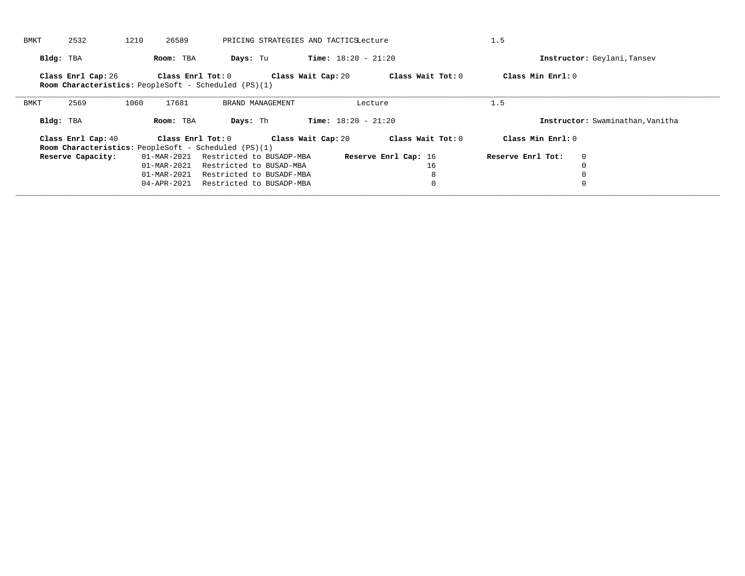| BMKT        | 2532               | 1210 | 26589             |                                                             |                    | PRICING STRATEGIES AND TACTICSLecture |                      | 1.5               |                             |                                  |
|-------------|--------------------|------|-------------------|-------------------------------------------------------------|--------------------|---------------------------------------|----------------------|-------------------|-----------------------------|----------------------------------|
|             | Bldg: TBA          |      | Room: TBA         | Days: Tu                                                    |                    | <b>Time:</b> $18:20 - 21:20$          |                      |                   | Instructor: Geylani, Tansev |                                  |
|             | Class Enrl Cap: 26 |      | Class Enrl Tot: 0 | <b>Room Characteristics:</b> PeopleSoft - Scheduled (PS)(1) | Class Wait Cap: 20 |                                       | Class Wait Tot: 0    | Class Min Enrl: 0 |                             |                                  |
| <b>BMKT</b> | 2569               | 1060 | 17681             | BRAND MANAGEMENT                                            |                    |                                       | Lecture              | 1.5               |                             |                                  |
|             | Bldg: TBA          |      | Room: TBA         | Days: Th                                                    |                    | <b>Time:</b> $18:20 - 21:20$          |                      |                   |                             | Instructor: Swaminathan, Vanitha |
|             | Class Enrl Cap: 40 |      | Class Enrl Tot: 0 |                                                             | Class Wait Cap: 20 |                                       | Class Wait Tot: 0    | Class Min Enrl: 0 |                             |                                  |
|             |                    |      |                   | <b>Room Characteristics:</b> PeopleSoft - Scheduled (PS)(1) |                    |                                       |                      |                   |                             |                                  |
|             | Reserve Capacity:  |      | 01-MAR-2021       | Restricted to BUSADP-MBA                                    |                    |                                       | Reserve Enrl Cap: 16 | Reserve Enrl Tot: | $\mathbf{0}$                |                                  |
|             |                    |      | 01-MAR-2021       | Restricted to BUSAD-MBA                                     |                    |                                       | 16                   |                   | $\Omega$                    |                                  |
|             |                    |      | 01-MAR-2021       | Restricted to BUSADF-MBA                                    |                    |                                       | 8                    |                   | $\Omega$                    |                                  |
|             |                    |      | 04-APR-2021       | Restricted to BUSADP-MBA                                    |                    |                                       | $\mathbf 0$          |                   | 0                           |                                  |
|             |                    |      |                   |                                                             |                    |                                       |                      |                   |                             |                                  |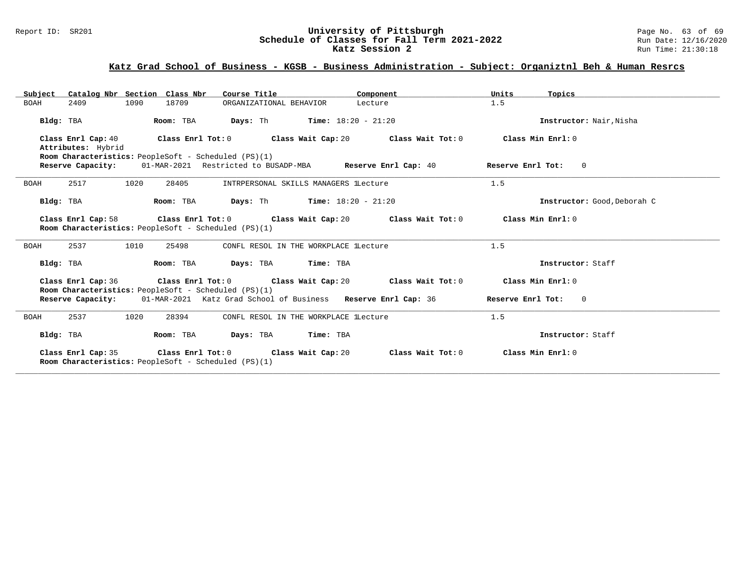# Report ID: SR201 **University of Pittsburgh University of Pittsburgh** Page No. 63 of 69<br>**Schedule of Classes for Fall Term 2021-2022** Run Date: 12/16/2020 Schedule of Classes for Fall Term 2021-2022<br>Katz Session 2

# **Katz Grad School of Business - KGSB - Business Administration - Subject: Organiztnl Beh & Human Resrcs**

| Subject Catalog Nbr Section Class Nbr<br>Course Title <b>Sours</b>                                                                                                       | Component                             | Units<br>Topics             |  |  |  |  |  |  |  |
|--------------------------------------------------------------------------------------------------------------------------------------------------------------------------|---------------------------------------|-----------------------------|--|--|--|--|--|--|--|
| 2409<br>18709<br><b>BOAH</b><br>1090<br>ORGANIZATIONAL BEHAVIOR                                                                                                          | Lecture                               | 1.5                         |  |  |  |  |  |  |  |
| <b>Days:</b> Th <b>Time:</b> $18:20 - 21:20$<br>Room: TBA<br>Instructor: Nair.Nisha<br>Bldg: TBA                                                                         |                                       |                             |  |  |  |  |  |  |  |
| Class Enrl Cap: $40$ Class Enrl Tot: 0 Class Wait Cap: 20 Class Wait Tot: 0<br>Class Min Enrl: 0<br>Attributes: Hybrid                                                   |                                       |                             |  |  |  |  |  |  |  |
| Room Characteristics: PeopleSoft - Scheduled (PS)(1)<br><b>Reserve Capacity:</b> 01-MAR-2021 Restricted to BUSADP-MBA <b>Reserve Enrl Cap:</b> 40<br>Reserve Enrl Tot: 0 |                                       |                             |  |  |  |  |  |  |  |
| 2517<br>1020<br>28405<br><b>BOAH</b>                                                                                                                                     | INTRPERSONAL SKILLS MANAGERS lLecture | 1.5                         |  |  |  |  |  |  |  |
| Room: TBA $Days: Th$ Time: $18:20 - 21:20$<br>Bldg: TBA                                                                                                                  |                                       | Instructor: Good, Deborah C |  |  |  |  |  |  |  |
| Class Enrl Cap: 58 $\qquad$ Class Enrl Tot: 0 $\qquad$ Class Wait Cap: 20 $\qquad$ Class Wait Tot: 0<br>Room Characteristics: PeopleSoft - Scheduled (PS)(1)             |                                       | Class Min Enrl: 0           |  |  |  |  |  |  |  |
| 2537<br>1010<br>25498<br><b>BOAH</b>                                                                                                                                     | CONFL RESOL IN THE WORKPLACE LLecture | 1.5                         |  |  |  |  |  |  |  |
| Room: TBA Days: TBA Time: TBA<br>Bldg: TBA                                                                                                                               |                                       | Instructor: Staff           |  |  |  |  |  |  |  |
| Class Enrl Cap: 36 $\qquad$ Class Enrl Tot: 0 $\qquad$ Class Wait Cap: 20 $\qquad$ Class Wait Tot: 0<br>Room Characteristics: PeopleSoft - Scheduled (PS)(1)             |                                       | Class Min Enrl: 0           |  |  |  |  |  |  |  |
| Reserve Capacity: 01-MAR-2021 Katz Grad School of Business Reserve Enrl Cap: 36                                                                                          |                                       | Reserve Enrl Tot: 0         |  |  |  |  |  |  |  |
| 2537<br>1020<br>28394<br>BOAH                                                                                                                                            | CONFL RESOL IN THE WORKPLACE lLecture | 1.5                         |  |  |  |  |  |  |  |
| Room: TBA<br>Bldg: TBA<br>Days: TBA                                                                                                                                      | Time: TBA                             | Instructor: Staff           |  |  |  |  |  |  |  |
| Class Enrl Tot: 0 Class Wait Cap: 20<br>Class Enrl Cap: 35<br>Class Wait Tot: 0<br>Class Min Enrl: 0<br><b>Room Characteristics:</b> PeopleSoft - Scheduled (PS)(1)      |                                       |                             |  |  |  |  |  |  |  |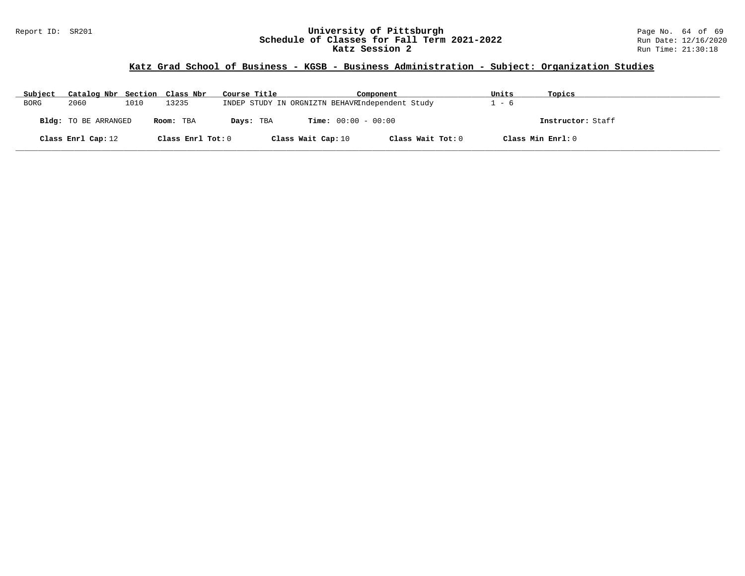#### Report ID: SR201 **University of Pittsburgh** Page No. 64 of 69 **Schedule of Classes for Fall Term 2021-2022** Run Date: 12/16/2020 **Katz Session 2 Run Time: 21:30:18** Run Time: 21:30:18

# **Katz Grad School of Business - KGSB - Business Administration - Subject: Organization Studies**

| Subject     | Catalog Nbr Section Class Nbr |      |                   | Course Title | Component                                       |                   | Units | Topics            |
|-------------|-------------------------------|------|-------------------|--------------|-------------------------------------------------|-------------------|-------|-------------------|
| <b>BORG</b> | 2060                          | 1010 | 13235             |              | INDEP STUDY IN ORGNIZTN BEHAVRIndependent Study |                   | $-6$  |                   |
|             | Bldg: TO BE ARRANGED          |      | Room: TBA         | Days: TBA    | <b>Time:</b> $00:00 - 00:00$                    |                   |       | Instructor: Staff |
|             | Class Enrl Cap: 12            |      | Class Enrl Tot: 0 |              | Class Wait Cap: 10                              | Class Wait Tot: 0 |       | Class Min Enrl: 0 |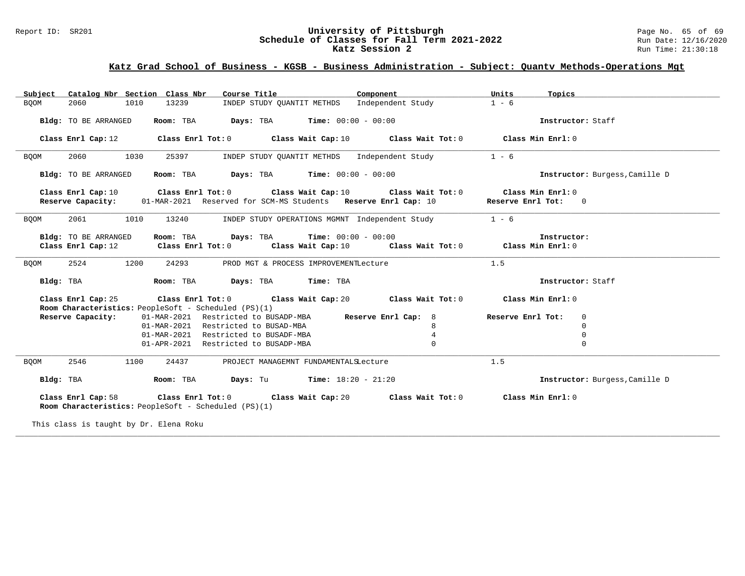# Report ID: SR201 **University of Pittsburgh University of Pittsburgh** Page No. 65 of 69<br>**Schedule of Classes for Fall Term 2021-2022** Run Date: 12/16/2020 Schedule of Classes for Fall Term 2021-2022<br>Katz Session 2

## **Katz Grad School of Business - KGSB - Business Administration - Subject: Quantv Methods-Operations Mgt**

| Catalog Nbr Section Class Nbr<br>Subject                                                             | Course Title                                                                     | Component         | Units<br>Topics                  |                                |
|------------------------------------------------------------------------------------------------------|----------------------------------------------------------------------------------|-------------------|----------------------------------|--------------------------------|
| 2060<br>1010<br>13239<br><b>BQOM</b>                                                                 | INDEP STUDY QUANTIT METHDS                                                       | Independent Study | $1 - 6$                          |                                |
| Bldg: TO BE ARRANGED<br>Room: TBA                                                                    | <b>Days:</b> TBA <b>Time:</b> $00:00 - 00:00$                                    |                   | Instructor: Staff                |                                |
|                                                                                                      |                                                                                  |                   |                                  |                                |
| Class Enrl Cap: 12                                                                                   | Class Enrl Tot: $0$ Class Wait Cap: $10$ Class Wait Tot: $0$                     |                   | Class Min Enrl: 0                |                                |
| 2060<br>1030<br>25397<br><b>BQOM</b>                                                                 | INDEP STUDY QUANTIT METHDS Independent Study                                     |                   | $1 - 6$                          |                                |
| Bldg: TO BE ARRANGED<br>Room: TBA                                                                    | <b>Days:</b> TBA <b>Time:</b> $00:00 - 00:00$                                    |                   |                                  | Instructor: Burgess, Camille D |
| Class Enrl Cap: 10                                                                                   | Class Enrl Tot: $0$ Class Wait Cap: $10$ Class Wait Tot: $0$                     |                   | Class Min Enrl: 0                |                                |
| Reserve Capacity:                                                                                    | 01-MAR-2021 Reserved for SCM-MS Students Reserve Enrl Cap: 10                    |                   | Reserve Enrl Tot: 0              |                                |
|                                                                                                      |                                                                                  |                   |                                  |                                |
| 2061<br>1010<br>13240<br><b>BQOM</b>                                                                 | INDEP STUDY OPERATIONS MGMNT Independent Study                                   |                   | $1 - 6$                          |                                |
| Bldg: TO BE ARRANGED<br>Room: TBA                                                                    | <b>Days:</b> TBA <b>Time:</b> $00:00 - 00:00$                                    |                   | Instructor:                      |                                |
| Class Enrl Cap: 12                                                                                   | Class Enrl Tot: $0$ Class Wait Cap: $10$ Class Wait Tot: $0$ Class Min Enrl: $0$ |                   |                                  |                                |
|                                                                                                      |                                                                                  |                   |                                  |                                |
| 2524<br>1200<br>24293<br><b>BQOM</b>                                                                 | PROD MGT & PROCESS IMPROVEMENTLecture                                            |                   | 1.5                              |                                |
| Bldg: TBA<br>Room: TBA                                                                               | Days: TBA<br>Time: TBA                                                           |                   | Instructor: Staff                |                                |
| Class Enrl Cap: 25 $\qquad$ Class Enrl Tot: 0 $\qquad$ Class Wait Cap: 20 $\qquad$ Class Wait Tot: 0 |                                                                                  |                   | Class Min Enrl: 0                |                                |
| Room Characteristics: PeopleSoft - Scheduled (PS)(1)                                                 |                                                                                  |                   |                                  |                                |
| Reserve Capacity:                                                                                    | 01-MAR-2021 Restricted to BUSADP-MBA Reserve Enrl Cap: 8                         |                   | Reserve Enrl Tot:<br>$\mathbf 0$ |                                |
|                                                                                                      | 01-MAR-2021 Restricted to BUSAD-MBA                                              | 8                 | $\mathbf 0$                      |                                |
|                                                                                                      | 01-MAR-2021 Restricted to BUSADF-MBA                                             | 4                 | $\mathbf 0$                      |                                |
|                                                                                                      | 01-APR-2021 Restricted to BUSADP-MBA                                             | $\mathbf{0}$      | $\mathbf 0$                      |                                |
| 2546<br>1100<br>24437<br><b>BQOM</b>                                                                 | PROJECT MANAGEMNT FUNDAMENTALSLecture                                            |                   | 1.5                              |                                |
| Bldg: TBA<br>Room: TBA                                                                               | <b>Days:</b> Tu <b>Time:</b> $18:20 - 21:20$                                     |                   |                                  | Instructor: Burgess, Camille D |
| Class Enrl Cap: 58<br>Room Characteristics: PeopleSoft - Scheduled (PS)(1)                           | Class Enrl Tot: 0 Class Wait Cap: 20                                             | Class Wait Tot: 0 | Class Min Enrl: 0                |                                |

**\_\_\_\_\_\_\_\_\_\_\_\_\_\_\_\_\_\_\_\_\_\_\_\_\_\_\_\_\_\_\_\_\_\_\_\_\_\_\_\_\_\_\_\_\_\_\_\_\_\_\_\_\_\_\_\_\_\_\_\_\_\_\_\_\_\_\_\_\_\_\_\_\_\_\_\_\_\_\_\_\_\_\_\_\_\_\_\_\_\_\_\_\_\_\_\_\_\_\_\_\_\_\_\_\_\_\_\_\_\_\_\_\_\_\_\_\_\_\_\_\_\_\_\_\_\_\_\_\_\_\_\_\_\_\_\_\_\_\_\_\_\_\_\_\_\_\_\_\_\_\_\_\_\_\_\_**

This class is taught by Dr. Elena Roku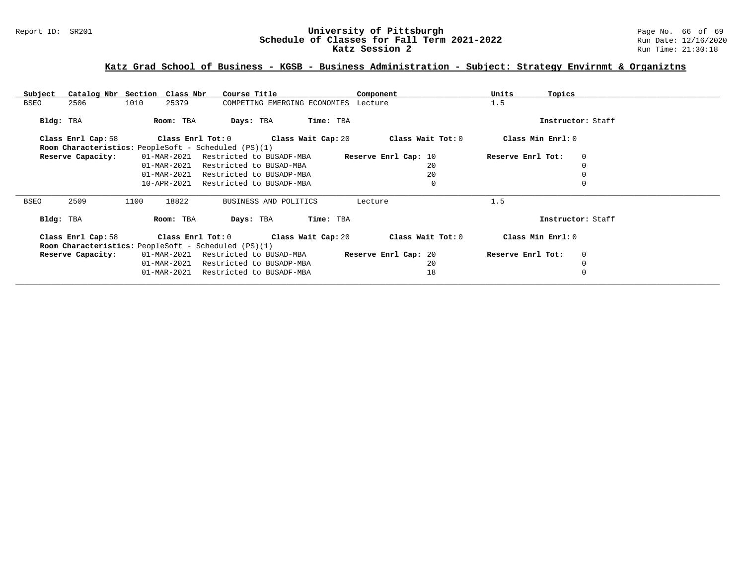# Report ID: SR201 **1988 Mage 10: SR201 University of Pittsburgh** Page No. 66 of 69<br>**Schedule of Classes for Fall Term 2021-2022** 2011 Page 12/16/2020 Schedule of Classes for Fall Term 2021-2022<br>Katz Session 2

# **Katz Grad School of Business - KGSB - Business Administration - Subject: Strategy Envirnmt & Organiztns**

| Subject     | Catalog Nbr Section Class Nbr                                              |      |             | Course Title                         |                                      |           | Component            | Units             | Topics            |  |
|-------------|----------------------------------------------------------------------------|------|-------------|--------------------------------------|--------------------------------------|-----------|----------------------|-------------------|-------------------|--|
| BSEO        | 2506                                                                       | 1010 | 25379       |                                      | COMPETING EMERGING ECONOMIES Lecture |           |                      | 1.5               |                   |  |
| Bldg: TBA   |                                                                            |      | Room: TBA   | Days: TBA                            |                                      | Time: TBA |                      |                   | Instructor: Staff |  |
|             | Class Enrl Cap: 58<br>Room Characteristics: PeopleSoft - Scheduled (PS)(1) |      |             | Class Enrl Tot: 0 Class Wait Cap: 20 |                                      |           | Class Wait Tot: 0    | Class Min Enrl: 0 |                   |  |
|             | Reserve Capacity:                                                          |      | 01-MAR-2021 | Restricted to BUSADF-MBA             |                                      |           | Reserve Enrl Cap: 10 | Reserve Enrl Tot: | $\mathbf{0}$      |  |
|             |                                                                            |      | 01-MAR-2021 | Restricted to BUSAD-MBA              |                                      |           | 20                   |                   | $\mathbf 0$       |  |
|             |                                                                            |      | 01-MAR-2021 | Restricted to BUSADP-MBA             |                                      |           | 20                   |                   | 0                 |  |
|             |                                                                            |      | 10-APR-2021 | Restricted to BUSADF-MBA             |                                      |           | $\mathbf 0$          |                   | $\Omega$          |  |
|             |                                                                            |      |             |                                      |                                      |           |                      |                   |                   |  |
| <b>BSEO</b> | 2509                                                                       | 1100 | 18822       |                                      | BUSINESS AND POLITICS                |           | Lecture              | 1.5               |                   |  |
| Bldg: TBA   |                                                                            |      | Room: TBA   | Days: TBA                            |                                      | Time: TBA |                      |                   | Instructor: Staff |  |
|             | Class Enrl Cap: 58                                                         |      |             | Class Enrl Tot: 0 Class Wait Cap: 20 |                                      |           | Class Wait Tot: $0$  | Class Min Enrl: 0 |                   |  |
|             | Room Characteristics: PeopleSoft - Scheduled (PS)(1)                       |      |             |                                      |                                      |           |                      |                   |                   |  |
|             | Reserve Capacity:                                                          |      | 01-MAR-2021 | Restricted to BUSAD-MBA              |                                      |           | Reserve Enrl Cap: 20 | Reserve Enrl Tot: | $\overline{0}$    |  |
|             |                                                                            |      | 01-MAR-2021 | Restricted to BUSADP-MBA             |                                      |           | 20                   |                   | $\mathbf 0$       |  |
|             |                                                                            |      | 01-MAR-2021 | Restricted to BUSADF-MBA             |                                      |           | 18                   |                   | $\mathbf 0$       |  |
|             |                                                                            |      |             |                                      |                                      |           |                      |                   |                   |  |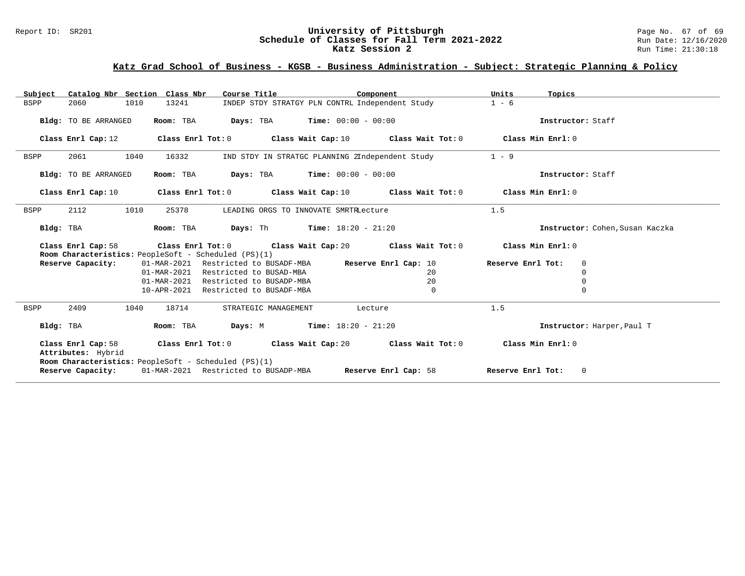#### Report ID: SR201 **University of Pittsburgh** Page No. 67 of 69 **Schedule of Classes for Fall Term 2021-2022** Run Date: 12/16/2020 **Katz Session 2 Run Time: 21:30:18** Run Time: 21:30:18

# **Katz Grad School of Business - KGSB - Business Administration - Subject: Strategic Planning & Policy**

| Catalog Nbr Section Class Nbr<br>Subject | Course Title                                                                                                                             | Component                                       | Units<br>Topics                   |
|------------------------------------------|------------------------------------------------------------------------------------------------------------------------------------------|-------------------------------------------------|-----------------------------------|
| <b>BSPP</b><br>2060<br>1010              | INDEP STDY STRATGY PLN CONTRL Independent Study<br>13241                                                                                 | $1 - 6$                                         |                                   |
| Bldg: TO BE ARRANGED                     | Room: TBA<br>$\texttt{Davis:}$ TBA $\texttt{Time:}$ 00:00 - 00:00                                                                        |                                                 | Instructor: Staff                 |
| Class Enrl Cap: 12                       | Class Enrl Tot: 0 $\qquad$ Class Wait Cap: 10 $\qquad$ Class Wait Tot: 0 $\qquad$ Class Min Enrl: 0                                      |                                                 |                                   |
| 2061<br>1040<br>BSPP                     | 16332                                                                                                                                    | IND STDY IN STRATGC PLANNING 2Independent Study | $1 - 9$                           |
| Bldg: TO BE ARRANGED                     | <b>Days:</b> TBA <b>Time:</b> $00:00 - 00:00$<br>Room: TBA                                                                               |                                                 | Instructor: Staff                 |
| Class Enrl Cap: 10                       | Class Enrl Tot: $0$ Class Wait Cap: $10$ Class Wait Tot: $0$ Class Min Enrl: $0$                                                         |                                                 |                                   |
| 2112<br>1010<br><b>BSPP</b>              | 25378<br>LEADING ORGS TO INNOVATE SMRTRLecture                                                                                           |                                                 | 1.5                               |
| Bldg: TBA                                | Room: TBA<br><b>Days:</b> Th <b>Time:</b> $18:20 - 21:20$                                                                                |                                                 | Instructor: Cohen, Susan Kaczka   |
| Class Enrl Cap: 58                       | Class Enrl Tot: $0$ Class Wait Cap: $20$ Class Wait Tot: $0$ Class Min Enrl: $0$<br>Room Characteristics: PeopleSoft - Scheduled (PS)(1) |                                                 |                                   |
| Reserve Capacity:                        | 01-MAR-2021<br>Restricted to BUSADF-MBA                                                                                                  | Reserve Enrl Cap: 10                            | Reserve Enrl Tot:<br>$\mathbf{0}$ |
|                                          | 01-MAR-2021 Restricted to BUSAD-MBA                                                                                                      | 20                                              | 0                                 |
|                                          | 01-MAR-2021 Restricted to BUSADP-MBA                                                                                                     | 20                                              | 0                                 |
|                                          | 10-APR-2021 Restricted to BUSADF-MBA                                                                                                     | $\mathbf{0}$                                    | 0                                 |
| 2409<br>BSPP<br>1040                     | 18714<br>STRATEGIC MANAGEMENT                                                                                                            | Lecture                                         | 1.5                               |
| Bldg: TBA                                | <b>Days:</b> M <b>Time:</b> $18:20 - 21:20$<br>Room: TBA                                                                                 |                                                 | Instructor: Harper, Paul T        |
| Attributes: Hybrid                       | Class Enrl Cap: 58 Class Enrl Tot: 0 Class Wait Cap: 20 Class Wait Tot: 0 Class Min Enrl: 0                                              |                                                 |                                   |
| Reserve Capacity:                        | Room Characteristics: PeopleSoft - Scheduled (PS)(1)<br>01-MAR-2021 Restricted to BUSADP-MBA Reserve Enrl Cap: 58                        |                                                 | Reserve Enrl Tot:<br>$\circ$      |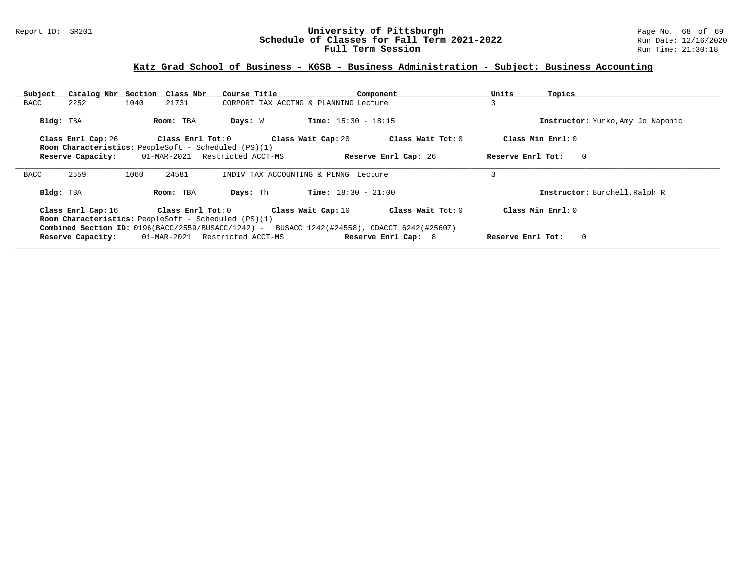#### Report ID: SR201 **University of Pittsburgh** Page No. 68 of 69 **Schedule of Classes for Fall Term 2021-2022** Run Date: 12/16/2020 **Full Term Session Rundall Term Session Rundall Term Session**

| Subject     |                    | Catalog Nbr Section Class Nbr                                             | Course Title                   | Component                                                                                                                              | Units<br>Topics                   |
|-------------|--------------------|---------------------------------------------------------------------------|--------------------------------|----------------------------------------------------------------------------------------------------------------------------------------|-----------------------------------|
| <b>BACC</b> | 2252               | 1040<br>21731                                                             |                                | CORPORT TAX ACCTNG & PLANNING Lecture                                                                                                  | 3                                 |
| Bldg: TBA   |                    | Room: TBA                                                                 | Days: W                        | <b>Time:</b> $15:30 - 18:15$                                                                                                           | Instructor: Yurko, Amy Jo Naponic |
|             | Class Enrl Cap: 26 | Class Enrl Tot: 0                                                         |                                | Class Wait Cap: 20<br>Class Wait Tot: 0                                                                                                | Class Min $Enrl: 0$               |
|             |                    | <b>Room Characteristics:</b> PeopleSoft - Scheduled (PS)(1)               |                                |                                                                                                                                        |                                   |
|             | Reserve Capacity:  |                                                                           | 01-MAR-2021 Restricted ACCT-MS | Reserve Enrl Cap: 26                                                                                                                   | Reserve Enrl Tot:<br>$\circ$      |
| <b>BACC</b> | 2559               | 1060<br>24581                                                             |                                | INDIV TAX ACCOUNTING & PLNNG Lecture                                                                                                   |                                   |
|             |                    |                                                                           |                                |                                                                                                                                        |                                   |
| Bldg: TBA   |                    | Room: TBA                                                                 | Days: Th                       | <b>Time:</b> $18:30 - 21:00$                                                                                                           | Instructor: Burchell, Ralph R     |
|             | Class Enrl Cap: 16 | Class Enrl Tot: 0<br>Room Characteristics: PeopleSoft - Scheduled (PS)(1) |                                | Class Wait Tot: 0<br>Class Wait Cap: 10<br>Combined Section ID: 0196(BACC/2559/BUSACC/1242) - BUSACC 1242(#24558), CDACCT 6242(#25607) | Class Min $Enrl: 0$               |
|             | Reserve Capacity:  |                                                                           | 01-MAR-2021 Restricted ACCT-MS | Reserve Enrl Cap: 8                                                                                                                    | $\circ$<br>Reserve Enrl Tot:      |